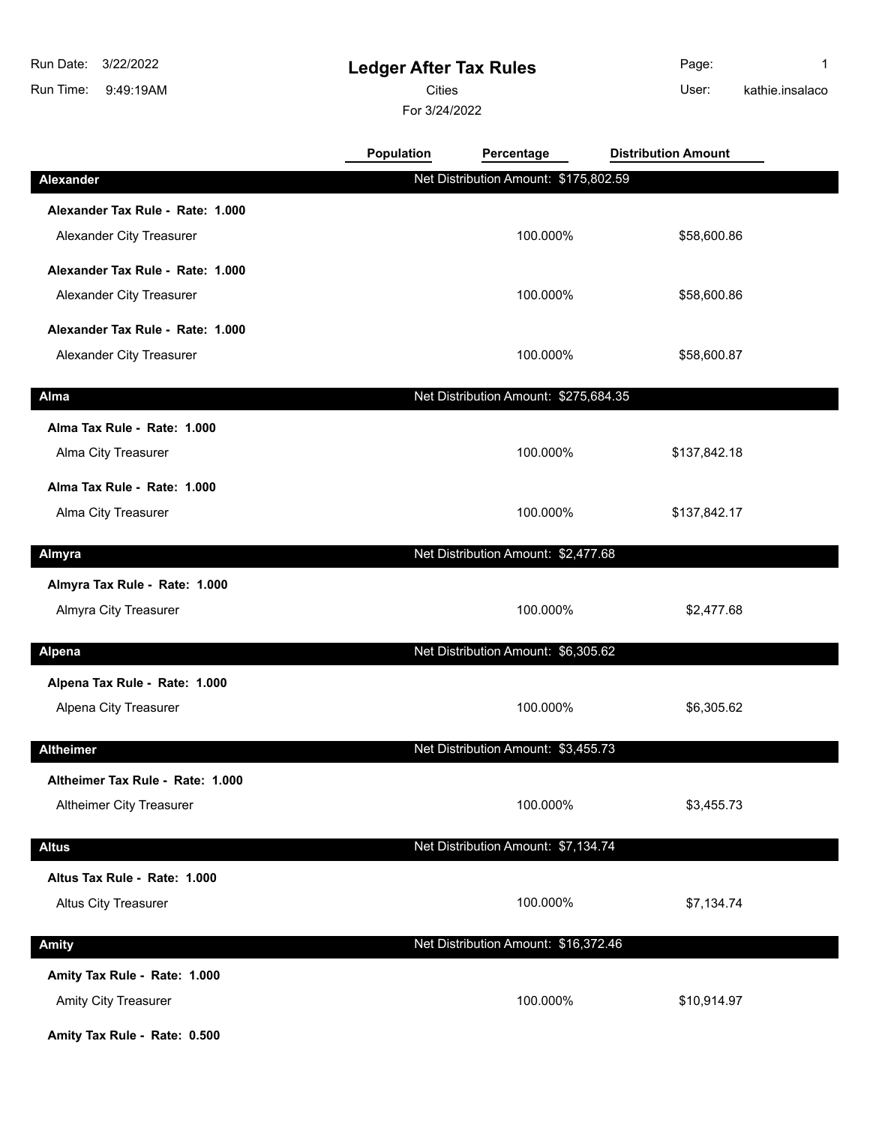9:49:19AM Run Time: 3/22/2022 Run Date:

## **Ledger After Tax Rules**

Cities **User:** 

For 3/24/2022

Page: 1 kathie.insalaco

|                                  | Population | Percentage                            | <b>Distribution Amount</b> |  |
|----------------------------------|------------|---------------------------------------|----------------------------|--|
| Alexander                        |            | Net Distribution Amount: \$175,802.59 |                            |  |
| Alexander Tax Rule - Rate: 1.000 |            |                                       |                            |  |
| Alexander City Treasurer         |            | 100.000%                              | \$58,600.86                |  |
| Alexander Tax Rule - Rate: 1.000 |            |                                       |                            |  |
| Alexander City Treasurer         |            | 100.000%                              | \$58,600.86                |  |
| Alexander Tax Rule - Rate: 1.000 |            |                                       |                            |  |
| Alexander City Treasurer         |            | 100.000%                              | \$58,600.87                |  |
| Alma                             |            | Net Distribution Amount: \$275,684.35 |                            |  |
| Alma Tax Rule - Rate: 1.000      |            |                                       |                            |  |
| Alma City Treasurer              |            | 100.000%                              | \$137,842.18               |  |
| Alma Tax Rule - Rate: 1.000      |            |                                       |                            |  |
| Alma City Treasurer              |            | 100.000%                              | \$137,842.17               |  |
| Almyra                           |            | Net Distribution Amount: \$2,477.68   |                            |  |
| Almyra Tax Rule - Rate: 1.000    |            |                                       |                            |  |
| Almyra City Treasurer            |            | 100.000%                              | \$2,477.68                 |  |
| <b>Alpena</b>                    |            | Net Distribution Amount: \$6,305.62   |                            |  |
| Alpena Tax Rule - Rate: 1.000    |            |                                       |                            |  |
| Alpena City Treasurer            |            | 100.000%                              | \$6,305.62                 |  |
| <b>Altheimer</b>                 |            | Net Distribution Amount: \$3,455.73   |                            |  |
| Altheimer Tax Rule - Rate: 1.000 |            |                                       |                            |  |
| Altheimer City Treasurer         |            | 100.000%                              | \$3,455.73                 |  |
| <b>Altus</b>                     |            | Net Distribution Amount: \$7,134.74   |                            |  |
| Altus Tax Rule - Rate: 1.000     |            |                                       |                            |  |
| Altus City Treasurer             |            | 100.000%                              | \$7,134.74                 |  |
|                                  |            |                                       |                            |  |
| Amity                            |            | Net Distribution Amount: \$16,372.46  |                            |  |
| Amity Tax Rule - Rate: 1.000     |            |                                       |                            |  |
| <b>Amity City Treasurer</b>      |            | 100.000%                              | \$10,914.97                |  |

**Amity Tax Rule - Rate: 0.500**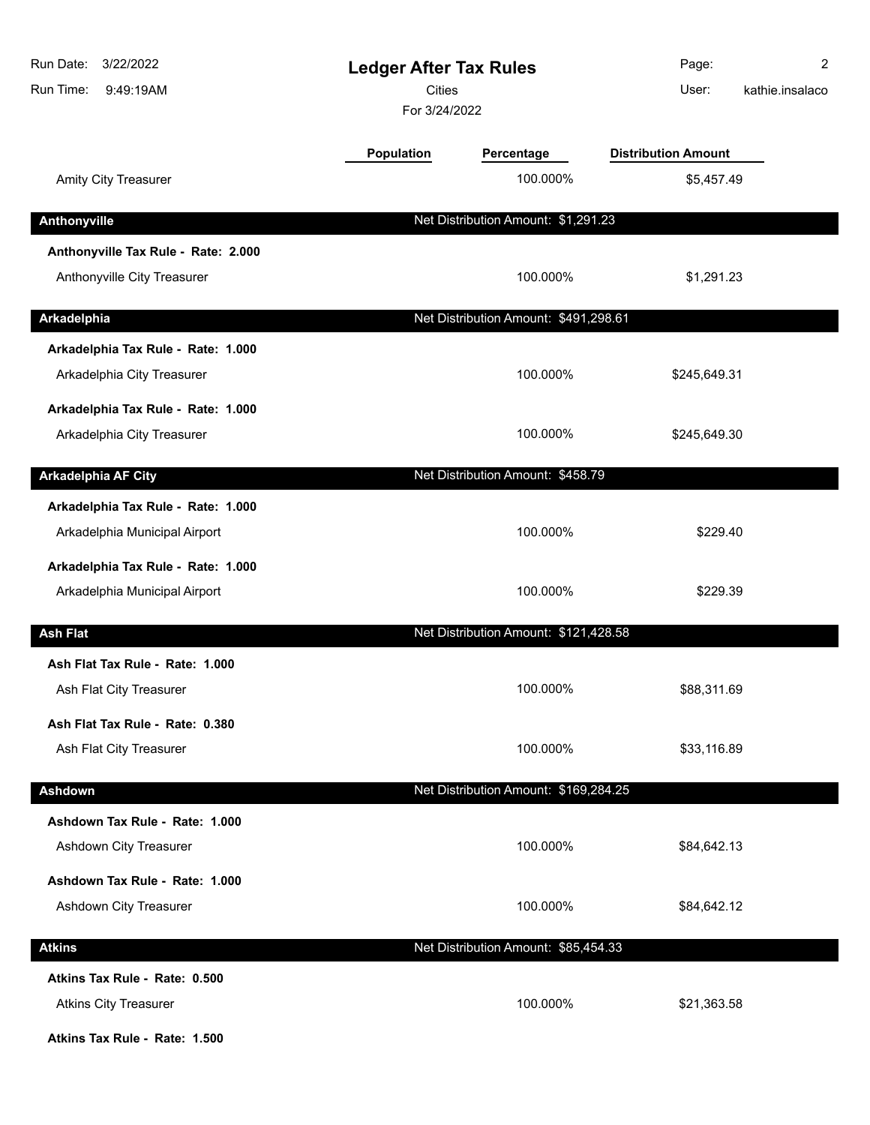| Run Date:<br>3/22/2022<br>Run Time:<br>9:49:19AM                    | <b>Ledger After Tax Rules</b><br><b>Cities</b><br>For 3/24/2022 |                                       | Page:<br>User:             | 2<br>kathie.insalaco |
|---------------------------------------------------------------------|-----------------------------------------------------------------|---------------------------------------|----------------------------|----------------------|
|                                                                     | Population                                                      | Percentage                            | <b>Distribution Amount</b> |                      |
| Amity City Treasurer                                                |                                                                 | 100.000%                              | \$5,457.49                 |                      |
| Anthonyville                                                        |                                                                 | Net Distribution Amount: \$1,291.23   |                            |                      |
| Anthonyville Tax Rule - Rate: 2.000<br>Anthonyville City Treasurer  |                                                                 | 100.000%                              | \$1,291.23                 |                      |
| Arkadelphia                                                         |                                                                 | Net Distribution Amount: \$491,298.61 |                            |                      |
|                                                                     |                                                                 |                                       |                            |                      |
| Arkadelphia Tax Rule - Rate: 1.000<br>Arkadelphia City Treasurer    |                                                                 | 100.000%                              | \$245,649.31               |                      |
| Arkadelphia Tax Rule - Rate: 1.000                                  |                                                                 |                                       |                            |                      |
| Arkadelphia City Treasurer                                          |                                                                 | 100.000%                              | \$245,649.30               |                      |
| <b>Arkadelphia AF City</b>                                          |                                                                 | Net Distribution Amount: \$458.79     |                            |                      |
| Arkadelphia Tax Rule - Rate: 1.000<br>Arkadelphia Municipal Airport |                                                                 | 100.000%                              | \$229.40                   |                      |
| Arkadelphia Tax Rule - Rate: 1.000                                  |                                                                 |                                       |                            |                      |
| Arkadelphia Municipal Airport                                       |                                                                 | 100.000%                              | \$229.39                   |                      |
| <b>Ash Flat</b>                                                     |                                                                 | Net Distribution Amount: \$121,428.58 |                            |                      |
| Ash Flat Tax Rule - Rate: 1.000                                     |                                                                 |                                       |                            |                      |
| Ash Flat City Treasurer                                             |                                                                 | 100.000%                              | \$88,311.69                |                      |
| Ash Flat Tax Rule - Rate: 0.380<br>Ash Flat City Treasurer          |                                                                 | 100.000%                              | \$33,116.89                |                      |
| Ashdown                                                             |                                                                 | Net Distribution Amount: \$169,284.25 |                            |                      |
| Ashdown Tax Rule - Rate: 1.000                                      |                                                                 |                                       |                            |                      |
| Ashdown City Treasurer                                              |                                                                 | 100.000%                              | \$84,642.13                |                      |
| Ashdown Tax Rule - Rate: 1.000                                      |                                                                 |                                       |                            |                      |
| Ashdown City Treasurer                                              |                                                                 | 100.000%                              | \$84,642.12                |                      |
| <b>Atkins</b>                                                       |                                                                 | Net Distribution Amount: \$85,454.33  |                            |                      |
| Atkins Tax Rule - Rate: 0.500<br><b>Atkins City Treasurer</b>       |                                                                 | 100.000%                              | \$21,363.58                |                      |
|                                                                     |                                                                 |                                       |                            |                      |

**Atkins Tax Rule - Rate: 1.500**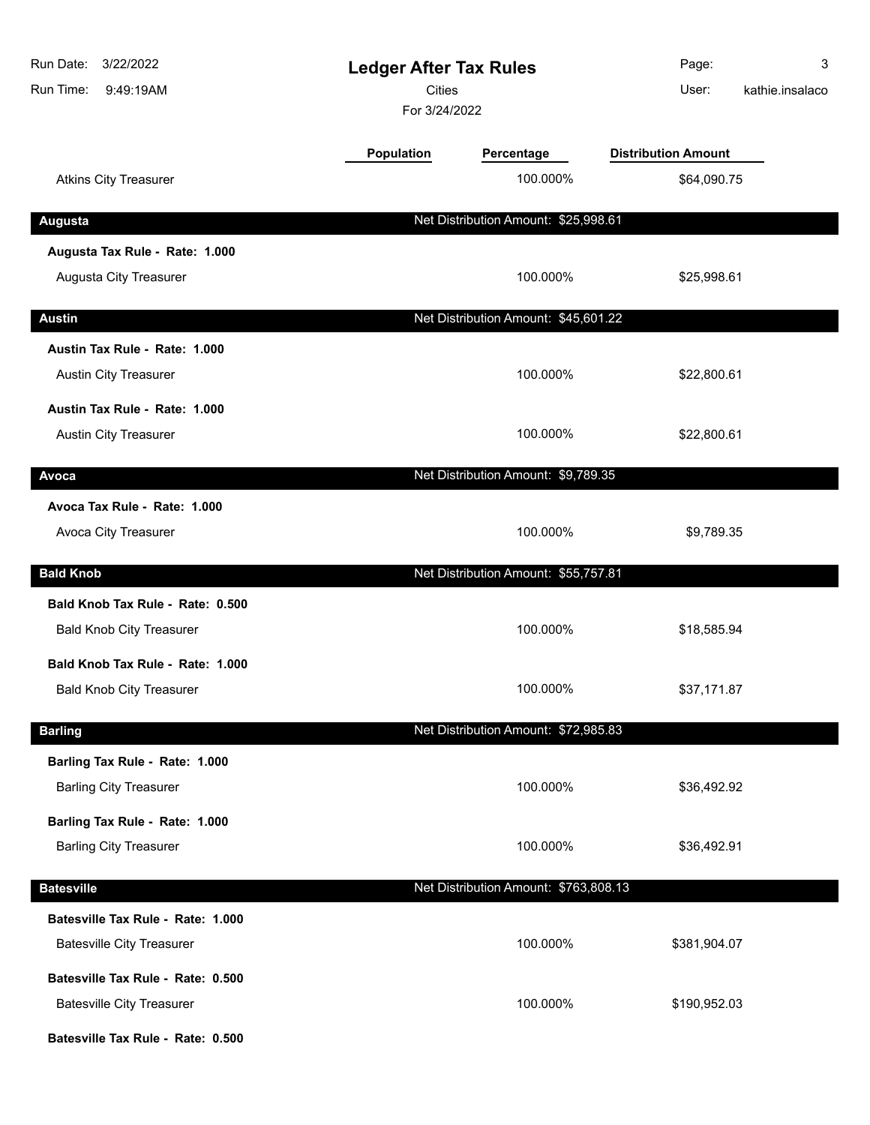| Run Date: 3/22/2022<br>Run Time:<br>9:49:19AM | <b>Ledger After Tax Rules</b><br><b>Cities</b><br>For 3/24/2022 |                                       | Page:<br>User:             | 3<br>kathie.insalaco |
|-----------------------------------------------|-----------------------------------------------------------------|---------------------------------------|----------------------------|----------------------|
|                                               | <b>Population</b>                                               | Percentage                            | <b>Distribution Amount</b> |                      |
| <b>Atkins City Treasurer</b>                  |                                                                 | 100.000%                              | \$64,090.75                |                      |
| <b>Augusta</b>                                |                                                                 | Net Distribution Amount: \$25,998.61  |                            |                      |
| Augusta Tax Rule - Rate: 1.000                |                                                                 |                                       |                            |                      |
| Augusta City Treasurer                        |                                                                 | 100.000%                              | \$25,998.61                |                      |
| <b>Austin</b>                                 |                                                                 | Net Distribution Amount: \$45,601.22  |                            |                      |
| Austin Tax Rule - Rate: 1.000                 |                                                                 |                                       |                            |                      |
| <b>Austin City Treasurer</b>                  |                                                                 | 100.000%                              | \$22,800.61                |                      |
| Austin Tax Rule - Rate: 1.000                 |                                                                 |                                       |                            |                      |
| Austin City Treasurer                         |                                                                 | 100.000%                              | \$22,800.61                |                      |
| Avoca                                         |                                                                 | Net Distribution Amount: \$9,789.35   |                            |                      |
| Avoca Tax Rule - Rate: 1.000                  |                                                                 |                                       |                            |                      |
| Avoca City Treasurer                          |                                                                 | 100.000%                              | \$9,789.35                 |                      |
| <b>Bald Knob</b>                              |                                                                 | Net Distribution Amount: \$55,757.81  |                            |                      |
| Bald Knob Tax Rule - Rate: 0.500              |                                                                 |                                       |                            |                      |
| <b>Bald Knob City Treasurer</b>               |                                                                 | 100.000%                              | \$18,585.94                |                      |
| Bald Knob Tax Rule - Rate: 1.000              |                                                                 |                                       |                            |                      |
| <b>Bald Knob City Treasurer</b>               |                                                                 | 100.000%                              | \$37,171.87                |                      |
| <b>Barling</b>                                |                                                                 | Net Distribution Amount: \$72,985.83  |                            |                      |
| Barling Tax Rule - Rate: 1.000                |                                                                 |                                       |                            |                      |
| <b>Barling City Treasurer</b>                 |                                                                 | 100.000%                              | \$36,492.92                |                      |
| Barling Tax Rule - Rate: 1.000                |                                                                 |                                       |                            |                      |
| <b>Barling City Treasurer</b>                 |                                                                 | 100.000%                              | \$36,492.91                |                      |
| <b>Batesville</b>                             |                                                                 | Net Distribution Amount: \$763,808.13 |                            |                      |
| Batesville Tax Rule - Rate: 1.000             |                                                                 |                                       |                            |                      |
| <b>Batesville City Treasurer</b>              |                                                                 | 100.000%                              | \$381,904.07               |                      |
| Batesville Tax Rule - Rate: 0.500             |                                                                 |                                       |                            |                      |
| <b>Batesville City Treasurer</b>              |                                                                 | 100.000%                              | \$190,952.03               |                      |
| Batesville Tax Rule - Rate: 0.500             |                                                                 |                                       |                            |                      |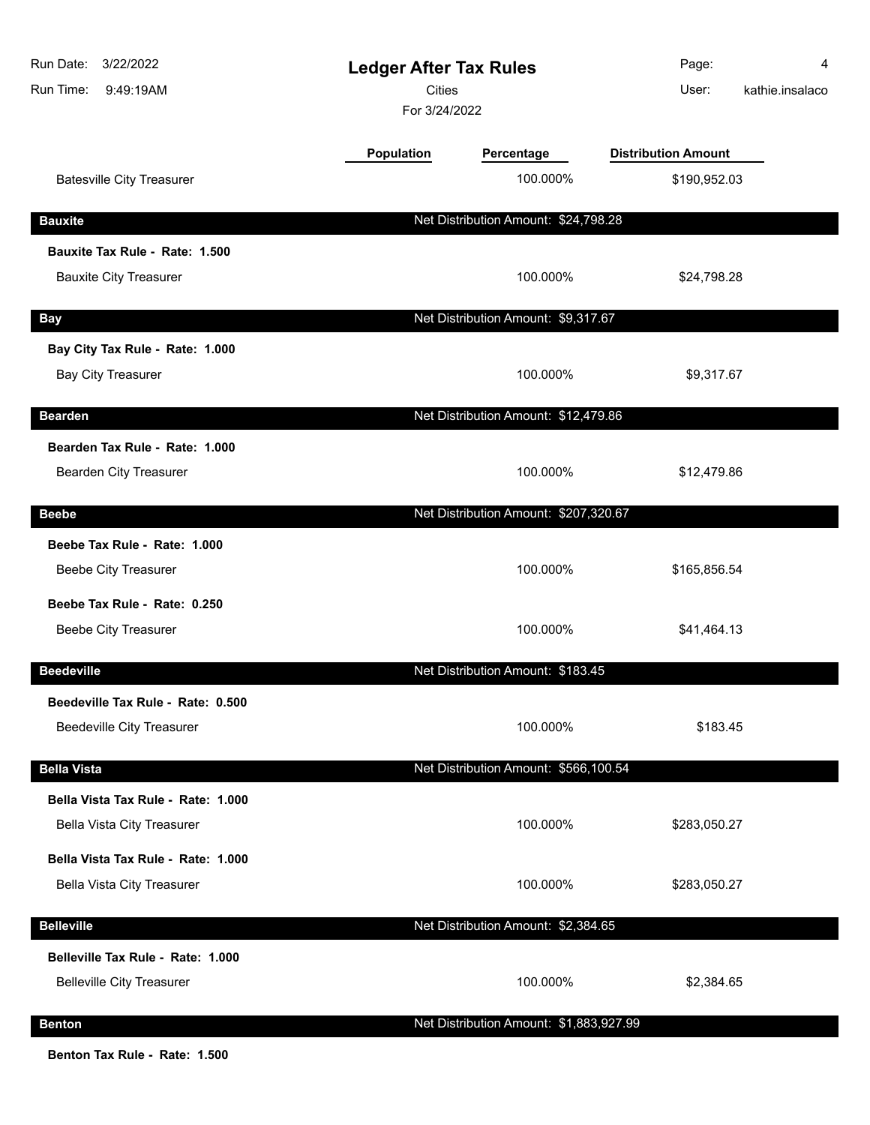| Run Date:<br>3/22/2022<br>Run Time:<br>9:49:19AM                      | <b>Ledger After Tax Rules</b><br><b>Cities</b><br>For 3/24/2022 |                                         | Page:<br>User:             | 4<br>kathie.insalaco |
|-----------------------------------------------------------------------|-----------------------------------------------------------------|-----------------------------------------|----------------------------|----------------------|
|                                                                       | <b>Population</b>                                               | Percentage                              | <b>Distribution Amount</b> |                      |
| <b>Batesville City Treasurer</b>                                      |                                                                 | 100.000%                                | \$190,952.03               |                      |
| <b>Bauxite</b>                                                        |                                                                 | Net Distribution Amount: \$24,798.28    |                            |                      |
| Bauxite Tax Rule - Rate: 1.500<br><b>Bauxite City Treasurer</b>       |                                                                 | 100.000%                                | \$24,798.28                |                      |
|                                                                       |                                                                 |                                         |                            |                      |
| <b>Bay</b><br>Bay City Tax Rule - Rate: 1.000                         |                                                                 | Net Distribution Amount: \$9,317.67     |                            |                      |
| <b>Bay City Treasurer</b>                                             |                                                                 | 100.000%                                | \$9,317.67                 |                      |
| <b>Bearden</b>                                                        |                                                                 | Net Distribution Amount: \$12,479.86    |                            |                      |
| Bearden Tax Rule - Rate: 1.000<br>Bearden City Treasurer              |                                                                 | 100.000%                                | \$12,479.86                |                      |
| <b>Beebe</b>                                                          |                                                                 | Net Distribution Amount: \$207,320.67   |                            |                      |
| Beebe Tax Rule - Rate: 1.000<br><b>Beebe City Treasurer</b>           |                                                                 | 100.000%                                | \$165,856.54               |                      |
| Beebe Tax Rule - Rate: 0.250                                          |                                                                 |                                         |                            |                      |
| <b>Beebe City Treasurer</b>                                           |                                                                 | 100.000%                                | \$41,464.13                |                      |
| <b>Beedeville</b>                                                     |                                                                 | Net Distribution Amount: \$183.45       |                            |                      |
| Beedeville Tax Rule - Rate: 0.500<br><b>Beedeville City Treasurer</b> |                                                                 | 100.000%                                | \$183.45                   |                      |
| <b>Bella Vista</b>                                                    |                                                                 | Net Distribution Amount: \$566,100.54   |                            |                      |
| Bella Vista Tax Rule - Rate: 1.000<br>Bella Vista City Treasurer      |                                                                 | 100.000%                                | \$283,050.27               |                      |
| Bella Vista Tax Rule - Rate: 1.000                                    |                                                                 |                                         |                            |                      |
| <b>Bella Vista City Treasurer</b>                                     |                                                                 | 100.000%                                | \$283,050.27               |                      |
| <b>Belleville</b>                                                     |                                                                 | Net Distribution Amount: \$2,384.65     |                            |                      |
| Belleville Tax Rule - Rate: 1.000<br><b>Belleville City Treasurer</b> |                                                                 | 100.000%                                | \$2,384.65                 |                      |
| <b>Benton</b>                                                         |                                                                 | Net Distribution Amount: \$1,883,927.99 |                            |                      |

**Benton Tax Rule - Rate: 1.500**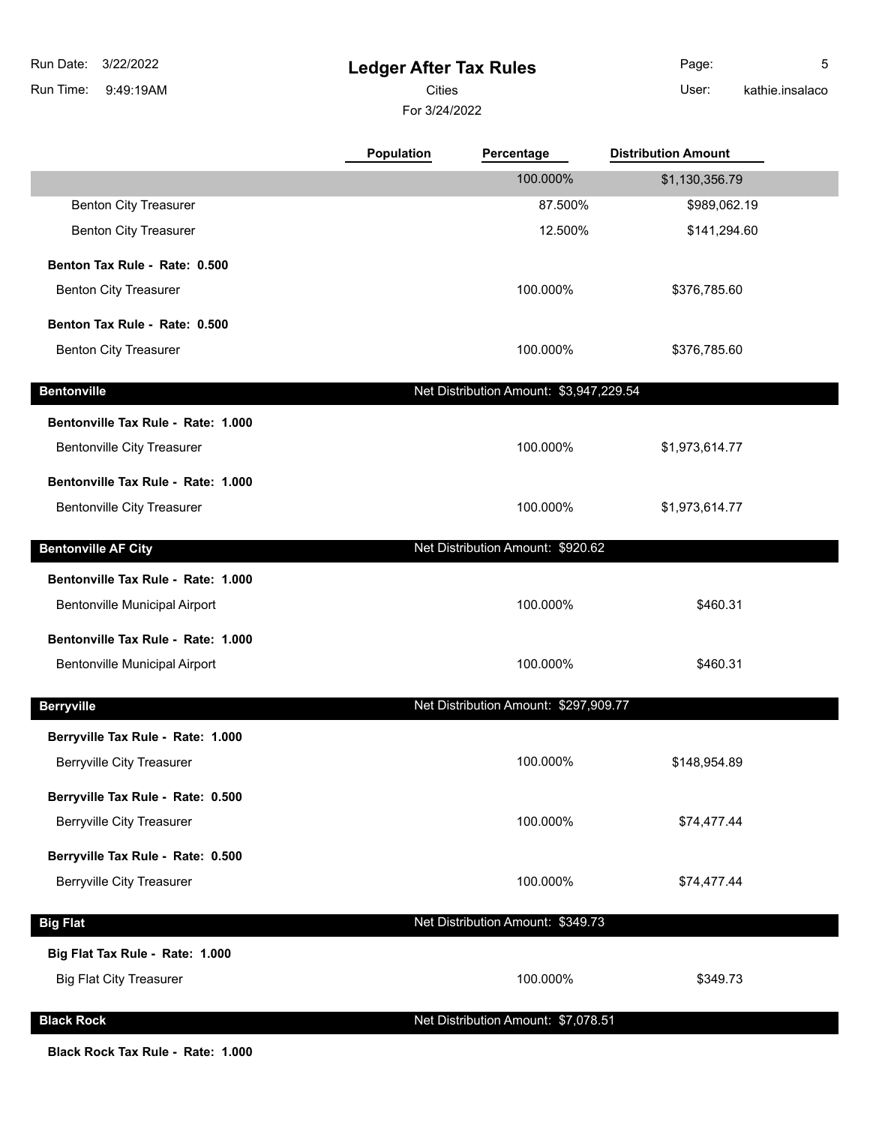9:49:19AM Run Time: 3/22/2022 Run Date:

## **Ledger After Tax Rules**

For 3/24/2022 Cities **User:** 

Page: 5 kathie.insalaco

|                                    | <b>Population</b> | Percentage                              | <b>Distribution Amount</b> |  |
|------------------------------------|-------------------|-----------------------------------------|----------------------------|--|
|                                    |                   | 100.000%                                | \$1,130,356.79             |  |
| <b>Benton City Treasurer</b>       |                   | 87.500%                                 | \$989,062.19               |  |
| <b>Benton City Treasurer</b>       |                   | 12.500%                                 | \$141,294.60               |  |
| Benton Tax Rule - Rate: 0.500      |                   |                                         |                            |  |
| <b>Benton City Treasurer</b>       |                   | 100.000%                                | \$376,785.60               |  |
| Benton Tax Rule - Rate: 0.500      |                   |                                         |                            |  |
| <b>Benton City Treasurer</b>       |                   | 100.000%                                | \$376,785.60               |  |
| <b>Bentonville</b>                 |                   | Net Distribution Amount: \$3,947,229.54 |                            |  |
| Bentonville Tax Rule - Rate: 1.000 |                   |                                         |                            |  |
| <b>Bentonville City Treasurer</b>  |                   | 100.000%                                | \$1,973,614.77             |  |
| Bentonville Tax Rule - Rate: 1.000 |                   |                                         |                            |  |
| <b>Bentonville City Treasurer</b>  |                   | 100.000%                                | \$1,973,614.77             |  |
|                                    |                   |                                         |                            |  |
| <b>Bentonville AF City</b>         |                   | Net Distribution Amount: \$920.62       |                            |  |
| Bentonville Tax Rule - Rate: 1.000 |                   |                                         |                            |  |
| Bentonville Municipal Airport      |                   | 100.000%                                | \$460.31                   |  |
| Bentonville Tax Rule - Rate: 1.000 |                   |                                         |                            |  |
| Bentonville Municipal Airport      |                   | 100.000%                                | \$460.31                   |  |
| <b>Berryville</b>                  |                   | Net Distribution Amount: \$297,909.77   |                            |  |
| Berryville Tax Rule - Rate: 1.000  |                   |                                         |                            |  |
| <b>Berryville City Treasurer</b>   |                   | 100.000%                                | \$148,954.89               |  |
| Berryville Tax Rule - Rate: 0.500  |                   |                                         |                            |  |
| <b>Berryville City Treasurer</b>   |                   | 100.000%                                | \$74,477.44                |  |
| Berryville Tax Rule - Rate: 0.500  |                   |                                         |                            |  |
| <b>Berryville City Treasurer</b>   |                   | 100.000%                                | \$74,477.44                |  |
|                                    |                   |                                         |                            |  |
| <b>Big Flat</b>                    |                   | Net Distribution Amount: \$349.73       |                            |  |
| Big Flat Tax Rule - Rate: 1.000    |                   |                                         |                            |  |
| <b>Big Flat City Treasurer</b>     |                   | 100.000%                                | \$349.73                   |  |
| <b>Black Rock</b>                  |                   | Net Distribution Amount: \$7,078.51     |                            |  |

**Black Rock Tax Rule - Rate: 1.000**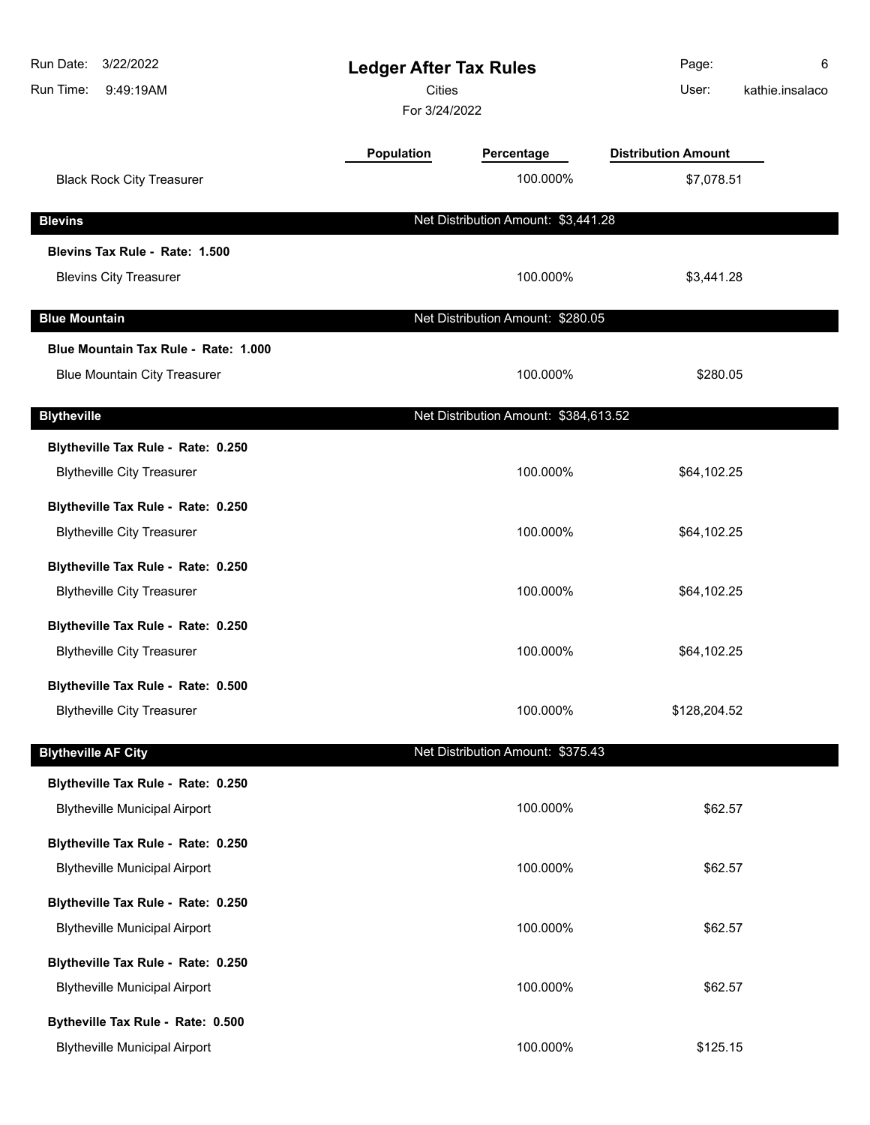| Run Date:<br>3/22/2022<br>Run Time:<br>9:49:19AM | <b>Ledger After Tax Rules</b><br><b>Cities</b><br>For 3/24/2022 |                                       | Page:<br>User:             | 6<br>kathie.insalaco |
|--------------------------------------------------|-----------------------------------------------------------------|---------------------------------------|----------------------------|----------------------|
|                                                  | <b>Population</b>                                               | Percentage                            | <b>Distribution Amount</b> |                      |
| <b>Black Rock City Treasurer</b>                 |                                                                 | 100.000%                              | \$7,078.51                 |                      |
| <b>Blevins</b>                                   |                                                                 | Net Distribution Amount: \$3,441.28   |                            |                      |
| Blevins Tax Rule - Rate: 1.500                   |                                                                 |                                       |                            |                      |
| <b>Blevins City Treasurer</b>                    |                                                                 | 100.000%                              | \$3,441.28                 |                      |
| <b>Blue Mountain</b>                             |                                                                 | Net Distribution Amount: \$280.05     |                            |                      |
| Blue Mountain Tax Rule - Rate: 1.000             |                                                                 |                                       |                            |                      |
| <b>Blue Mountain City Treasurer</b>              |                                                                 | 100.000%                              | \$280.05                   |                      |
| <b>Blytheville</b>                               |                                                                 | Net Distribution Amount: \$384,613.52 |                            |                      |
| Blytheville Tax Rule - Rate: 0.250               |                                                                 |                                       |                            |                      |
| <b>Blytheville City Treasurer</b>                |                                                                 | 100.000%                              | \$64,102.25                |                      |
| Blytheville Tax Rule - Rate: 0.250               |                                                                 |                                       |                            |                      |
| <b>Blytheville City Treasurer</b>                |                                                                 | 100.000%                              | \$64,102.25                |                      |
| Blytheville Tax Rule - Rate: 0.250               |                                                                 |                                       |                            |                      |
| <b>Blytheville City Treasurer</b>                |                                                                 | 100.000%                              | \$64,102.25                |                      |
| Blytheville Tax Rule - Rate: 0.250               |                                                                 |                                       |                            |                      |
| <b>Blytheville City Treasurer</b>                |                                                                 | 100.000%                              | \$64,102.25                |                      |
| Blytheville Tax Rule - Rate: 0.500               |                                                                 |                                       |                            |                      |
| <b>Blytheville City Treasurer</b>                |                                                                 | 100.000%                              | \$128,204.52               |                      |
| <b>Blytheville AF City</b>                       |                                                                 | Net Distribution Amount: \$375.43     |                            |                      |
| Blytheville Tax Rule - Rate: 0.250               |                                                                 |                                       |                            |                      |
| <b>Blytheville Municipal Airport</b>             |                                                                 | 100.000%                              | \$62.57                    |                      |
| Blytheville Tax Rule - Rate: 0.250               |                                                                 |                                       |                            |                      |
| <b>Blytheville Municipal Airport</b>             |                                                                 | 100.000%                              | \$62.57                    |                      |
| Blytheville Tax Rule - Rate: 0.250               |                                                                 |                                       |                            |                      |
| <b>Blytheville Municipal Airport</b>             |                                                                 | 100.000%                              | \$62.57                    |                      |
| Blytheville Tax Rule - Rate: 0.250               |                                                                 |                                       |                            |                      |
| <b>Blytheville Municipal Airport</b>             |                                                                 | 100.000%                              | \$62.57                    |                      |
| Bytheville Tax Rule - Rate: 0.500                |                                                                 |                                       |                            |                      |
| <b>Blytheville Municipal Airport</b>             |                                                                 | 100.000%                              | \$125.15                   |                      |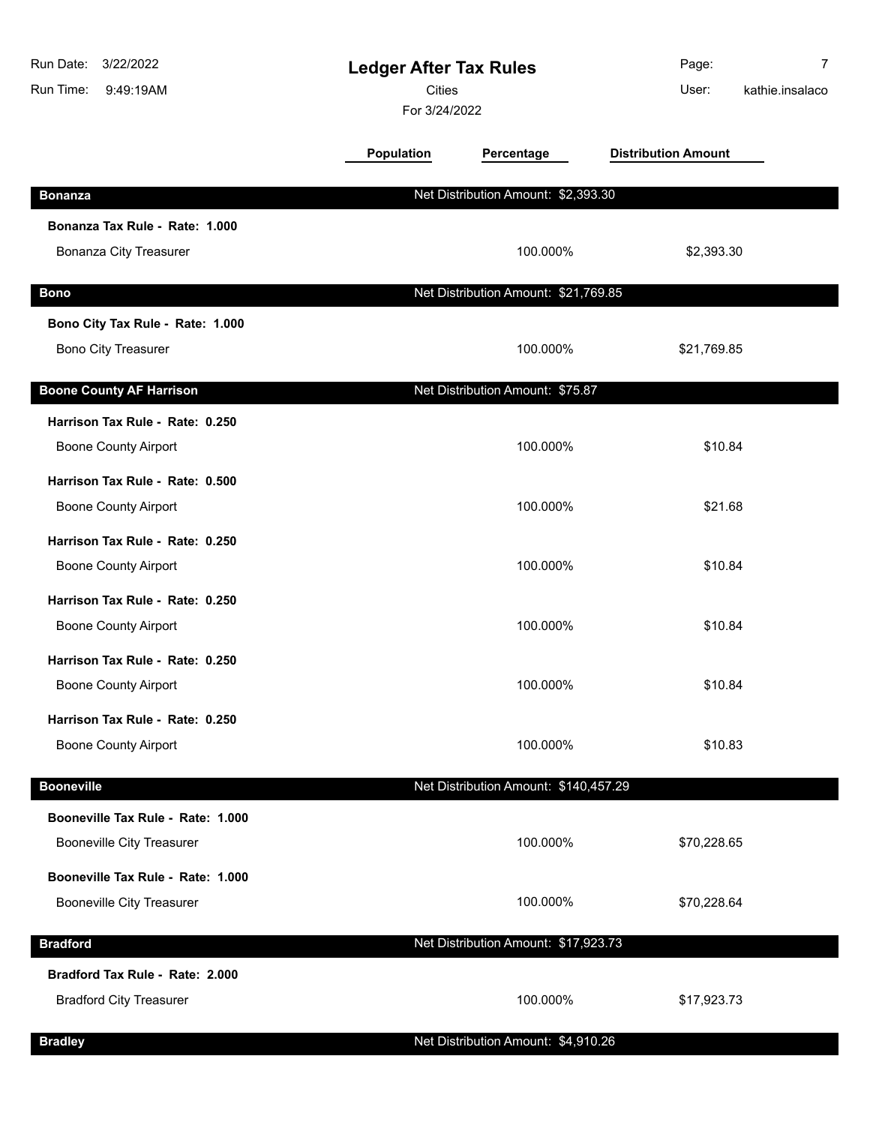| Run Date:<br>3/22/2022<br>Run Time:<br>9:49:19AM | <b>Ledger After Tax Rules</b><br><b>Cities</b><br>For 3/24/2022 |                                       | Page:<br>User:             | $\overline{7}$<br>kathie.insalaco |
|--------------------------------------------------|-----------------------------------------------------------------|---------------------------------------|----------------------------|-----------------------------------|
|                                                  | <b>Population</b>                                               | Percentage                            | <b>Distribution Amount</b> |                                   |
| <b>Bonanza</b>                                   |                                                                 | Net Distribution Amount: \$2,393.30   |                            |                                   |
| Bonanza Tax Rule - Rate: 1.000                   |                                                                 |                                       |                            |                                   |
| Bonanza City Treasurer                           |                                                                 | 100.000%                              | \$2,393.30                 |                                   |
| <b>Bono</b>                                      |                                                                 | Net Distribution Amount: \$21,769.85  |                            |                                   |
| Bono City Tax Rule - Rate: 1.000                 |                                                                 |                                       |                            |                                   |
| <b>Bono City Treasurer</b>                       |                                                                 | 100.000%                              | \$21,769.85                |                                   |
| <b>Boone County AF Harrison</b>                  |                                                                 | Net Distribution Amount: \$75.87      |                            |                                   |
| Harrison Tax Rule - Rate: 0.250                  |                                                                 |                                       |                            |                                   |
| <b>Boone County Airport</b>                      |                                                                 | 100.000%                              | \$10.84                    |                                   |
| Harrison Tax Rule - Rate: 0.500                  |                                                                 |                                       |                            |                                   |
| <b>Boone County Airport</b>                      |                                                                 | 100.000%                              | \$21.68                    |                                   |
| Harrison Tax Rule - Rate: 0.250                  |                                                                 |                                       |                            |                                   |
| <b>Boone County Airport</b>                      |                                                                 | 100.000%                              | \$10.84                    |                                   |
| Harrison Tax Rule - Rate: 0.250                  |                                                                 |                                       |                            |                                   |
| <b>Boone County Airport</b>                      |                                                                 | 100.000%                              | \$10.84                    |                                   |
| Harrison Tax Rule - Rate: 0.250                  |                                                                 |                                       |                            |                                   |
| <b>Boone County Airport</b>                      |                                                                 | 100.000%                              | \$10.84                    |                                   |
| Harrison Tax Rule - Rate: 0.250                  |                                                                 |                                       |                            |                                   |
| <b>Boone County Airport</b>                      |                                                                 | 100.000%                              | \$10.83                    |                                   |
| <b>Booneville</b>                                |                                                                 | Net Distribution Amount: \$140,457.29 |                            |                                   |
| Booneville Tax Rule - Rate: 1.000                |                                                                 |                                       |                            |                                   |
| <b>Booneville City Treasurer</b>                 |                                                                 | 100.000%                              | \$70,228.65                |                                   |
| Booneville Tax Rule - Rate: 1.000                |                                                                 |                                       |                            |                                   |
| <b>Booneville City Treasurer</b>                 |                                                                 | 100.000%                              | \$70,228.64                |                                   |
| <b>Bradford</b>                                  |                                                                 | Net Distribution Amount: \$17,923.73  |                            |                                   |
| Bradford Tax Rule - Rate: 2.000                  |                                                                 |                                       |                            |                                   |
| <b>Bradford City Treasurer</b>                   |                                                                 | 100.000%                              | \$17,923.73                |                                   |
| <b>Bradley</b>                                   |                                                                 | Net Distribution Amount: \$4,910.26   |                            |                                   |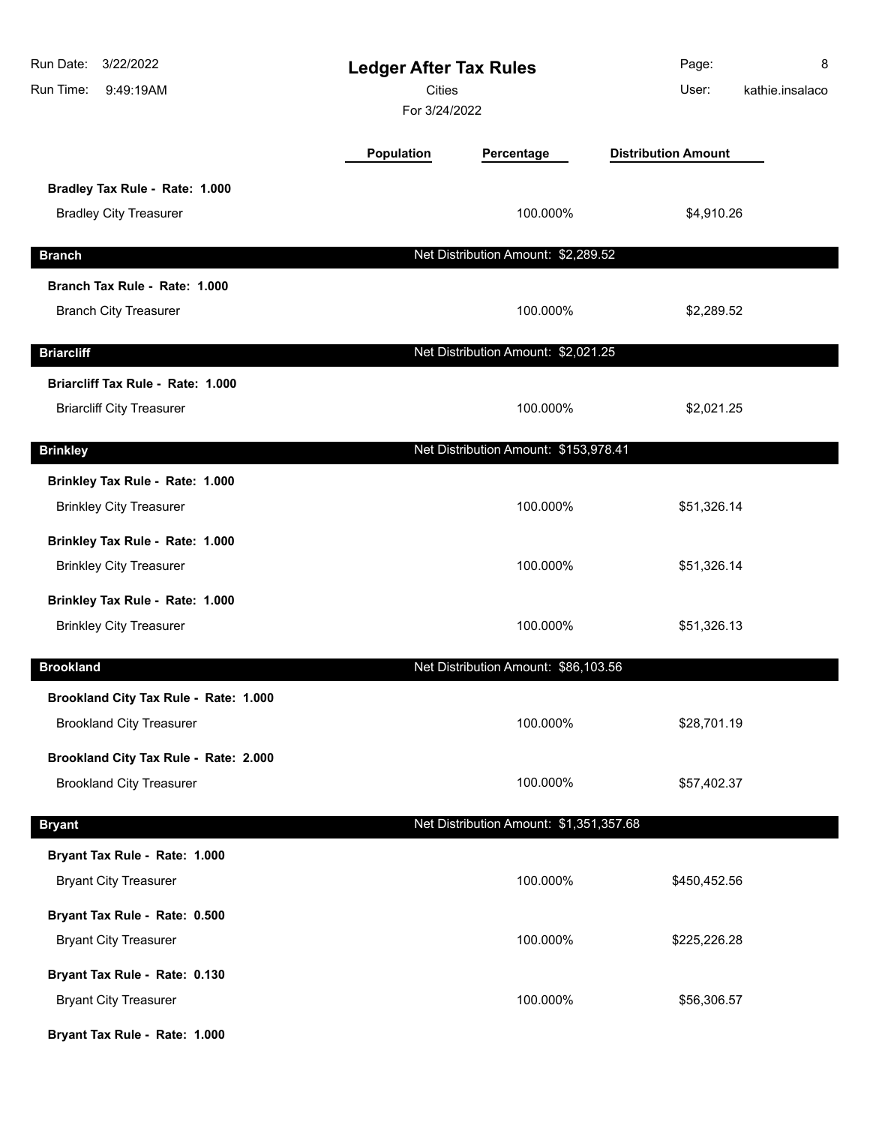| Run Date:<br>3/22/2022<br>Run Time:<br>9:49:19AM | <b>Ledger After Tax Rules</b><br><b>Cities</b><br>For 3/24/2022 |                                         | Page:<br>User:             | 8<br>kathie.insalaco |
|--------------------------------------------------|-----------------------------------------------------------------|-----------------------------------------|----------------------------|----------------------|
|                                                  | <b>Population</b>                                               | Percentage                              | <b>Distribution Amount</b> |                      |
| Bradley Tax Rule - Rate: 1.000                   |                                                                 |                                         |                            |                      |
| <b>Bradley City Treasurer</b>                    |                                                                 | 100.000%                                | \$4,910.26                 |                      |
| <b>Branch</b>                                    |                                                                 | Net Distribution Amount: \$2,289.52     |                            |                      |
| Branch Tax Rule - Rate: 1.000                    |                                                                 |                                         |                            |                      |
| <b>Branch City Treasurer</b>                     |                                                                 | 100.000%                                | \$2,289.52                 |                      |
| <b>Briarcliff</b>                                |                                                                 | Net Distribution Amount: \$2,021.25     |                            |                      |
| Briarcliff Tax Rule - Rate: 1.000                |                                                                 |                                         |                            |                      |
| <b>Briarcliff City Treasurer</b>                 |                                                                 | 100.000%                                | \$2,021.25                 |                      |
| <b>Brinkley</b>                                  |                                                                 | Net Distribution Amount: \$153,978.41   |                            |                      |
| Brinkley Tax Rule - Rate: 1.000                  |                                                                 |                                         |                            |                      |
| <b>Brinkley City Treasurer</b>                   |                                                                 | 100.000%                                | \$51,326.14                |                      |
| Brinkley Tax Rule - Rate: 1.000                  |                                                                 |                                         |                            |                      |
| <b>Brinkley City Treasurer</b>                   |                                                                 | 100.000%                                | \$51,326.14                |                      |
| Brinkley Tax Rule - Rate: 1.000                  |                                                                 |                                         |                            |                      |
| <b>Brinkley City Treasurer</b>                   |                                                                 | 100.000%                                | \$51,326.13                |                      |
| <b>Brookland</b>                                 |                                                                 | Net Distribution Amount: \$86,103.56    |                            |                      |
| Brookland City Tax Rule - Rate: 1.000            |                                                                 |                                         |                            |                      |
| <b>Brookland City Treasurer</b>                  |                                                                 | 100.000%                                | \$28,701.19                |                      |
| Brookland City Tax Rule - Rate: 2.000            |                                                                 |                                         |                            |                      |
| <b>Brookland City Treasurer</b>                  |                                                                 | 100.000%                                | \$57,402.37                |                      |
| <b>Bryant</b>                                    |                                                                 | Net Distribution Amount: \$1,351,357.68 |                            |                      |
| Bryant Tax Rule - Rate: 1.000                    |                                                                 |                                         |                            |                      |
| <b>Bryant City Treasurer</b>                     |                                                                 | 100.000%                                | \$450,452.56               |                      |
| Bryant Tax Rule - Rate: 0.500                    |                                                                 |                                         |                            |                      |
| <b>Bryant City Treasurer</b>                     |                                                                 | 100.000%                                | \$225,226.28               |                      |
| Bryant Tax Rule - Rate: 0.130                    |                                                                 |                                         |                            |                      |
| <b>Bryant City Treasurer</b>                     |                                                                 | 100.000%                                | \$56,306.57                |                      |
| Bryant Tax Rule - Rate: 1.000                    |                                                                 |                                         |                            |                      |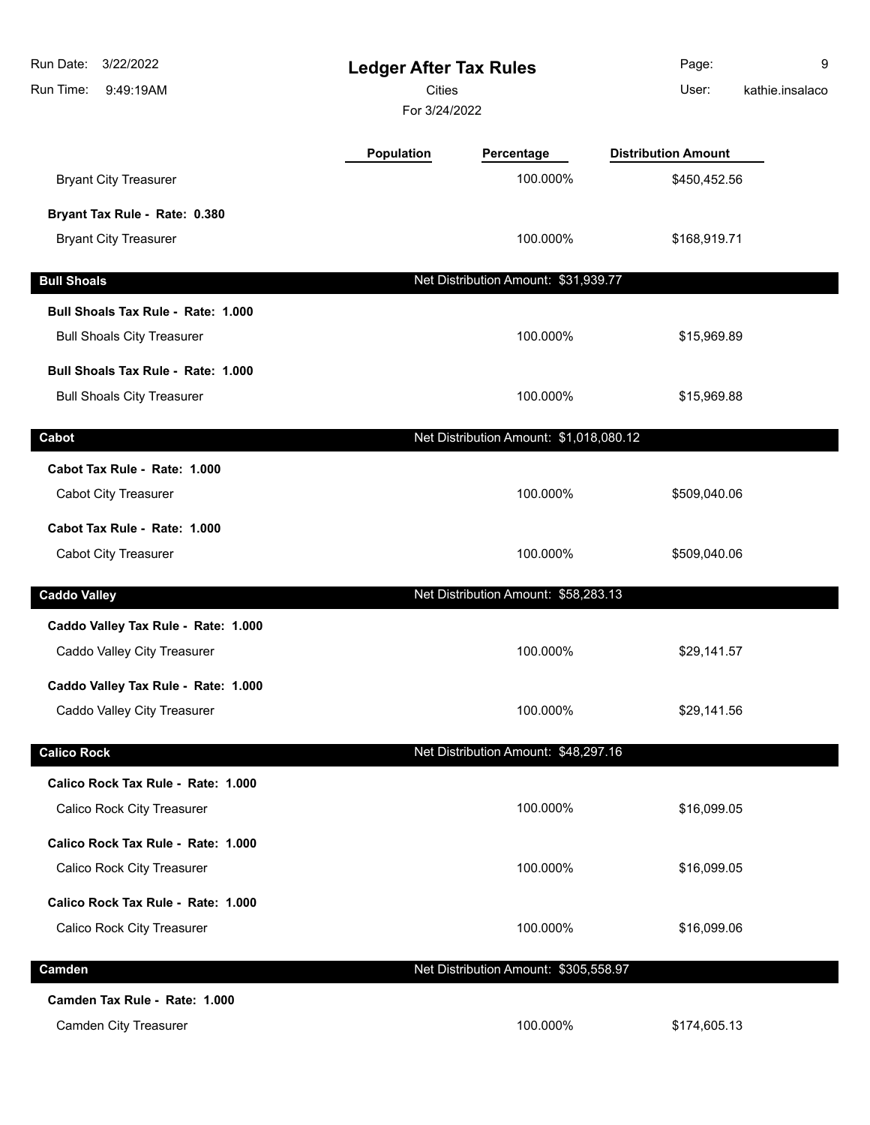| Run Date:<br>3/22/2022<br>Run Time:<br>9:49:19AM | <b>Ledger After Tax Rules</b><br><b>Cities</b><br>For 3/24/2022 |                                         | Page:<br>User:             | 9<br>kathie.insalaco |
|--------------------------------------------------|-----------------------------------------------------------------|-----------------------------------------|----------------------------|----------------------|
|                                                  | <b>Population</b>                                               | Percentage                              | <b>Distribution Amount</b> |                      |
| <b>Bryant City Treasurer</b>                     |                                                                 | 100.000%                                | \$450,452.56               |                      |
| Bryant Tax Rule - Rate: 0.380                    |                                                                 |                                         |                            |                      |
| <b>Bryant City Treasurer</b>                     |                                                                 | 100.000%                                | \$168,919.71               |                      |
| <b>Bull Shoals</b>                               |                                                                 | Net Distribution Amount: \$31,939.77    |                            |                      |
| Bull Shoals Tax Rule - Rate: 1.000               |                                                                 |                                         |                            |                      |
| <b>Bull Shoals City Treasurer</b>                |                                                                 | 100.000%                                | \$15,969.89                |                      |
| Bull Shoals Tax Rule - Rate: 1.000               |                                                                 |                                         |                            |                      |
| <b>Bull Shoals City Treasurer</b>                |                                                                 | 100.000%                                | \$15,969.88                |                      |
| Cabot                                            |                                                                 | Net Distribution Amount: \$1,018,080.12 |                            |                      |
| Cabot Tax Rule - Rate: 1.000                     |                                                                 |                                         |                            |                      |
| <b>Cabot City Treasurer</b>                      |                                                                 | 100.000%                                | \$509,040.06               |                      |
| Cabot Tax Rule - Rate: 1.000                     |                                                                 |                                         |                            |                      |
| Cabot City Treasurer                             |                                                                 | 100.000%                                | \$509,040.06               |                      |
| <b>Caddo Valley</b>                              |                                                                 | Net Distribution Amount: \$58,283.13    |                            |                      |
| Caddo Valley Tax Rule - Rate: 1.000              |                                                                 |                                         |                            |                      |
| Caddo Valley City Treasurer                      |                                                                 | 100.000%                                | \$29,141.57                |                      |
| Caddo Valley Tax Rule - Rate: 1.000              |                                                                 |                                         |                            |                      |
| Caddo Valley City Treasurer                      |                                                                 | 100.000%                                | \$29,141.56                |                      |
| <b>Calico Rock</b>                               |                                                                 | Net Distribution Amount: \$48,297.16    |                            |                      |
| Calico Rock Tax Rule - Rate: 1.000               |                                                                 |                                         |                            |                      |
| Calico Rock City Treasurer                       |                                                                 | 100.000%                                | \$16,099.05                |                      |
| Calico Rock Tax Rule - Rate: 1.000               |                                                                 |                                         |                            |                      |
| Calico Rock City Treasurer                       |                                                                 | 100.000%                                | \$16,099.05                |                      |
| Calico Rock Tax Rule - Rate: 1.000               |                                                                 |                                         |                            |                      |
| Calico Rock City Treasurer                       |                                                                 | 100.000%                                | \$16,099.06                |                      |
| Camden                                           |                                                                 | Net Distribution Amount: \$305,558.97   |                            |                      |
| Camden Tax Rule - Rate: 1.000                    |                                                                 |                                         |                            |                      |
| Camden City Treasurer                            |                                                                 | 100.000%                                | \$174,605.13               |                      |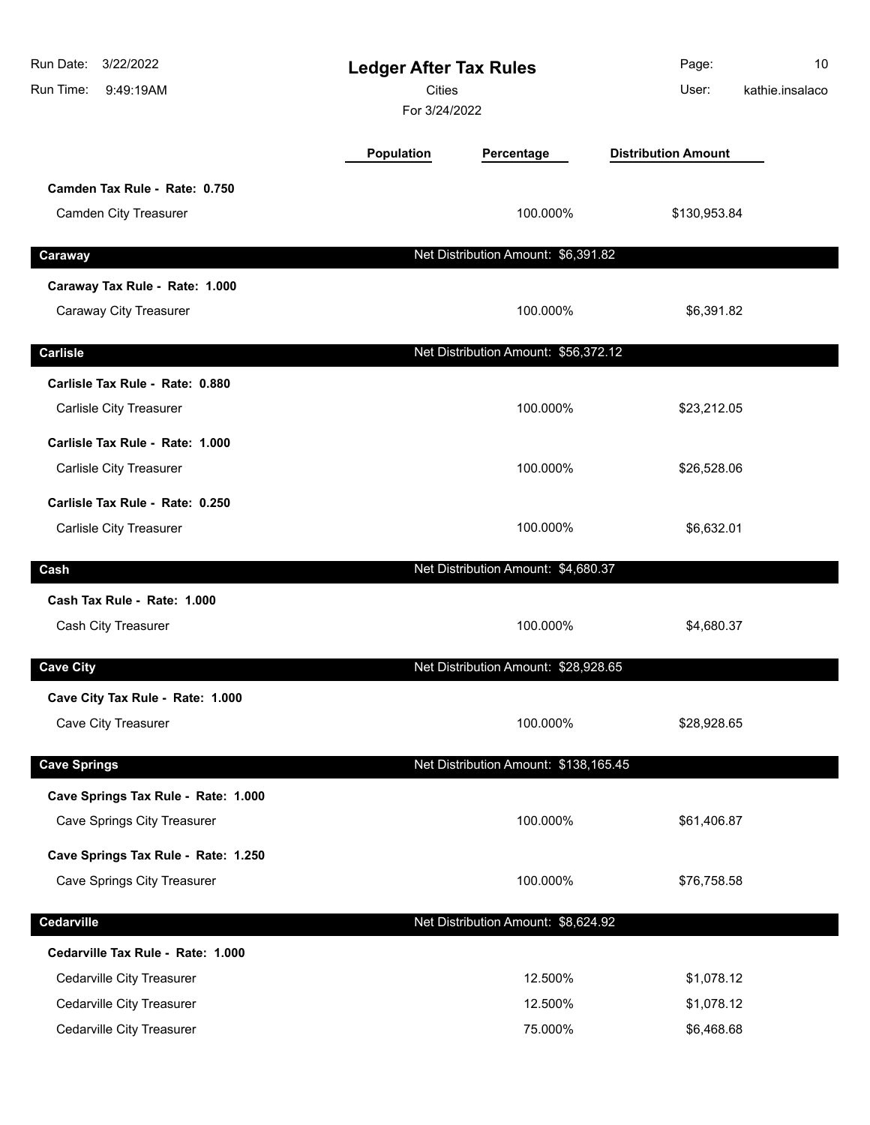| Run Date:<br>3/22/2022<br>Run Time:<br>9:49:19AM | <b>Ledger After Tax Rules</b><br><b>Cities</b><br>For 3/24/2022 |                                       | Page:<br>User:             | 10<br>kathie.insalaco |
|--------------------------------------------------|-----------------------------------------------------------------|---------------------------------------|----------------------------|-----------------------|
|                                                  | Population                                                      | Percentage                            | <b>Distribution Amount</b> |                       |
| Camden Tax Rule - Rate: 0.750                    |                                                                 |                                       |                            |                       |
| Camden City Treasurer                            |                                                                 | 100.000%                              | \$130,953.84               |                       |
| Caraway                                          |                                                                 | Net Distribution Amount: \$6,391.82   |                            |                       |
| Caraway Tax Rule - Rate: 1.000                   |                                                                 |                                       |                            |                       |
| Caraway City Treasurer                           |                                                                 | 100.000%                              | \$6,391.82                 |                       |
| <b>Carlisle</b>                                  |                                                                 | Net Distribution Amount: \$56,372.12  |                            |                       |
| Carlisle Tax Rule - Rate: 0.880                  |                                                                 |                                       |                            |                       |
| Carlisle City Treasurer                          |                                                                 | 100.000%                              | \$23,212.05                |                       |
| Carlisle Tax Rule - Rate: 1.000                  |                                                                 |                                       |                            |                       |
| Carlisle City Treasurer                          |                                                                 | 100.000%                              | \$26,528.06                |                       |
| Carlisle Tax Rule - Rate: 0.250                  |                                                                 |                                       |                            |                       |
| Carlisle City Treasurer                          |                                                                 | 100.000%                              | \$6,632.01                 |                       |
| Cash                                             |                                                                 | Net Distribution Amount: \$4,680.37   |                            |                       |
| Cash Tax Rule - Rate: 1.000                      |                                                                 |                                       |                            |                       |
| Cash City Treasurer                              |                                                                 | 100.000%                              | \$4,680.37                 |                       |
| <b>Cave City</b>                                 |                                                                 | Net Distribution Amount: \$28,928.65  |                            |                       |
| Cave City Tax Rule - Rate: 1.000                 |                                                                 |                                       |                            |                       |
| Cave City Treasurer                              |                                                                 | 100.000%                              | \$28,928.65                |                       |
| <b>Cave Springs</b>                              |                                                                 | Net Distribution Amount: \$138,165.45 |                            |                       |
| Cave Springs Tax Rule - Rate: 1.000              |                                                                 |                                       |                            |                       |
| Cave Springs City Treasurer                      |                                                                 | 100.000%                              | \$61,406.87                |                       |
| Cave Springs Tax Rule - Rate: 1.250              |                                                                 |                                       |                            |                       |
| Cave Springs City Treasurer                      |                                                                 | 100.000%                              | \$76,758.58                |                       |
| Cedarville                                       |                                                                 | Net Distribution Amount: \$8,624.92   |                            |                       |
| Cedarville Tax Rule - Rate: 1.000                |                                                                 |                                       |                            |                       |
| Cedarville City Treasurer                        |                                                                 | 12.500%                               | \$1,078.12                 |                       |
| Cedarville City Treasurer                        |                                                                 | 12.500%                               | \$1,078.12                 |                       |
| Cedarville City Treasurer                        |                                                                 | 75.000%                               | \$6,468.68                 |                       |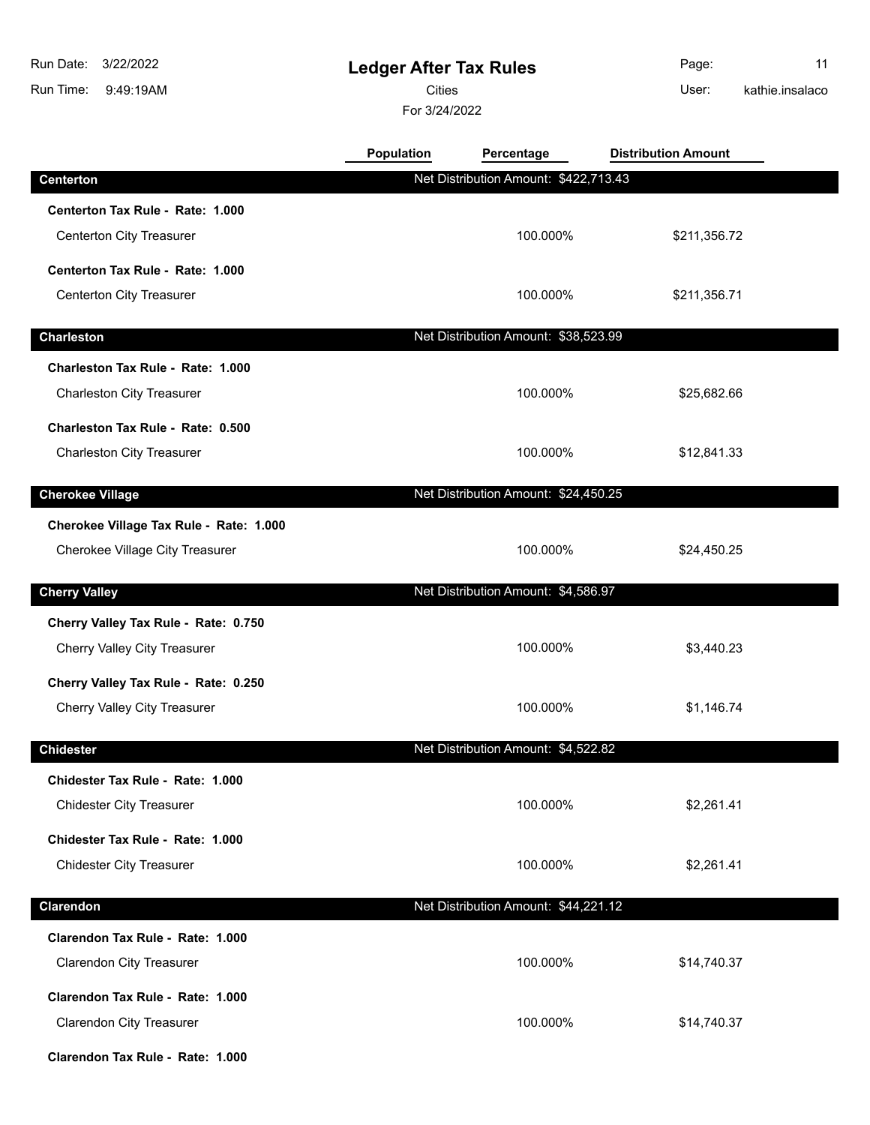9:49:19AM Run Time: 3/22/2022 Run Date:

## **Ledger After Tax Rules**

Cities **User:** 

For 3/24/2022

Page: 11 kathie.insalaco

|                                         | <b>Population</b> | Percentage                            | <b>Distribution Amount</b> |  |
|-----------------------------------------|-------------------|---------------------------------------|----------------------------|--|
| <b>Centerton</b>                        |                   | Net Distribution Amount: \$422,713.43 |                            |  |
| Centerton Tax Rule - Rate: 1.000        |                   |                                       |                            |  |
| Centerton City Treasurer                |                   | 100.000%                              | \$211,356.72               |  |
| Centerton Tax Rule - Rate: 1.000        |                   |                                       |                            |  |
| <b>Centerton City Treasurer</b>         |                   | 100.000%                              | \$211,356.71               |  |
| <b>Charleston</b>                       |                   | Net Distribution Amount: \$38,523.99  |                            |  |
| Charleston Tax Rule - Rate: 1.000       |                   |                                       |                            |  |
| <b>Charleston City Treasurer</b>        |                   | 100.000%                              | \$25,682.66                |  |
| Charleston Tax Rule - Rate: 0.500       |                   |                                       |                            |  |
| <b>Charleston City Treasurer</b>        |                   | 100.000%                              | \$12,841.33                |  |
| <b>Cherokee Village</b>                 |                   | Net Distribution Amount: \$24,450.25  |                            |  |
| Cherokee Village Tax Rule - Rate: 1.000 |                   |                                       |                            |  |
| Cherokee Village City Treasurer         |                   | 100.000%                              | \$24,450.25                |  |
| <b>Cherry Valley</b>                    |                   | Net Distribution Amount: \$4,586.97   |                            |  |
| Cherry Valley Tax Rule - Rate: 0.750    |                   |                                       |                            |  |
| Cherry Valley City Treasurer            |                   | 100.000%                              | \$3,440.23                 |  |
| Cherry Valley Tax Rule - Rate: 0.250    |                   |                                       |                            |  |
| Cherry Valley City Treasurer            |                   | 100.000%                              | \$1,146.74                 |  |
| <b>Chidester</b>                        |                   | Net Distribution Amount: \$4,522.82   |                            |  |
| Chidester Tax Rule - Rate: 1.000        |                   |                                       |                            |  |
| <b>Chidester City Treasurer</b>         |                   | 100.000%                              | \$2,261.41                 |  |
| Chidester Tax Rule - Rate: 1.000        |                   |                                       |                            |  |
| <b>Chidester City Treasurer</b>         |                   | 100.000%                              | \$2,261.41                 |  |
| Clarendon                               |                   | Net Distribution Amount: \$44,221.12  |                            |  |
| Clarendon Tax Rule - Rate: 1.000        |                   |                                       |                            |  |
| <b>Clarendon City Treasurer</b>         |                   | 100.000%                              | \$14,740.37                |  |
| Clarendon Tax Rule - Rate: 1.000        |                   |                                       |                            |  |
| <b>Clarendon City Treasurer</b>         |                   | 100.000%                              | \$14,740.37                |  |
| Clarendon Tax Rule - Rate: 1.000        |                   |                                       |                            |  |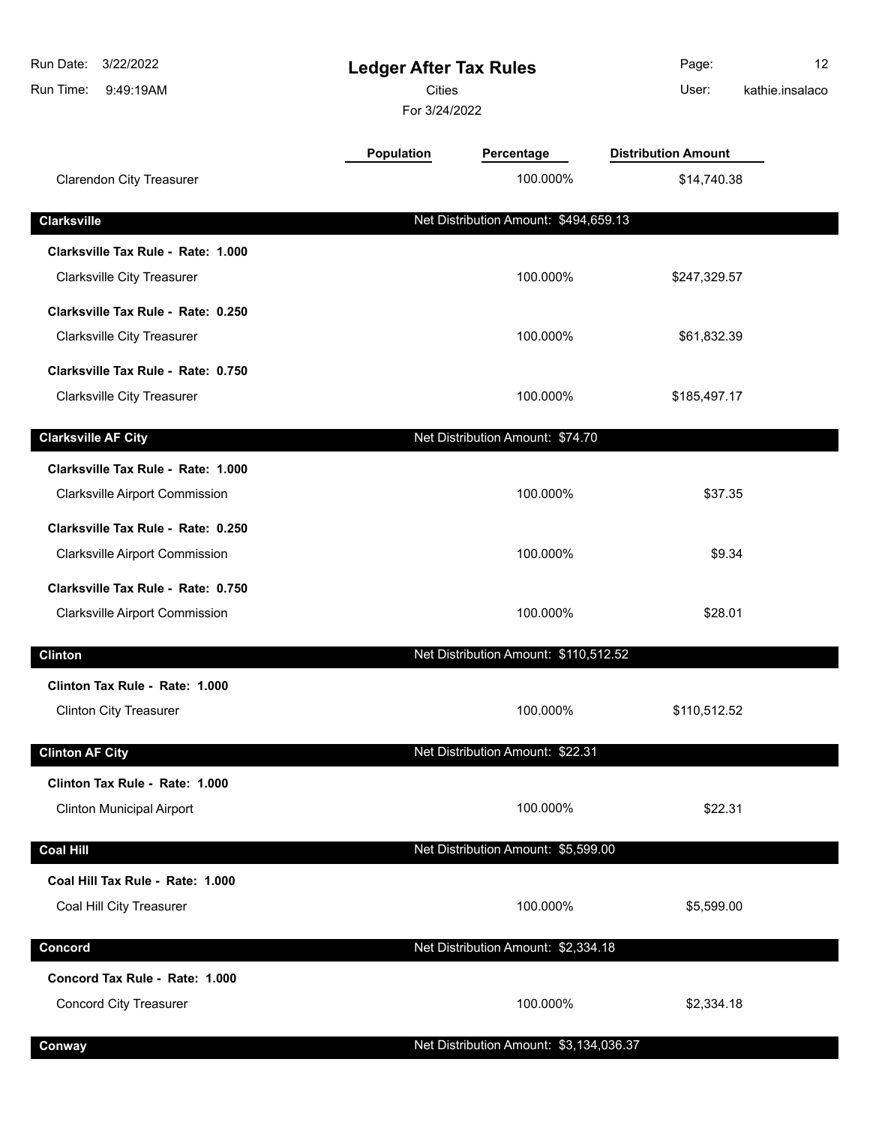| Run Date:<br>3/22/2022<br>Run Time:<br>9:49:19AM                |            | <b>Ledger After Tax Rules</b><br>Cities<br>For 3/24/2022 |                            | 12<br>kathie.insalaco |
|-----------------------------------------------------------------|------------|----------------------------------------------------------|----------------------------|-----------------------|
|                                                                 | Population | Percentage                                               | <b>Distribution Amount</b> |                       |
| <b>Clarendon City Treasurer</b>                                 |            | 100.000%                                                 | \$14,740.38                |                       |
| <b>Clarksville</b>                                              |            | Net Distribution Amount: \$494,659.13                    |                            |                       |
| Clarksville Tax Rule - Rate: 1.000                              |            |                                                          |                            |                       |
| <b>Clarksville City Treasurer</b>                               |            | 100.000%                                                 | \$247,329.57               |                       |
| Clarksville Tax Rule - Rate: 0.250                              |            |                                                          |                            |                       |
| <b>Clarksville City Treasurer</b>                               |            | 100.000%                                                 | \$61,832.39                |                       |
| Clarksville Tax Rule - Rate: 0.750                              |            |                                                          |                            |                       |
| <b>Clarksville City Treasurer</b>                               |            | 100.000%                                                 | \$185,497.17               |                       |
| <b>Clarksville AF City</b>                                      |            | Net Distribution Amount: \$74.70                         |                            |                       |
| Clarksville Tax Rule - Rate: 1.000                              |            |                                                          |                            |                       |
| <b>Clarksville Airport Commission</b>                           |            | 100.000%                                                 | \$37.35                    |                       |
| Clarksville Tax Rule - Rate: 0.250                              |            |                                                          |                            |                       |
| <b>Clarksville Airport Commission</b>                           |            | 100.000%                                                 | \$9.34                     |                       |
| Clarksville Tax Rule - Rate: 0.750                              |            |                                                          |                            |                       |
| <b>Clarksville Airport Commission</b>                           |            | 100.000%                                                 | \$28.01                    |                       |
| <b>Clinton</b>                                                  |            | Net Distribution Amount: \$110,512.52                    |                            |                       |
| Clinton Tax Rule - Rate: 1.000                                  |            |                                                          |                            |                       |
| <b>Clinton City Treasurer</b>                                   |            | 100.000%                                                 | \$110,512.52               |                       |
| <b>Clinton AF City</b>                                          |            | Net Distribution Amount: \$22.31                         |                            |                       |
| Clinton Tax Rule - Rate: 1.000                                  |            |                                                          |                            |                       |
| <b>Clinton Municipal Airport</b>                                |            | 100.000%                                                 | \$22.31                    |                       |
| <b>Coal Hill</b>                                                |            | Net Distribution Amount: \$5,599.00                      |                            |                       |
| Coal Hill Tax Rule - Rate: 1.000                                |            |                                                          |                            |                       |
| Coal Hill City Treasurer                                        |            | 100.000%                                                 | \$5,599.00                 |                       |
|                                                                 |            |                                                          |                            |                       |
| Concord                                                         |            | Net Distribution Amount: \$2,334.18                      |                            |                       |
| Concord Tax Rule - Rate: 1.000<br><b>Concord City Treasurer</b> |            | 100.000%                                                 | \$2,334.18                 |                       |
|                                                                 |            |                                                          |                            |                       |
| Conway                                                          |            | Net Distribution Amount: \$3,134,036.37                  |                            |                       |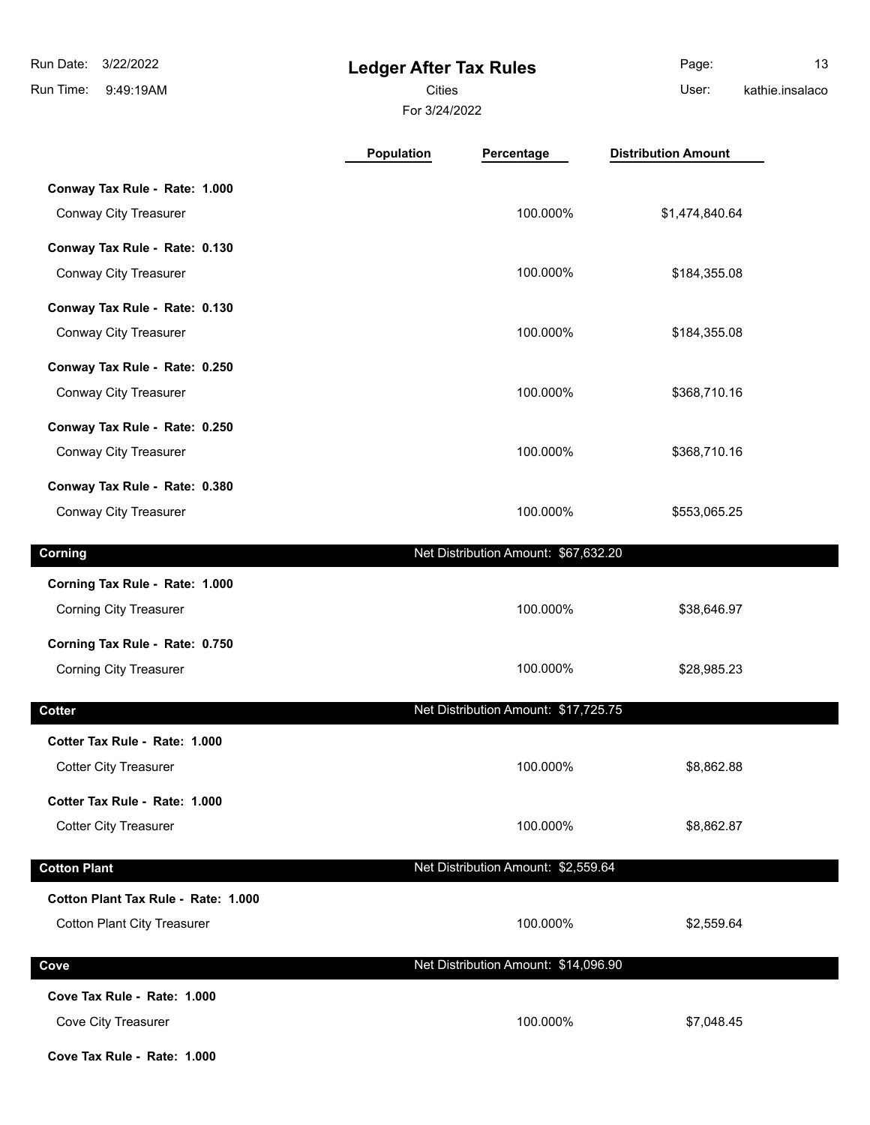**Ledger After Tax Rules** 9:49:19AM Run Time: 3/22/2022 Run Date: Cities User:

**Conway Tax Rule - Rate: 1.000**

For 3/24/2022

Page: 13

kathie.insalaco

**Population Percentage Distribution Amount**

| Conway City Treasurer          | 100.000%                             | \$1,474,840.64 |  |
|--------------------------------|--------------------------------------|----------------|--|
| Conway Tax Rule - Rate: 0.130  |                                      |                |  |
| Conway City Treasurer          | 100.000%                             | \$184,355.08   |  |
| Conway Tax Rule - Rate: 0.130  |                                      |                |  |
| Conway City Treasurer          | 100.000%                             | \$184,355.08   |  |
| Conway Tax Rule - Rate: 0.250  |                                      |                |  |
| Conway City Treasurer          | 100.000%                             | \$368,710.16   |  |
| Conway Tax Rule - Rate: 0.250  |                                      |                |  |
| Conway City Treasurer          | 100.000%                             | \$368,710.16   |  |
| Conway Tax Rule - Rate: 0.380  |                                      |                |  |
| Conway City Treasurer          | 100.000%                             | \$553,065.25   |  |
| Corning                        | Net Distribution Amount: \$67,632.20 |                |  |
| Corning Tax Rule - Rate: 1.000 |                                      |                |  |
| <b>Corning City Treasurer</b>  | 100.000%                             | \$38,646.97    |  |
| Corning Tax Rule - Rate: 0.750 |                                      |                |  |
| <b>Corning City Treasurer</b>  | 100.000%                             | \$28,985.23    |  |

| Cotter                              | Net Distribution Amount: \$17,725.75 |            |
|-------------------------------------|--------------------------------------|------------|
| Cotter Tax Rule - Rate: 1.000       |                                      |            |
| <b>Cotter City Treasurer</b>        | 100.000%                             | \$8,862.88 |
| Cotter Tax Rule - Rate: 1.000       |                                      |            |
| <b>Cotter City Treasurer</b>        | 100.000%                             | \$8,862.87 |
| <b>Cotton Plant</b>                 | Net Distribution Amount: \$2,559.64  |            |
|                                     |                                      |            |
| Cotton Plant Tax Rule - Rate: 1.000 |                                      |            |
| <b>Cotton Plant City Treasurer</b>  | 100.000%                             | \$2,559.64 |
|                                     |                                      |            |
| Cove                                | Net Distribution Amount: \$14,096.90 |            |
| Cove Tax Rule - Rate: 1.000         |                                      |            |
| Cove City Treasurer                 | 100.000%                             | \$7,048.45 |

**Cove Tax Rule - Rate: 1.000**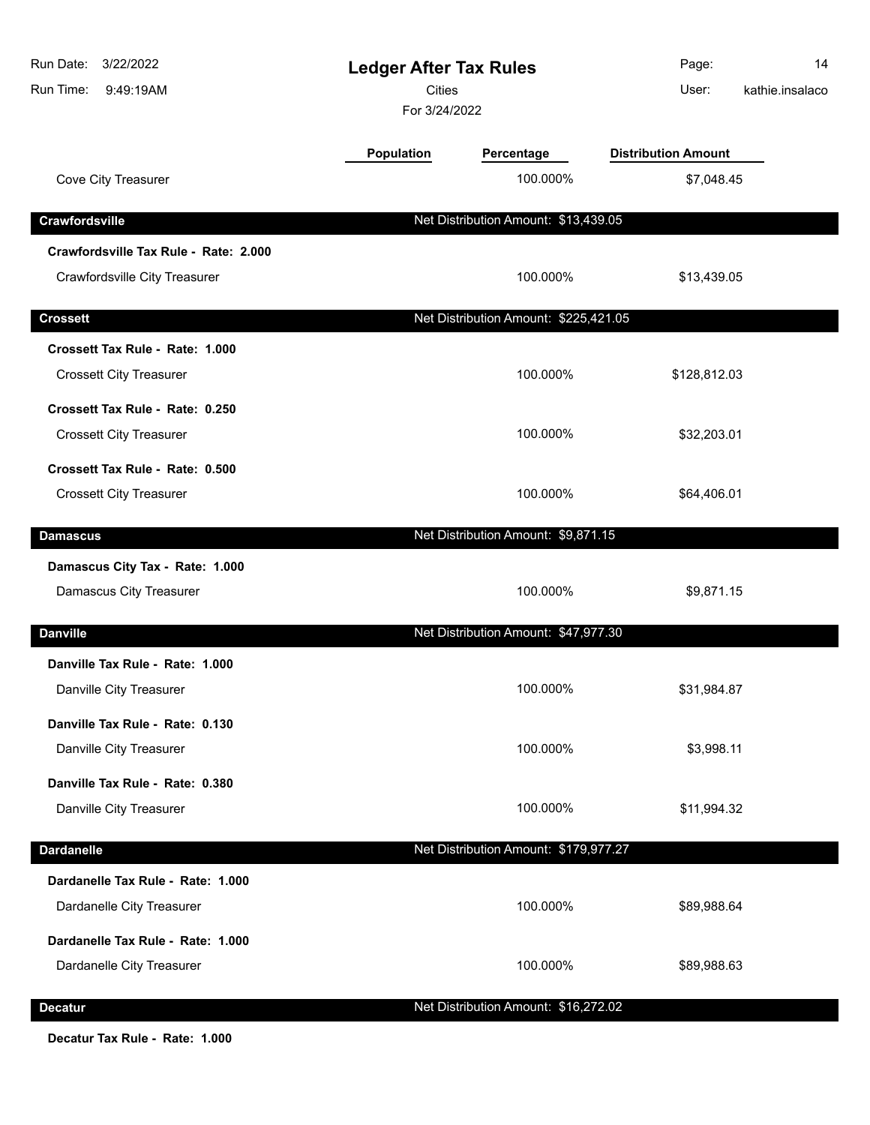| Run Date: 3/22/2022<br>Run Time:<br>9:49:19AM | <b>Ledger After Tax Rules</b><br><b>Cities</b><br>For 3/24/2022 |                                       | Page:<br>User:             | 14<br>kathie.insalaco |
|-----------------------------------------------|-----------------------------------------------------------------|---------------------------------------|----------------------------|-----------------------|
|                                               | Population                                                      | Percentage                            | <b>Distribution Amount</b> |                       |
| Cove City Treasurer                           |                                                                 | 100.000%                              | \$7,048.45                 |                       |
| Crawfordsville                                |                                                                 | Net Distribution Amount: \$13,439.05  |                            |                       |
| Crawfordsville Tax Rule - Rate: 2.000         |                                                                 |                                       |                            |                       |
| Crawfordsville City Treasurer                 |                                                                 | 100.000%                              | \$13,439.05                |                       |
| <b>Crossett</b>                               |                                                                 | Net Distribution Amount: \$225,421.05 |                            |                       |
| Crossett Tax Rule - Rate: 1.000               |                                                                 |                                       |                            |                       |
| <b>Crossett City Treasurer</b>                |                                                                 | 100.000%                              | \$128,812.03               |                       |
| Crossett Tax Rule - Rate: 0.250               |                                                                 |                                       |                            |                       |
| <b>Crossett City Treasurer</b>                |                                                                 | 100.000%                              | \$32,203.01                |                       |
| Crossett Tax Rule - Rate: 0.500               |                                                                 |                                       |                            |                       |
| <b>Crossett City Treasurer</b>                |                                                                 | 100.000%                              | \$64,406.01                |                       |
| <b>Damascus</b>                               |                                                                 | Net Distribution Amount: \$9,871.15   |                            |                       |
| Damascus City Tax - Rate: 1.000               |                                                                 |                                       |                            |                       |
| Damascus City Treasurer                       |                                                                 | 100.000%                              | \$9,871.15                 |                       |
| <b>Danville</b>                               |                                                                 | Net Distribution Amount: \$47,977.30  |                            |                       |
| Danville Tax Rule - Rate: 1.000               |                                                                 |                                       |                            |                       |
| Danville City Treasurer                       |                                                                 | 100.000%                              | \$31,984.87                |                       |
| Danville Tax Rule - Rate: 0.130               |                                                                 |                                       |                            |                       |
| Danville City Treasurer                       |                                                                 | 100.000%                              | \$3,998.11                 |                       |
| Danville Tax Rule - Rate: 0.380               |                                                                 |                                       |                            |                       |
| Danville City Treasurer                       |                                                                 | 100.000%                              | \$11,994.32                |                       |
| <b>Dardanelle</b>                             |                                                                 | Net Distribution Amount: \$179,977.27 |                            |                       |
| Dardanelle Tax Rule - Rate: 1.000             |                                                                 |                                       |                            |                       |
| Dardanelle City Treasurer                     |                                                                 | 100.000%                              | \$89,988.64                |                       |
| Dardanelle Tax Rule - Rate: 1.000             |                                                                 |                                       |                            |                       |
| Dardanelle City Treasurer                     |                                                                 | 100.000%                              | \$89,988.63                |                       |
| <b>Decatur</b>                                |                                                                 | Net Distribution Amount: \$16,272.02  |                            |                       |

**Decatur Tax Rule - Rate: 1.000**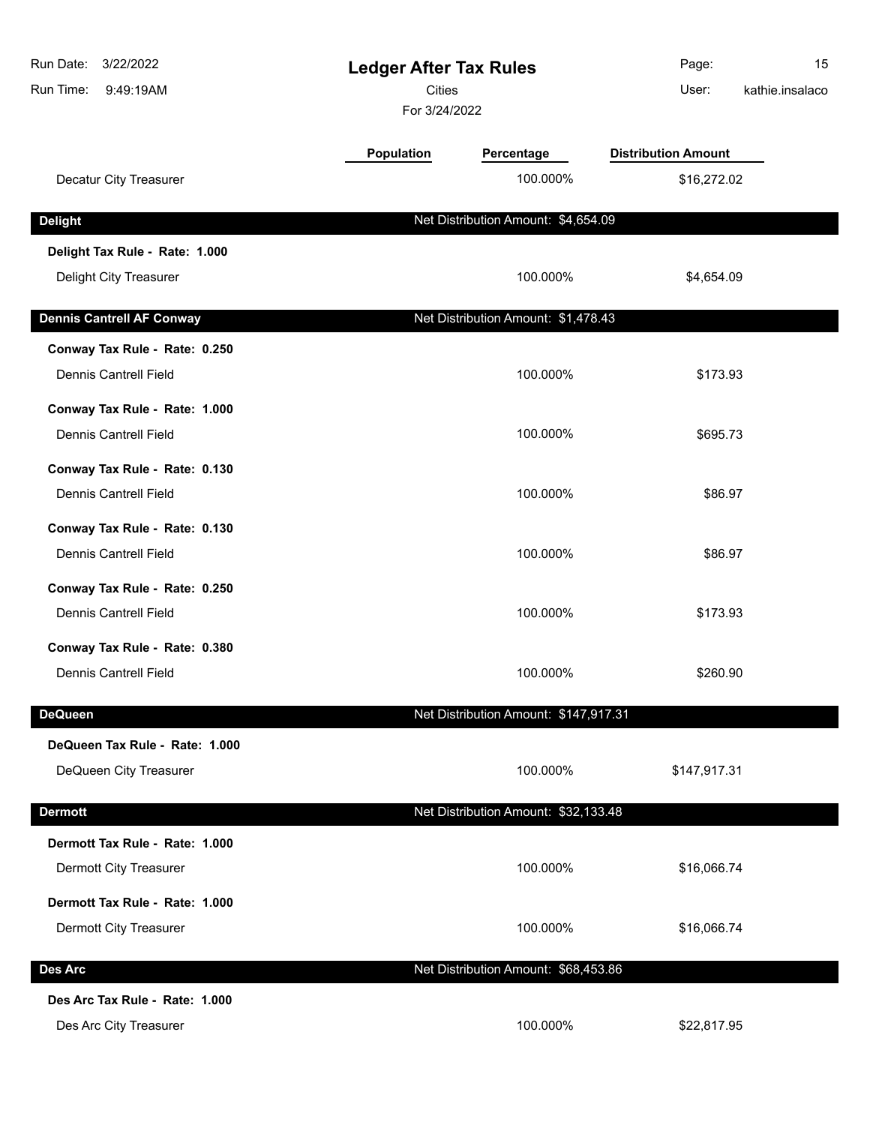| Run Date:<br>3/22/2022<br>Run Time:<br>9:49:19AM | <b>Ledger After Tax Rules</b><br><b>Cities</b><br>For 3/24/2022 |                                       | Page:<br>User:             | 15<br>kathie.insalaco |
|--------------------------------------------------|-----------------------------------------------------------------|---------------------------------------|----------------------------|-----------------------|
|                                                  | Population                                                      | Percentage                            | <b>Distribution Amount</b> |                       |
| Decatur City Treasurer                           |                                                                 | 100.000%                              | \$16,272.02                |                       |
| <b>Delight</b>                                   |                                                                 | Net Distribution Amount: \$4,654.09   |                            |                       |
| Delight Tax Rule - Rate: 1.000                   |                                                                 |                                       |                            |                       |
| Delight City Treasurer                           |                                                                 | 100.000%                              | \$4,654.09                 |                       |
| <b>Dennis Cantrell AF Conway</b>                 |                                                                 | Net Distribution Amount: \$1,478.43   |                            |                       |
| Conway Tax Rule - Rate: 0.250                    |                                                                 |                                       |                            |                       |
| <b>Dennis Cantrell Field</b>                     |                                                                 | 100.000%                              | \$173.93                   |                       |
| Conway Tax Rule - Rate: 1.000                    |                                                                 |                                       |                            |                       |
| <b>Dennis Cantrell Field</b>                     |                                                                 | 100.000%                              | \$695.73                   |                       |
| Conway Tax Rule - Rate: 0.130                    |                                                                 |                                       |                            |                       |
| <b>Dennis Cantrell Field</b>                     |                                                                 | 100.000%                              | \$86.97                    |                       |
| Conway Tax Rule - Rate: 0.130                    |                                                                 |                                       |                            |                       |
| <b>Dennis Cantrell Field</b>                     |                                                                 | 100.000%                              | \$86.97                    |                       |
| Conway Tax Rule - Rate: 0.250                    |                                                                 |                                       |                            |                       |
| <b>Dennis Cantrell Field</b>                     |                                                                 | 100.000%                              | \$173.93                   |                       |
| Conway Tax Rule - Rate: 0.380                    |                                                                 |                                       |                            |                       |
| <b>Dennis Cantrell Field</b>                     |                                                                 | 100.000%                              | \$260.90                   |                       |
| <b>DeQueen</b>                                   |                                                                 | Net Distribution Amount: \$147,917.31 |                            |                       |
| DeQueen Tax Rule - Rate: 1.000                   |                                                                 |                                       |                            |                       |
| DeQueen City Treasurer                           |                                                                 | 100.000%                              | \$147,917.31               |                       |
| <b>Dermott</b>                                   |                                                                 | Net Distribution Amount: \$32,133.48  |                            |                       |
| Dermott Tax Rule - Rate: 1.000                   |                                                                 |                                       |                            |                       |
| Dermott City Treasurer                           |                                                                 | 100.000%                              | \$16,066.74                |                       |
| Dermott Tax Rule - Rate: 1.000                   |                                                                 |                                       |                            |                       |
| Dermott City Treasurer                           |                                                                 | 100.000%                              | \$16,066.74                |                       |
|                                                  |                                                                 |                                       |                            |                       |
| <b>Des Arc</b>                                   |                                                                 | Net Distribution Amount: \$68,453.86  |                            |                       |
| Des Arc Tax Rule - Rate: 1.000                   |                                                                 |                                       |                            |                       |
| Des Arc City Treasurer                           |                                                                 | 100.000%                              | \$22,817.95                |                       |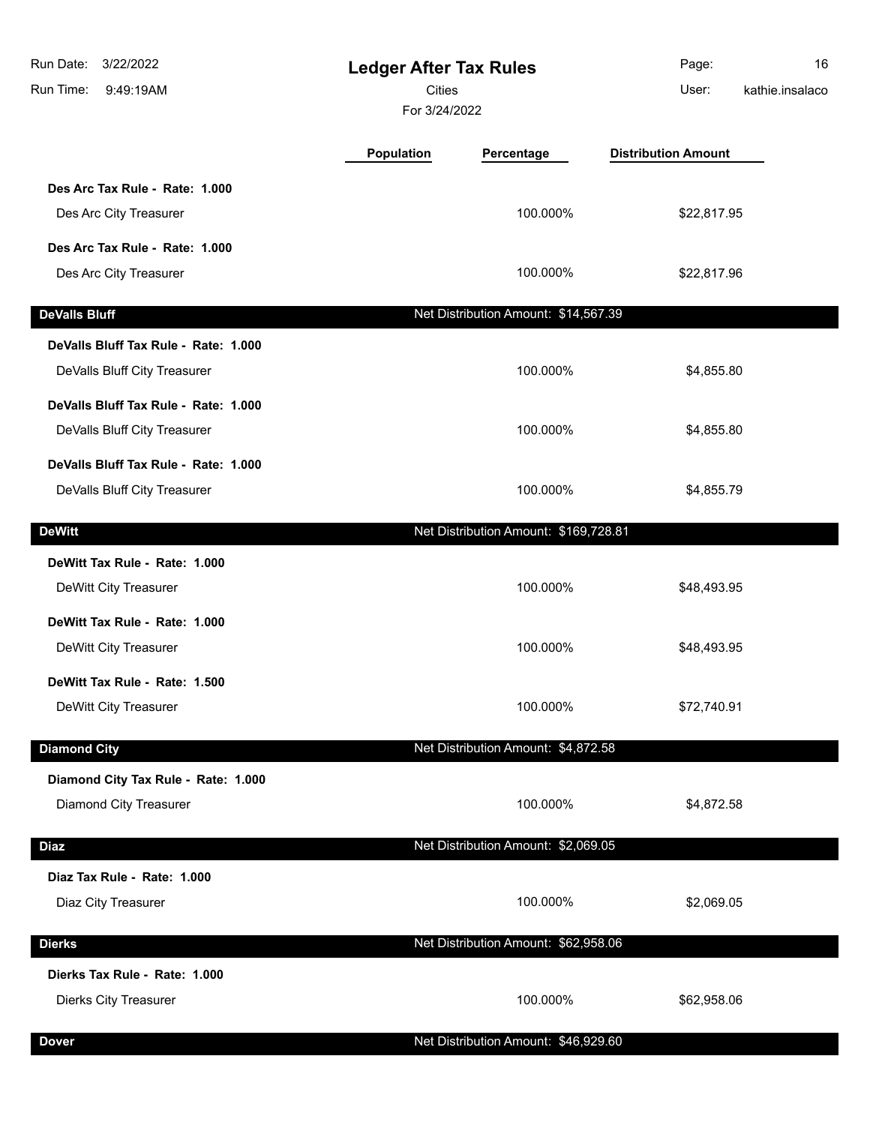| Run Date:<br>3/22/2022<br>Run Time:<br>9:49:19AM                     | <b>Ledger After Tax Rules</b><br><b>Cities</b><br>For 3/24/2022 |                                       | Page:<br>User:             | 16<br>kathie.insalaco |
|----------------------------------------------------------------------|-----------------------------------------------------------------|---------------------------------------|----------------------------|-----------------------|
|                                                                      | Population                                                      | Percentage                            | <b>Distribution Amount</b> |                       |
| Des Arc Tax Rule - Rate: 1.000<br>Des Arc City Treasurer             |                                                                 | 100.000%                              | \$22,817.95                |                       |
| Des Arc Tax Rule - Rate: 1.000<br>Des Arc City Treasurer             |                                                                 | 100.000%                              | \$22,817.96                |                       |
| <b>DeValls Bluff</b>                                                 |                                                                 | Net Distribution Amount: \$14,567.39  |                            |                       |
| DeValls Bluff Tax Rule - Rate: 1.000<br>DeValls Bluff City Treasurer |                                                                 | 100.000%                              | \$4,855.80                 |                       |
| DeValls Bluff Tax Rule - Rate: 1.000<br>DeValls Bluff City Treasurer |                                                                 | 100.000%                              | \$4,855.80                 |                       |
| DeValls Bluff Tax Rule - Rate: 1.000<br>DeValls Bluff City Treasurer |                                                                 | 100.000%                              | \$4,855.79                 |                       |
| <b>DeWitt</b>                                                        |                                                                 | Net Distribution Amount: \$169,728.81 |                            |                       |
| DeWitt Tax Rule - Rate: 1.000<br>DeWitt City Treasurer               |                                                                 | 100.000%                              | \$48,493.95                |                       |
| DeWitt Tax Rule - Rate: 1.000<br>DeWitt City Treasurer               |                                                                 | 100.000%                              | \$48,493.95                |                       |
| DeWitt Tax Rule - Rate: 1.500<br>DeWitt City Treasurer               |                                                                 | 100.000%                              | \$72,740.91                |                       |
| <b>Diamond City</b>                                                  |                                                                 | Net Distribution Amount: \$4,872.58   |                            |                       |
| Diamond City Tax Rule - Rate: 1.000<br>Diamond City Treasurer        |                                                                 | 100.000%                              | \$4,872.58                 |                       |
| <b>Diaz</b>                                                          |                                                                 | Net Distribution Amount: \$2,069.05   |                            |                       |
| Diaz Tax Rule - Rate: 1.000<br>Diaz City Treasurer                   |                                                                 | 100.000%                              | \$2,069.05                 |                       |
| <b>Dierks</b>                                                        |                                                                 | Net Distribution Amount: \$62,958.06  |                            |                       |
| Dierks Tax Rule - Rate: 1.000<br><b>Dierks City Treasurer</b>        |                                                                 | 100.000%                              | \$62,958.06                |                       |
| <b>Dover</b>                                                         |                                                                 | Net Distribution Amount: \$46,929.60  |                            |                       |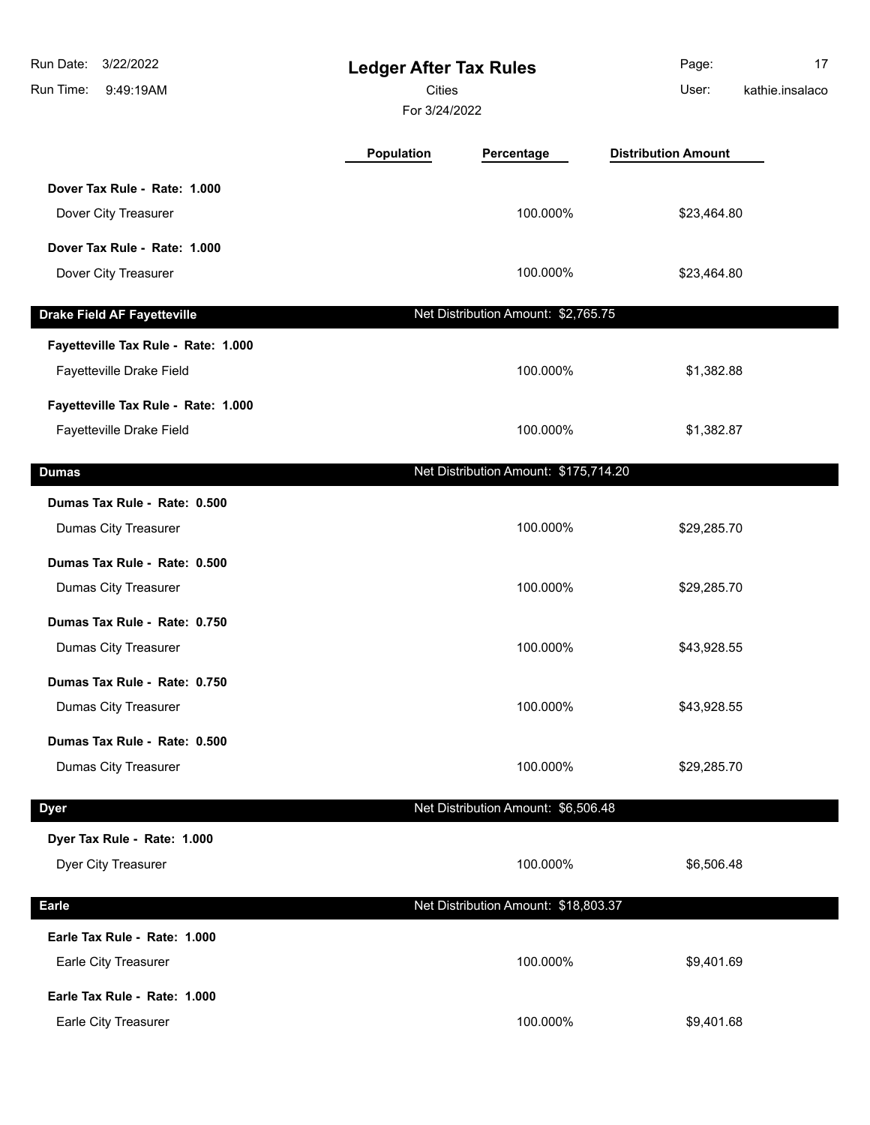| 3/22/2022<br>Run Date:<br>Run Time:<br>9:49:19AM | <b>Ledger After Tax Rules</b><br><b>Cities</b><br>For 3/24/2022 |                                       | Page:<br>User:             | 17<br>kathie.insalaco |
|--------------------------------------------------|-----------------------------------------------------------------|---------------------------------------|----------------------------|-----------------------|
|                                                  | <b>Population</b>                                               | Percentage                            | <b>Distribution Amount</b> |                       |
| Dover Tax Rule - Rate: 1.000                     |                                                                 |                                       |                            |                       |
| Dover City Treasurer                             |                                                                 | 100.000%                              | \$23,464.80                |                       |
| Dover Tax Rule - Rate: 1.000                     |                                                                 |                                       |                            |                       |
| Dover City Treasurer                             |                                                                 | 100.000%                              | \$23,464.80                |                       |
| <b>Drake Field AF Fayetteville</b>               |                                                                 | Net Distribution Amount: \$2,765.75   |                            |                       |
| Fayetteville Tax Rule - Rate: 1.000              |                                                                 |                                       |                            |                       |
| Fayetteville Drake Field                         |                                                                 | 100.000%                              | \$1,382.88                 |                       |
| Fayetteville Tax Rule - Rate: 1.000              |                                                                 |                                       |                            |                       |
| Fayetteville Drake Field                         |                                                                 | 100.000%                              | \$1,382.87                 |                       |
| <b>Dumas</b>                                     |                                                                 | Net Distribution Amount: \$175,714.20 |                            |                       |
| Dumas Tax Rule - Rate: 0.500                     |                                                                 |                                       |                            |                       |
| Dumas City Treasurer                             |                                                                 | 100.000%                              | \$29,285.70                |                       |
| Dumas Tax Rule - Rate: 0.500                     |                                                                 |                                       |                            |                       |
| Dumas City Treasurer                             |                                                                 | 100.000%                              | \$29,285.70                |                       |
| Dumas Tax Rule - Rate: 0.750                     |                                                                 |                                       |                            |                       |
| Dumas City Treasurer                             |                                                                 | 100.000%                              | \$43,928.55                |                       |
| Dumas Tax Rule - Rate: 0.750                     |                                                                 |                                       |                            |                       |
| Dumas City Treasurer                             |                                                                 | 100.000%                              | \$43,928.55                |                       |
| Dumas Tax Rule - Rate: 0.500                     |                                                                 |                                       |                            |                       |
| Dumas City Treasurer                             |                                                                 | 100.000%                              | \$29,285.70                |                       |
| <b>Dyer</b>                                      |                                                                 | Net Distribution Amount: \$6,506.48   |                            |                       |
| Dyer Tax Rule - Rate: 1.000                      |                                                                 |                                       |                            |                       |
| Dyer City Treasurer                              |                                                                 | 100.000%                              | \$6,506.48                 |                       |
|                                                  |                                                                 |                                       |                            |                       |
| <b>Earle</b>                                     |                                                                 | Net Distribution Amount: \$18,803.37  |                            |                       |
| Earle Tax Rule - Rate: 1.000                     |                                                                 |                                       |                            |                       |
| Earle City Treasurer                             |                                                                 | 100.000%                              | \$9,401.69                 |                       |
| Earle Tax Rule - Rate: 1.000                     |                                                                 |                                       |                            |                       |
| Earle City Treasurer                             |                                                                 | 100.000%                              | \$9,401.68                 |                       |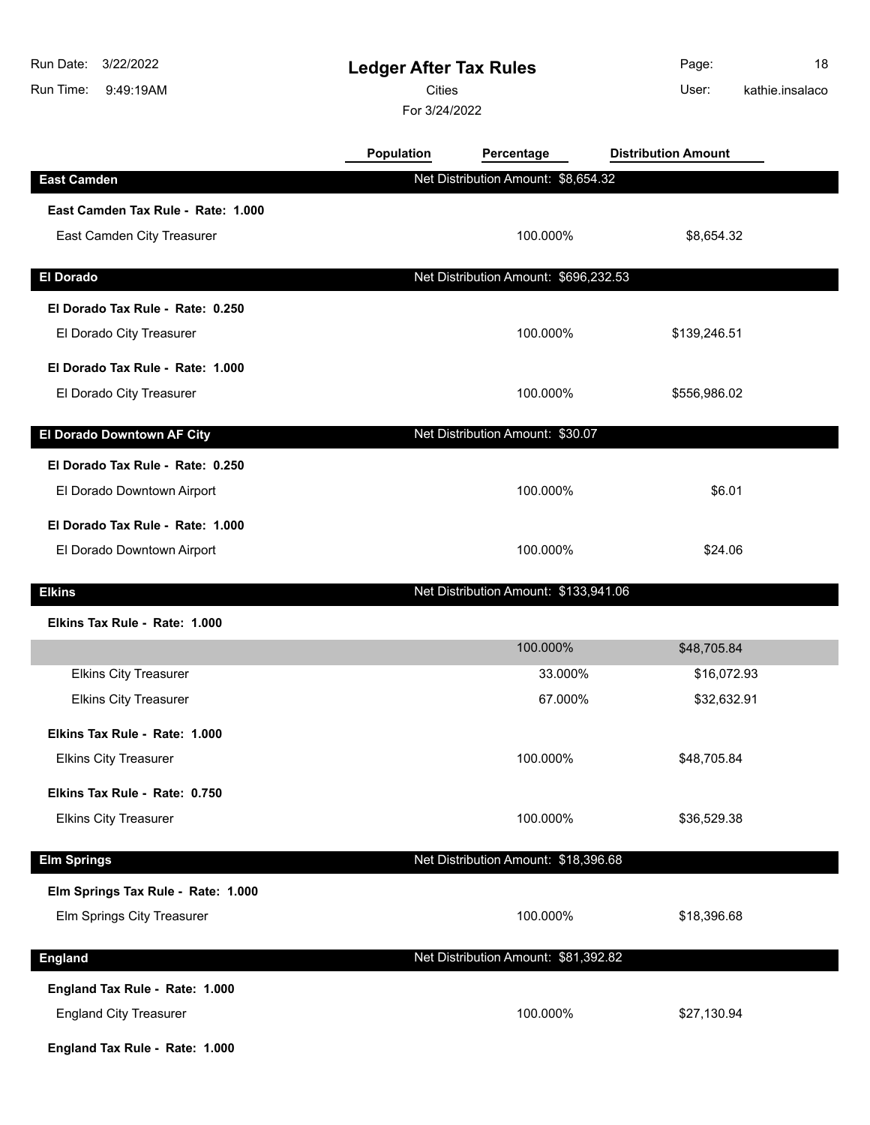| Run Date:<br>3/22/2022<br>Run Time:<br>9:49:19AM | <b>Ledger After Tax Rules</b><br><b>Cities</b><br>For 3/24/2022 |                                       | Page:<br>User:             | 18<br>kathie.insalaco |
|--------------------------------------------------|-----------------------------------------------------------------|---------------------------------------|----------------------------|-----------------------|
|                                                  | <b>Population</b>                                               | Percentage                            | <b>Distribution Amount</b> |                       |
| <b>East Camden</b>                               |                                                                 | Net Distribution Amount: \$8,654.32   |                            |                       |
| East Camden Tax Rule - Rate: 1.000               |                                                                 |                                       |                            |                       |
| East Camden City Treasurer                       |                                                                 | 100.000%                              | \$8,654.32                 |                       |
| <b>El Dorado</b>                                 |                                                                 | Net Distribution Amount: \$696,232.53 |                            |                       |
| El Dorado Tax Rule - Rate: 0.250                 |                                                                 |                                       |                            |                       |
| El Dorado City Treasurer                         |                                                                 | 100.000%                              | \$139,246.51               |                       |
| El Dorado Tax Rule - Rate: 1.000                 |                                                                 |                                       |                            |                       |
| El Dorado City Treasurer                         |                                                                 | 100.000%                              | \$556,986.02               |                       |
| El Dorado Downtown AF City                       |                                                                 | Net Distribution Amount: \$30.07      |                            |                       |
| El Dorado Tax Rule - Rate: 0.250                 |                                                                 |                                       |                            |                       |
| El Dorado Downtown Airport                       |                                                                 | 100.000%                              | \$6.01                     |                       |
| El Dorado Tax Rule - Rate: 1.000                 |                                                                 |                                       |                            |                       |
| El Dorado Downtown Airport                       |                                                                 | 100.000%                              | \$24.06                    |                       |
| <b>Elkins</b>                                    |                                                                 | Net Distribution Amount: \$133,941.06 |                            |                       |
| Elkins Tax Rule - Rate: 1.000                    |                                                                 |                                       |                            |                       |
|                                                  |                                                                 | 100.000%                              | \$48,705.84                |                       |
| <b>Elkins City Treasurer</b>                     |                                                                 | 33.000%                               | \$16,072.93                |                       |
| <b>Elkins City Treasurer</b>                     |                                                                 | 67.000%                               | \$32,632.91                |                       |
| Elkins Tax Rule - Rate: 1.000                    |                                                                 |                                       |                            |                       |
| <b>Elkins City Treasurer</b>                     |                                                                 | 100.000%                              | \$48,705.84                |                       |
| Elkins Tax Rule - Rate: 0.750                    |                                                                 |                                       |                            |                       |
| <b>Elkins City Treasurer</b>                     |                                                                 | 100.000%                              | \$36,529.38                |                       |
| <b>Elm Springs</b>                               |                                                                 | Net Distribution Amount: \$18,396.68  |                            |                       |
| Elm Springs Tax Rule - Rate: 1.000               |                                                                 |                                       |                            |                       |
| Elm Springs City Treasurer                       |                                                                 | 100.000%                              | \$18,396.68                |                       |
| <b>England</b>                                   |                                                                 | Net Distribution Amount: \$81,392.82  |                            |                       |
| England Tax Rule - Rate: 1.000                   |                                                                 |                                       |                            |                       |
| <b>England City Treasurer</b>                    |                                                                 | 100.000%                              | \$27,130.94                |                       |
| England Tax Rule - Rate: 1.000                   |                                                                 |                                       |                            |                       |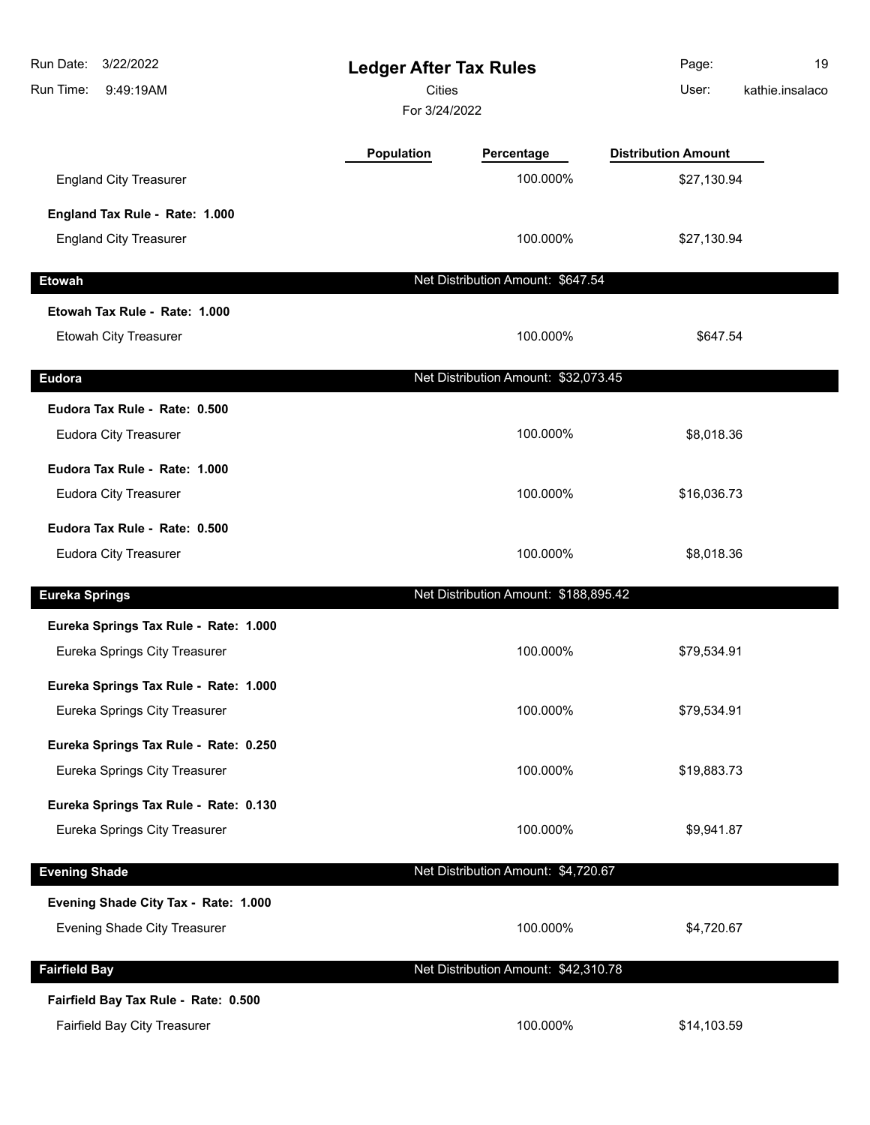| Run Date:<br>3/22/2022<br>Run Time:<br>9:49:19AM | <b>Ledger After Tax Rules</b><br><b>Cities</b><br>For 3/24/2022 |                                       | Page:<br>User:             | 19<br>kathie.insalaco |
|--------------------------------------------------|-----------------------------------------------------------------|---------------------------------------|----------------------------|-----------------------|
|                                                  | <b>Population</b>                                               | Percentage                            | <b>Distribution Amount</b> |                       |
| <b>England City Treasurer</b>                    |                                                                 | 100.000%                              | \$27,130.94                |                       |
| England Tax Rule - Rate: 1.000                   |                                                                 |                                       |                            |                       |
| <b>England City Treasurer</b>                    |                                                                 | 100.000%                              | \$27,130.94                |                       |
| <b>Etowah</b>                                    |                                                                 | Net Distribution Amount: \$647.54     |                            |                       |
| Etowah Tax Rule - Rate: 1.000                    |                                                                 |                                       |                            |                       |
| Etowah City Treasurer                            |                                                                 | 100.000%                              | \$647.54                   |                       |
| <b>Eudora</b>                                    |                                                                 | Net Distribution Amount: \$32,073.45  |                            |                       |
| Eudora Tax Rule - Rate: 0.500                    |                                                                 |                                       |                            |                       |
| <b>Eudora City Treasurer</b>                     |                                                                 | 100.000%                              | \$8,018.36                 |                       |
| Eudora Tax Rule - Rate: 1.000                    |                                                                 |                                       |                            |                       |
| <b>Eudora City Treasurer</b>                     |                                                                 | 100.000%                              | \$16,036.73                |                       |
| Eudora Tax Rule - Rate: 0.500                    |                                                                 |                                       |                            |                       |
| <b>Eudora City Treasurer</b>                     |                                                                 | 100.000%                              | \$8,018.36                 |                       |
| <b>Eureka Springs</b>                            |                                                                 | Net Distribution Amount: \$188,895.42 |                            |                       |
| Eureka Springs Tax Rule - Rate: 1.000            |                                                                 |                                       |                            |                       |
| Eureka Springs City Treasurer                    |                                                                 | 100.000%                              | \$79,534.91                |                       |
| Eureka Springs Tax Rule - Rate: 1.000            |                                                                 |                                       |                            |                       |
| Eureka Springs City Treasurer                    |                                                                 | 100.000%                              | \$79,534.91                |                       |
| Eureka Springs Tax Rule - Rate: 0.250            |                                                                 |                                       |                            |                       |
| Eureka Springs City Treasurer                    |                                                                 | 100.000%                              | \$19,883.73                |                       |
| Eureka Springs Tax Rule - Rate: 0.130            |                                                                 |                                       |                            |                       |
| Eureka Springs City Treasurer                    |                                                                 | 100.000%                              | \$9,941.87                 |                       |
| <b>Evening Shade</b>                             |                                                                 | Net Distribution Amount: \$4,720.67   |                            |                       |
| Evening Shade City Tax - Rate: 1.000             |                                                                 |                                       |                            |                       |
| Evening Shade City Treasurer                     |                                                                 | 100.000%                              | \$4,720.67                 |                       |
| <b>Fairfield Bay</b>                             |                                                                 | Net Distribution Amount: \$42,310.78  |                            |                       |
| Fairfield Bay Tax Rule - Rate: 0.500             |                                                                 |                                       |                            |                       |
| Fairfield Bay City Treasurer                     |                                                                 | 100.000%                              | \$14,103.59                |                       |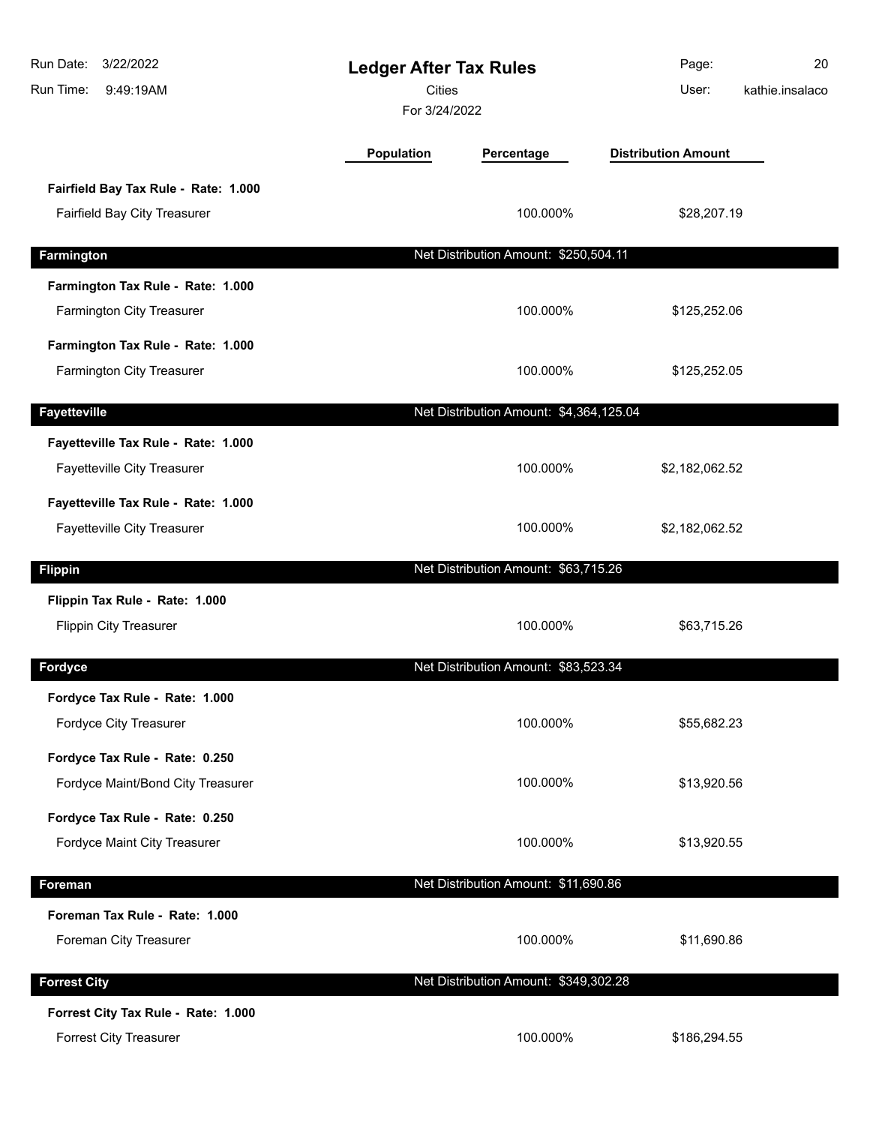| Run Date:<br>3/22/2022<br>Run Time:<br>9:49:19AM                     | <b>Ledger After Tax Rules</b><br><b>Cities</b><br>For 3/24/2022 |                                         | Page:<br>User:             | 20<br>kathie.insalaco |
|----------------------------------------------------------------------|-----------------------------------------------------------------|-----------------------------------------|----------------------------|-----------------------|
|                                                                      | Population                                                      | Percentage                              | <b>Distribution Amount</b> |                       |
| Fairfield Bay Tax Rule - Rate: 1.000<br>Fairfield Bay City Treasurer |                                                                 | 100.000%                                | \$28,207.19                |                       |
| Farmington                                                           |                                                                 | Net Distribution Amount: \$250,504.11   |                            |                       |
| Farmington Tax Rule - Rate: 1.000<br>Farmington City Treasurer       |                                                                 | 100.000%                                | \$125,252.06               |                       |
| Farmington Tax Rule - Rate: 1.000<br>Farmington City Treasurer       |                                                                 | 100.000%                                | \$125,252.05               |                       |
| <b>Fayetteville</b>                                                  |                                                                 | Net Distribution Amount: \$4,364,125.04 |                            |                       |
| Fayetteville Tax Rule - Rate: 1.000<br>Fayetteville City Treasurer   |                                                                 | 100.000%                                | \$2,182,062.52             |                       |
| Fayetteville Tax Rule - Rate: 1.000<br>Fayetteville City Treasurer   |                                                                 | 100.000%                                | \$2,182,062.52             |                       |
| <b>Flippin</b>                                                       |                                                                 | Net Distribution Amount: \$63,715.26    |                            |                       |
| Flippin Tax Rule - Rate: 1.000<br><b>Flippin City Treasurer</b>      |                                                                 | 100.000%                                | \$63,715.26                |                       |
| Fordyce                                                              |                                                                 | Net Distribution Amount: \$83,523.34    |                            |                       |
| Fordyce Tax Rule - Rate: 1.000<br>Fordyce City Treasurer             |                                                                 | 100.000%                                | \$55,682.23                |                       |
| Fordyce Tax Rule - Rate: 0.250<br>Fordyce Maint/Bond City Treasurer  |                                                                 | 100.000%                                | \$13,920.56                |                       |
| Fordyce Tax Rule - Rate: 0.250<br>Fordyce Maint City Treasurer       |                                                                 | 100.000%                                | \$13,920.55                |                       |
| Foreman                                                              |                                                                 | Net Distribution Amount: \$11,690.86    |                            |                       |
| Foreman Tax Rule - Rate: 1.000<br>Foreman City Treasurer             |                                                                 | 100.000%                                | \$11,690.86                |                       |
| <b>Forrest City</b>                                                  |                                                                 | Net Distribution Amount: \$349,302.28   |                            |                       |
| Forrest City Tax Rule - Rate: 1.000<br>Forrest City Treasurer        |                                                                 | 100.000%                                | \$186,294.55               |                       |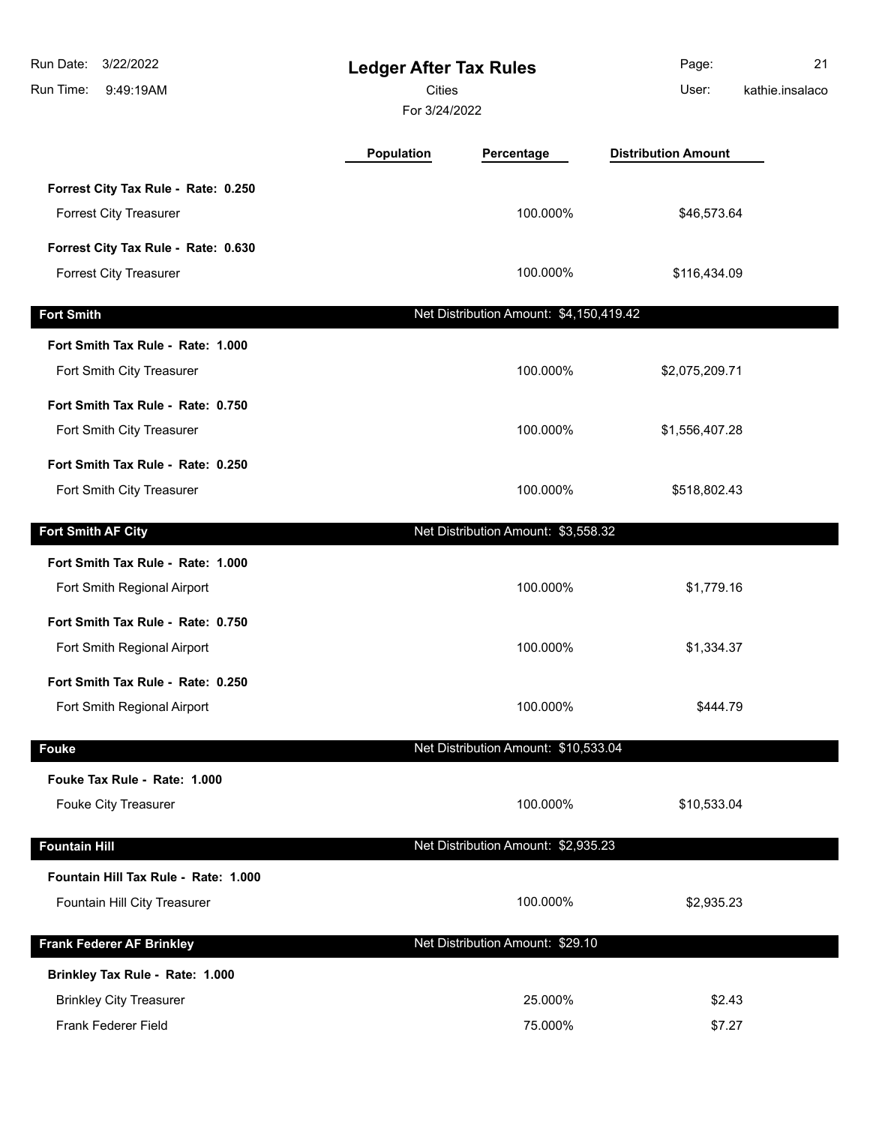| Run Date:<br>3/22/2022<br>Run Time:<br>9:49:19AM | <b>Ledger After Tax Rules</b><br>Cities<br>For 3/24/2022 |                                         | Page:<br>User:             | 21<br>kathie.insalaco |
|--------------------------------------------------|----------------------------------------------------------|-----------------------------------------|----------------------------|-----------------------|
|                                                  | <b>Population</b>                                        | Percentage                              | <b>Distribution Amount</b> |                       |
| Forrest City Tax Rule - Rate: 0.250              |                                                          |                                         |                            |                       |
| <b>Forrest City Treasurer</b>                    |                                                          | 100.000%                                | \$46,573.64                |                       |
| Forrest City Tax Rule - Rate: 0.630              |                                                          |                                         |                            |                       |
| <b>Forrest City Treasurer</b>                    |                                                          | 100.000%                                | \$116,434.09               |                       |
| <b>Fort Smith</b>                                |                                                          | Net Distribution Amount: \$4,150,419.42 |                            |                       |
| Fort Smith Tax Rule - Rate: 1.000                |                                                          |                                         |                            |                       |
| Fort Smith City Treasurer                        |                                                          | 100.000%                                | \$2,075,209.71             |                       |
| Fort Smith Tax Rule - Rate: 0.750                |                                                          |                                         |                            |                       |
| Fort Smith City Treasurer                        |                                                          | 100.000%                                | \$1,556,407.28             |                       |
| Fort Smith Tax Rule - Rate: 0.250                |                                                          |                                         |                            |                       |
| Fort Smith City Treasurer                        |                                                          | 100.000%                                | \$518,802.43               |                       |
| Fort Smith AF City                               |                                                          | Net Distribution Amount: \$3,558.32     |                            |                       |
| Fort Smith Tax Rule - Rate: 1.000                |                                                          |                                         |                            |                       |
| Fort Smith Regional Airport                      |                                                          | 100.000%                                | \$1,779.16                 |                       |
| Fort Smith Tax Rule - Rate: 0.750                |                                                          |                                         |                            |                       |
| Fort Smith Regional Airport                      |                                                          | 100.000%                                | \$1,334.37                 |                       |
| Fort Smith Tax Rule - Rate: 0.250                |                                                          |                                         |                            |                       |
| Fort Smith Regional Airport                      |                                                          | 100.000%                                | \$444.79                   |                       |
| <b>Fouke</b>                                     |                                                          | Net Distribution Amount: \$10,533.04    |                            |                       |
| Fouke Tax Rule - Rate: 1.000                     |                                                          |                                         |                            |                       |
| <b>Fouke City Treasurer</b>                      |                                                          | 100.000%                                | \$10,533.04                |                       |
| <b>Fountain Hill</b>                             |                                                          | Net Distribution Amount: \$2,935.23     |                            |                       |
| Fountain Hill Tax Rule - Rate: 1.000             |                                                          |                                         |                            |                       |
| Fountain Hill City Treasurer                     |                                                          | 100.000%                                | \$2,935.23                 |                       |
| <b>Frank Federer AF Brinkley</b>                 |                                                          | Net Distribution Amount: \$29.10        |                            |                       |
| Brinkley Tax Rule - Rate: 1.000                  |                                                          |                                         |                            |                       |
| <b>Brinkley City Treasurer</b>                   |                                                          | 25.000%                                 | \$2.43                     |                       |
| Frank Federer Field                              |                                                          | 75.000%                                 | \$7.27                     |                       |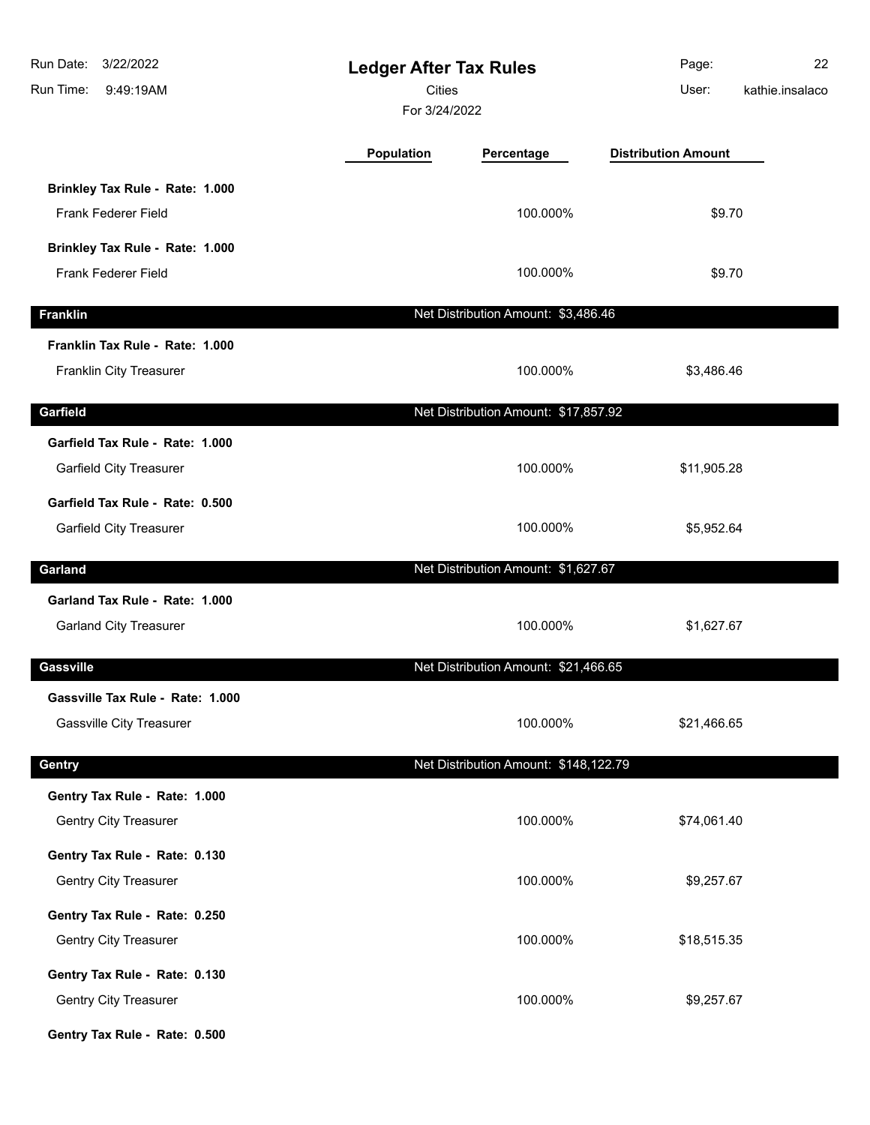| Run Date:<br>3/22/2022<br>Run Time:<br>9:49:19AM                    |            | <b>Ledger After Tax Rules</b><br><b>Cities</b><br>For 3/24/2022 |                            | 22<br>kathie.insalaco |
|---------------------------------------------------------------------|------------|-----------------------------------------------------------------|----------------------------|-----------------------|
|                                                                     | Population | Percentage                                                      | <b>Distribution Amount</b> |                       |
| Brinkley Tax Rule - Rate: 1.000<br>Frank Federer Field              |            | 100.000%                                                        | \$9.70                     |                       |
| Brinkley Tax Rule - Rate: 1.000<br><b>Frank Federer Field</b>       |            | 100.000%                                                        | \$9.70                     |                       |
| <b>Franklin</b>                                                     |            | Net Distribution Amount: \$3,486.46                             |                            |                       |
| Franklin Tax Rule - Rate: 1.000<br>Franklin City Treasurer          |            | 100.000%                                                        | \$3,486.46                 |                       |
| Garfield                                                            |            | Net Distribution Amount: \$17,857.92                            |                            |                       |
| Garfield Tax Rule - Rate: 1.000<br>Garfield City Treasurer          |            | 100.000%                                                        | \$11,905.28                |                       |
| Garfield Tax Rule - Rate: 0.500<br><b>Garfield City Treasurer</b>   |            | 100.000%                                                        | \$5,952.64                 |                       |
| Garland                                                             |            | Net Distribution Amount: \$1,627.67                             |                            |                       |
| Garland Tax Rule - Rate: 1.000<br><b>Garland City Treasurer</b>     |            | 100.000%                                                        | \$1,627.67                 |                       |
| <b>Gassville</b>                                                    |            | Net Distribution Amount: \$21,466.65                            |                            |                       |
| Gassville Tax Rule - Rate: 1.000<br><b>Gassville City Treasurer</b> |            | 100.000%                                                        | \$21,466.65                |                       |
| Gentry                                                              |            | Net Distribution Amount: \$148,122.79                           |                            |                       |
| Gentry Tax Rule - Rate: 1.000<br><b>Gentry City Treasurer</b>       |            | 100.000%                                                        | \$74,061.40                |                       |
| Gentry Tax Rule - Rate: 0.130<br>Gentry City Treasurer              |            | 100.000%                                                        | \$9,257.67                 |                       |
| Gentry Tax Rule - Rate: 0.250<br><b>Gentry City Treasurer</b>       |            | 100.000%                                                        | \$18,515.35                |                       |
| Gentry Tax Rule - Rate: 0.130<br>Gentry City Treasurer              |            | 100.000%                                                        | \$9,257.67                 |                       |
| Gentry Tax Rule - Rate: 0.500                                       |            |                                                                 |                            |                       |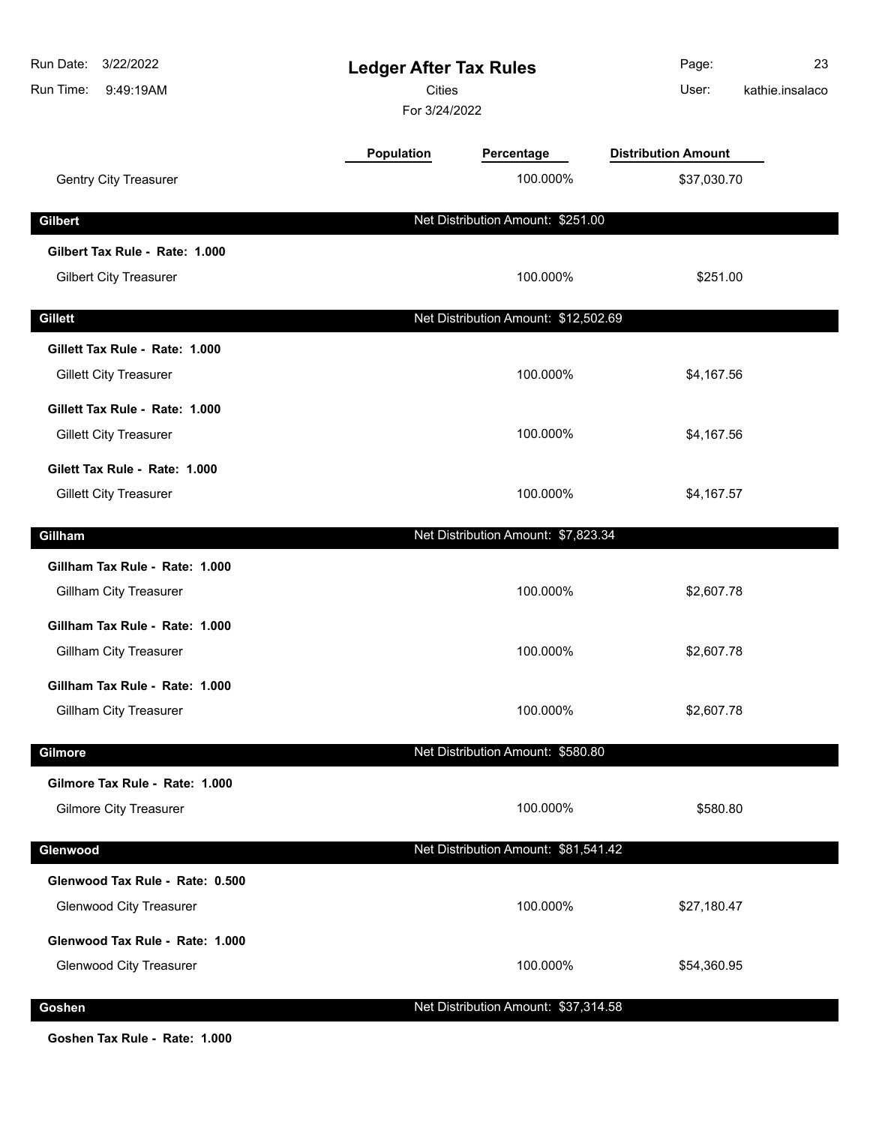| Run Date:<br>3/22/2022<br><b>Ledger After Tax Rules</b><br><b>Cities</b><br>Run Time:<br>9:49:19AM<br>For 3/24/2022 |            |                                      | Page:<br>User:             | 23<br>kathie.insalaco |
|---------------------------------------------------------------------------------------------------------------------|------------|--------------------------------------|----------------------------|-----------------------|
|                                                                                                                     | Population | Percentage                           | <b>Distribution Amount</b> |                       |
| <b>Gentry City Treasurer</b>                                                                                        |            | 100.000%                             | \$37,030.70                |                       |
| <b>Gilbert</b>                                                                                                      |            | Net Distribution Amount: \$251.00    |                            |                       |
| Gilbert Tax Rule - Rate: 1.000                                                                                      |            |                                      |                            |                       |
| <b>Gilbert City Treasurer</b>                                                                                       |            | 100.000%                             | \$251.00                   |                       |
| <b>Gillett</b>                                                                                                      |            | Net Distribution Amount: \$12,502.69 |                            |                       |
| Gillett Tax Rule - Rate: 1.000                                                                                      |            |                                      |                            |                       |
| <b>Gillett City Treasurer</b>                                                                                       |            | 100.000%                             | \$4,167.56                 |                       |
| Gillett Tax Rule - Rate: 1.000                                                                                      |            |                                      |                            |                       |
| <b>Gillett City Treasurer</b>                                                                                       |            | 100.000%                             | \$4,167.56                 |                       |
| Gilett Tax Rule - Rate: 1.000                                                                                       |            |                                      |                            |                       |
| <b>Gillett City Treasurer</b>                                                                                       |            | 100.000%                             | \$4,167.57                 |                       |
| Gillham                                                                                                             |            | Net Distribution Amount: \$7,823.34  |                            |                       |
| Gillham Tax Rule - Rate: 1.000                                                                                      |            |                                      |                            |                       |
| Gillham City Treasurer                                                                                              |            | 100.000%                             | \$2,607.78                 |                       |
| Gillham Tax Rule - Rate: 1.000                                                                                      |            |                                      |                            |                       |
| Gillham City Treasurer                                                                                              |            | 100.000%                             | \$2,607.78                 |                       |
| Gillham Tax Rule - Rate: 1.000                                                                                      |            |                                      |                            |                       |
| <b>Gillham City Treasurer</b>                                                                                       |            | 100.000%                             | \$2,607.78                 |                       |
| Gilmore                                                                                                             |            | Net Distribution Amount: \$580.80    |                            |                       |
| Gilmore Tax Rule - Rate: 1.000                                                                                      |            |                                      |                            |                       |
| <b>Gilmore City Treasurer</b>                                                                                       |            | 100.000%                             | \$580.80                   |                       |
| Glenwood                                                                                                            |            | Net Distribution Amount: \$81,541.42 |                            |                       |
| Glenwood Tax Rule - Rate: 0.500                                                                                     |            |                                      |                            |                       |
| <b>Glenwood City Treasurer</b>                                                                                      |            | 100.000%                             | \$27,180.47                |                       |
| Glenwood Tax Rule - Rate: 1.000                                                                                     |            |                                      |                            |                       |
| <b>Glenwood City Treasurer</b>                                                                                      |            | 100.000%                             | \$54,360.95                |                       |
| Goshen                                                                                                              |            | Net Distribution Amount: \$37,314.58 |                            |                       |

**Goshen Tax Rule - Rate: 1.000**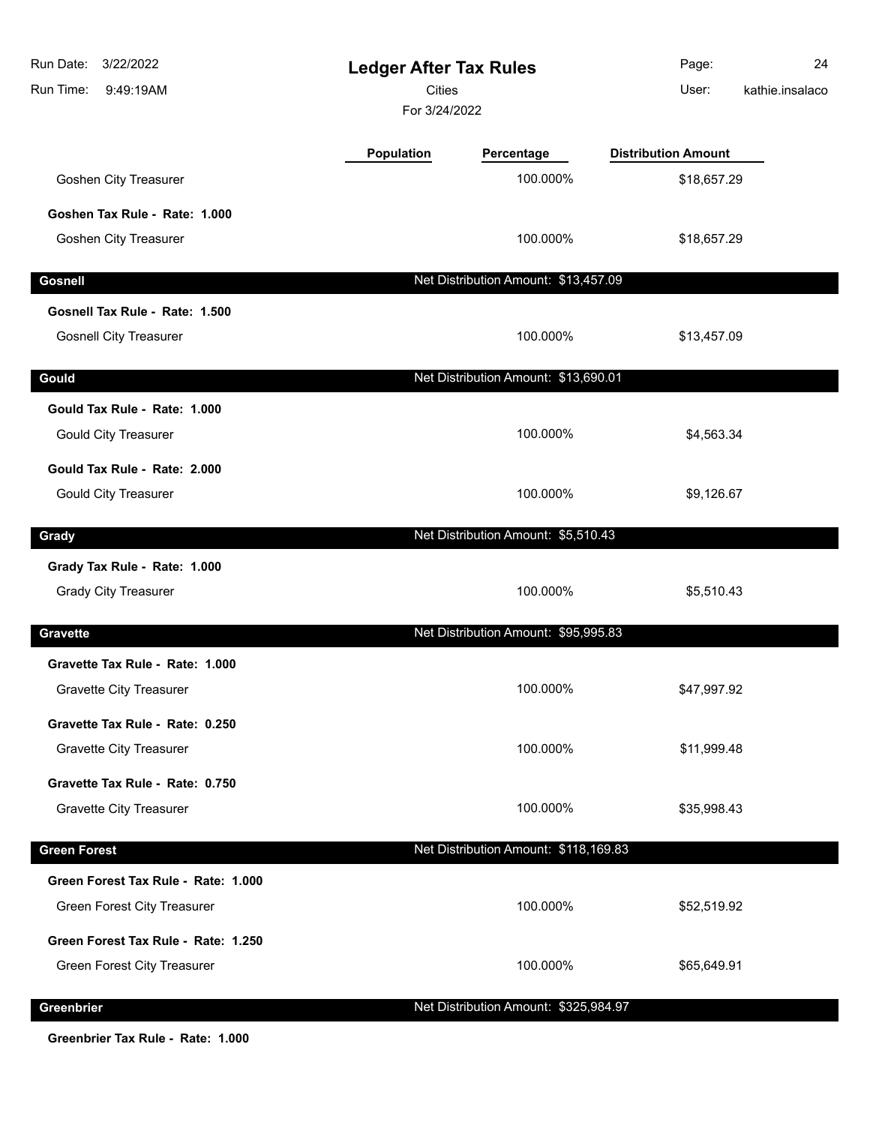| 3/22/2022<br>Run Date:<br>Run Time:<br>9:49:19AM | <b>Ledger After Tax Rules</b><br><b>Cities</b><br>For 3/24/2022 |                                       | Page:<br>User:             | 24<br>kathie.insalaco |
|--------------------------------------------------|-----------------------------------------------------------------|---------------------------------------|----------------------------|-----------------------|
|                                                  | Population                                                      | Percentage                            | <b>Distribution Amount</b> |                       |
| <b>Goshen City Treasurer</b>                     |                                                                 | 100.000%                              | \$18,657.29                |                       |
| Goshen Tax Rule - Rate: 1.000                    |                                                                 |                                       |                            |                       |
| Goshen City Treasurer                            |                                                                 | 100.000%                              | \$18,657.29                |                       |
| <b>Gosnell</b>                                   |                                                                 | Net Distribution Amount: \$13,457.09  |                            |                       |
| Gosnell Tax Rule - Rate: 1.500                   |                                                                 |                                       |                            |                       |
| <b>Gosnell City Treasurer</b>                    |                                                                 | 100.000%                              | \$13,457.09                |                       |
| Gould                                            |                                                                 | Net Distribution Amount: \$13,690.01  |                            |                       |
| Gould Tax Rule - Rate: 1.000                     |                                                                 |                                       |                            |                       |
| <b>Gould City Treasurer</b>                      |                                                                 | 100.000%                              | \$4,563.34                 |                       |
| Gould Tax Rule - Rate: 2.000                     |                                                                 |                                       |                            |                       |
| <b>Gould City Treasurer</b>                      |                                                                 | 100.000%                              | \$9,126.67                 |                       |
| Grady                                            |                                                                 | Net Distribution Amount: \$5,510.43   |                            |                       |
| Grady Tax Rule - Rate: 1.000                     |                                                                 |                                       |                            |                       |
| <b>Grady City Treasurer</b>                      |                                                                 | 100.000%                              | \$5,510.43                 |                       |
| <b>Gravette</b>                                  |                                                                 | Net Distribution Amount: \$95,995.83  |                            |                       |
| Gravette Tax Rule - Rate: 1.000                  |                                                                 |                                       |                            |                       |
| <b>Gravette City Treasurer</b>                   |                                                                 | 100.000%                              | \$47,997.92                |                       |
| Gravette Tax Rule - Rate: 0.250                  |                                                                 |                                       |                            |                       |
| <b>Gravette City Treasurer</b>                   |                                                                 | 100.000%                              | \$11,999.48                |                       |
| Gravette Tax Rule - Rate: 0.750                  |                                                                 |                                       |                            |                       |
| Gravette City Treasurer                          |                                                                 | 100.000%                              | \$35,998.43                |                       |
| <b>Green Forest</b>                              |                                                                 | Net Distribution Amount: \$118,169.83 |                            |                       |
| Green Forest Tax Rule - Rate: 1.000              |                                                                 |                                       |                            |                       |
| Green Forest City Treasurer                      |                                                                 | 100.000%                              | \$52,519.92                |                       |
| Green Forest Tax Rule - Rate: 1.250              |                                                                 |                                       |                            |                       |
| Green Forest City Treasurer                      |                                                                 | 100.000%                              | \$65,649.91                |                       |
| Greenbrier                                       |                                                                 | Net Distribution Amount: \$325,984.97 |                            |                       |

**Greenbrier Tax Rule - Rate: 1.000**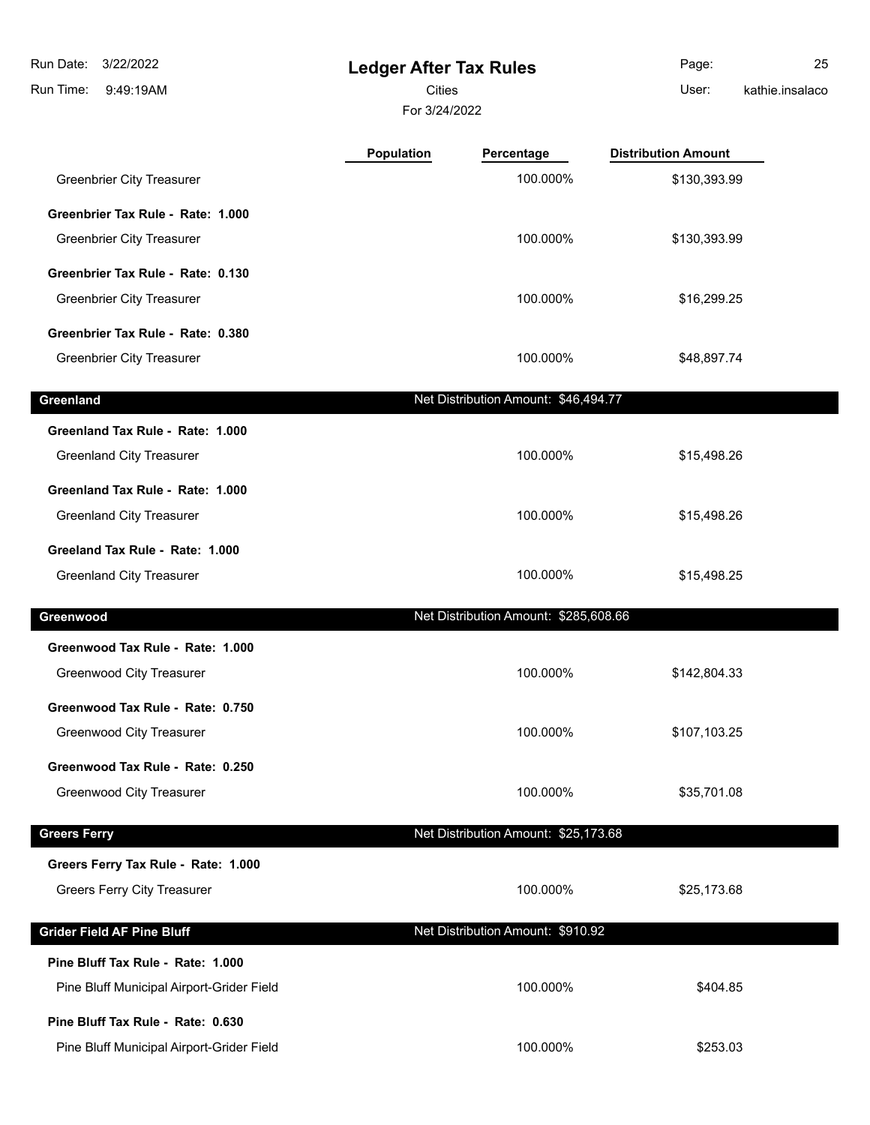**Ledger After Tax Rules** 9:49:19AM Run Time: 3/22/2022 Run Date: Cities User:

 $\overline{\phantom{a}}$ 

For 3/24/2022

Page: 25 kathie.insalaco

|                                                                                | <b>Population</b> | Percentage                            | <b>Distribution Amount</b> |  |
|--------------------------------------------------------------------------------|-------------------|---------------------------------------|----------------------------|--|
| <b>Greenbrier City Treasurer</b>                                               |                   | 100.000%                              | \$130,393.99               |  |
| Greenbrier Tax Rule - Rate: 1.000                                              |                   |                                       |                            |  |
| <b>Greenbrier City Treasurer</b>                                               |                   | 100.000%                              | \$130,393.99               |  |
| Greenbrier Tax Rule - Rate: 0.130                                              |                   |                                       |                            |  |
| <b>Greenbrier City Treasurer</b>                                               |                   | 100.000%                              | \$16,299.25                |  |
| Greenbrier Tax Rule - Rate: 0.380                                              |                   |                                       |                            |  |
| <b>Greenbrier City Treasurer</b>                                               |                   | 100.000%                              | \$48,897.74                |  |
| Greenland                                                                      |                   | Net Distribution Amount: \$46,494.77  |                            |  |
| Greenland Tax Rule - Rate: 1.000                                               |                   |                                       |                            |  |
| <b>Greenland City Treasurer</b>                                                |                   | 100.000%                              | \$15,498.26                |  |
| Greenland Tax Rule - Rate: 1.000                                               |                   |                                       |                            |  |
| <b>Greenland City Treasurer</b>                                                |                   | 100.000%                              | \$15,498.26                |  |
| Greeland Tax Rule - Rate: 1.000                                                |                   |                                       |                            |  |
| <b>Greenland City Treasurer</b>                                                |                   | 100.000%                              | \$15,498.25                |  |
| Greenwood                                                                      |                   | Net Distribution Amount: \$285,608.66 |                            |  |
| Greenwood Tax Rule - Rate: 1.000                                               |                   |                                       |                            |  |
| Greenwood City Treasurer                                                       |                   | 100.000%                              | \$142,804.33               |  |
| Greenwood Tax Rule - Rate: 0.750                                               |                   |                                       |                            |  |
| <b>Greenwood City Treasurer</b>                                                |                   | 100.000%                              | \$107,103.25               |  |
| Greenwood Tax Rule - Rate: 0.250                                               |                   |                                       |                            |  |
| <b>Greenwood City Treasurer</b>                                                |                   | 100.000%                              | \$35,701.08                |  |
| <b>Greers Ferry</b>                                                            |                   | Net Distribution Amount: \$25,173.68  |                            |  |
|                                                                                |                   |                                       |                            |  |
| Greers Ferry Tax Rule - Rate: 1.000                                            |                   |                                       |                            |  |
| <b>Greers Ferry City Treasurer</b>                                             |                   | 100.000%                              | \$25,173.68                |  |
|                                                                                |                   |                                       |                            |  |
| <b>Grider Field AF Pine Bluff</b>                                              |                   | Net Distribution Amount: \$910.92     |                            |  |
| Pine Bluff Tax Rule - Rate: 1.000                                              |                   |                                       |                            |  |
| Pine Bluff Municipal Airport-Grider Field                                      |                   | 100.000%                              | \$404.85                   |  |
| Pine Bluff Tax Rule - Rate: 0.630<br>Pine Bluff Municipal Airport-Grider Field |                   | 100.000%                              | \$253.03                   |  |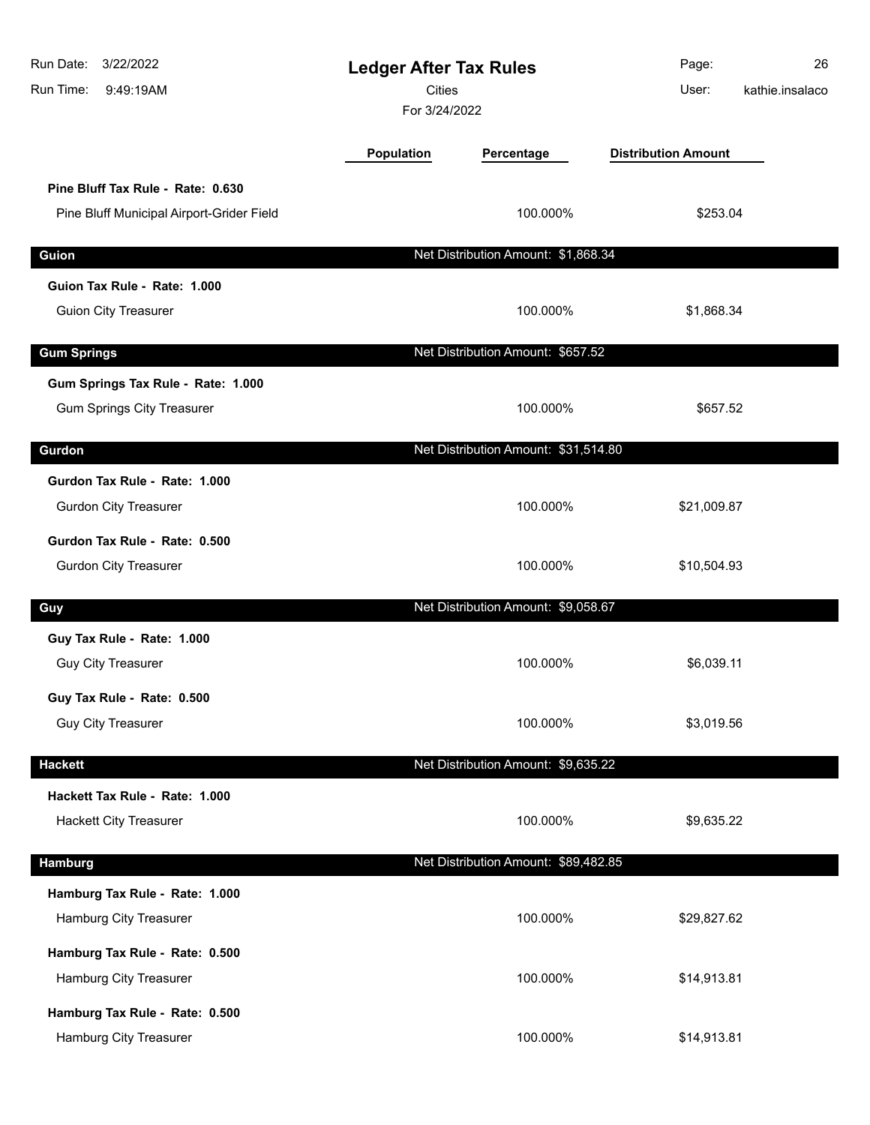| Run Date:<br>3/22/2022<br>Run Time:<br>9:49:19AM                               | <b>Ledger After Tax Rules</b><br><b>Cities</b><br>For 3/24/2022 |                                      | Page:<br>User:             | 26<br>kathie.insalaco |
|--------------------------------------------------------------------------------|-----------------------------------------------------------------|--------------------------------------|----------------------------|-----------------------|
|                                                                                | Population                                                      | Percentage                           | <b>Distribution Amount</b> |                       |
| Pine Bluff Tax Rule - Rate: 0.630<br>Pine Bluff Municipal Airport-Grider Field |                                                                 | 100.000%                             | \$253.04                   |                       |
| Guion                                                                          |                                                                 | Net Distribution Amount: \$1,868.34  |                            |                       |
| Guion Tax Rule - Rate: 1.000                                                   |                                                                 |                                      |                            |                       |
| <b>Guion City Treasurer</b>                                                    |                                                                 | 100.000%                             | \$1,868.34                 |                       |
| <b>Gum Springs</b>                                                             |                                                                 | Net Distribution Amount: \$657.52    |                            |                       |
| Gum Springs Tax Rule - Rate: 1.000<br><b>Gum Springs City Treasurer</b>        |                                                                 | 100.000%                             | \$657.52                   |                       |
| Gurdon                                                                         |                                                                 | Net Distribution Amount: \$31,514.80 |                            |                       |
| Gurdon Tax Rule - Rate: 1.000<br><b>Gurdon City Treasurer</b>                  |                                                                 | 100.000%                             | \$21,009.87                |                       |
| Gurdon Tax Rule - Rate: 0.500<br><b>Gurdon City Treasurer</b>                  |                                                                 | 100.000%                             | \$10,504.93                |                       |
| Guy                                                                            |                                                                 | Net Distribution Amount: \$9,058.67  |                            |                       |
| Guy Tax Rule - Rate: 1.000<br><b>Guy City Treasurer</b>                        |                                                                 | 100.000%                             | \$6,039.11                 |                       |
| Guy Tax Rule - Rate: 0.500<br><b>Guy City Treasurer</b>                        |                                                                 | 100.000%                             | \$3,019.56                 |                       |
| <b>Hackett</b>                                                                 |                                                                 | Net Distribution Amount: \$9,635.22  |                            |                       |
| Hackett Tax Rule - Rate: 1.000<br><b>Hackett City Treasurer</b>                |                                                                 | 100.000%                             | \$9,635.22                 |                       |
| Hamburg                                                                        |                                                                 | Net Distribution Amount: \$89,482.85 |                            |                       |
| Hamburg Tax Rule - Rate: 1.000<br>Hamburg City Treasurer                       |                                                                 | 100.000%                             | \$29,827.62                |                       |
| Hamburg Tax Rule - Rate: 0.500<br>Hamburg City Treasurer                       |                                                                 | 100.000%                             | \$14,913.81                |                       |
| Hamburg Tax Rule - Rate: 0.500<br>Hamburg City Treasurer                       |                                                                 | 100.000%                             | \$14,913.81                |                       |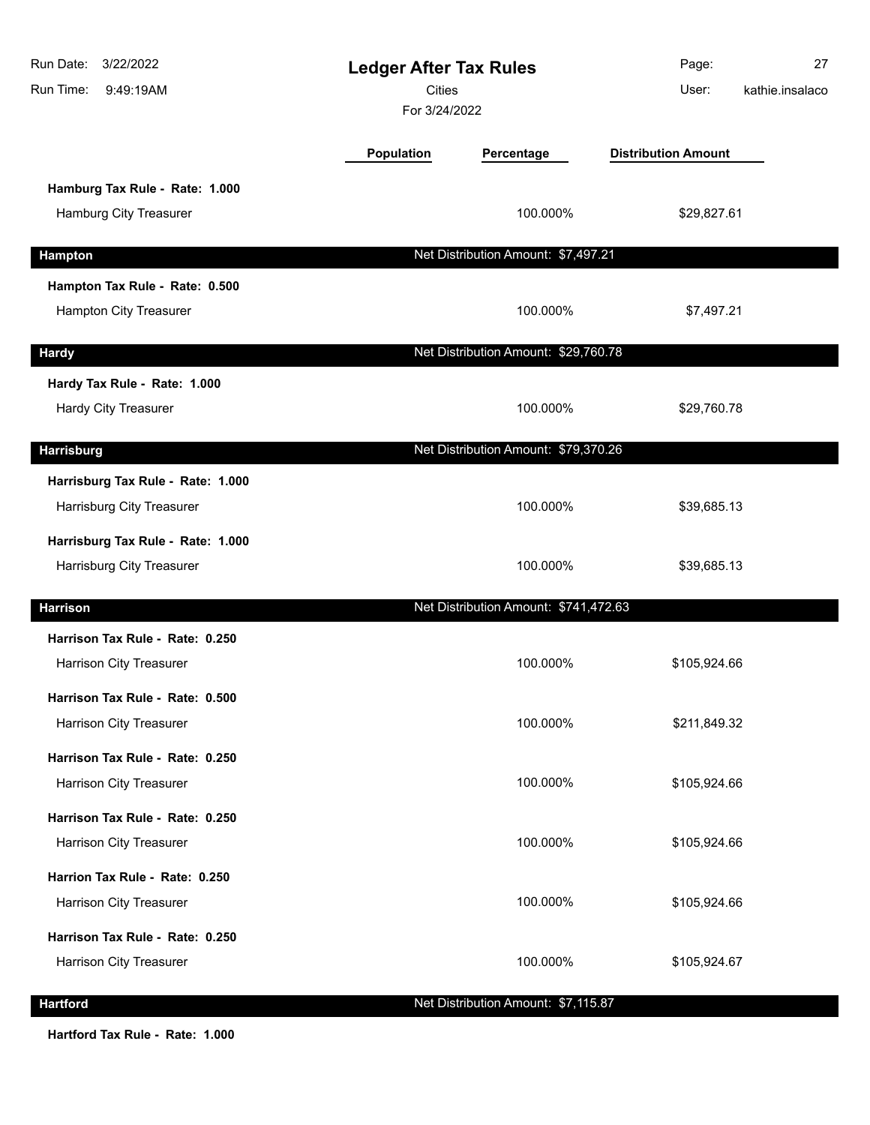| Run Date: 3/22/2022<br>Run Time:<br>9:49:19AM                  | <b>Ledger After Tax Rules</b><br><b>Cities</b><br>For 3/24/2022 |                                       | Page:<br>User:             | 27<br>kathie.insalaco |
|----------------------------------------------------------------|-----------------------------------------------------------------|---------------------------------------|----------------------------|-----------------------|
|                                                                | Population                                                      | Percentage                            | <b>Distribution Amount</b> |                       |
| Hamburg Tax Rule - Rate: 1.000<br>Hamburg City Treasurer       |                                                                 | 100.000%                              | \$29,827.61                |                       |
| <b>Hampton</b>                                                 |                                                                 | Net Distribution Amount: \$7,497.21   |                            |                       |
| Hampton Tax Rule - Rate: 0.500<br>Hampton City Treasurer       |                                                                 | 100.000%                              | \$7,497.21                 |                       |
| <b>Hardy</b>                                                   |                                                                 | Net Distribution Amount: \$29,760.78  |                            |                       |
| Hardy Tax Rule - Rate: 1.000<br><b>Hardy City Treasurer</b>    |                                                                 | 100.000%                              | \$29,760.78                |                       |
| <b>Harrisburg</b>                                              |                                                                 | Net Distribution Amount: \$79,370.26  |                            |                       |
| Harrisburg Tax Rule - Rate: 1.000<br>Harrisburg City Treasurer |                                                                 | 100.000%                              | \$39,685.13                |                       |
| Harrisburg Tax Rule - Rate: 1.000<br>Harrisburg City Treasurer |                                                                 | 100.000%                              | \$39,685.13                |                       |
| <b>Harrison</b>                                                |                                                                 | Net Distribution Amount: \$741,472.63 |                            |                       |
| Harrison Tax Rule - Rate: 0.250<br>Harrison City Treasurer     |                                                                 | 100.000%                              | \$105,924.66               |                       |
| Harrison Tax Rule - Rate: 0.500<br>Harrison City Treasurer     |                                                                 | 100.000%                              | \$211,849.32               |                       |
| Harrison Tax Rule - Rate: 0.250<br>Harrison City Treasurer     |                                                                 | 100.000%                              | \$105,924.66               |                       |
| Harrison Tax Rule - Rate: 0.250<br>Harrison City Treasurer     |                                                                 | 100.000%                              | \$105,924.66               |                       |
| Harrion Tax Rule - Rate: 0.250<br>Harrison City Treasurer      |                                                                 | 100.000%                              | \$105,924.66               |                       |
| Harrison Tax Rule - Rate: 0.250<br>Harrison City Treasurer     |                                                                 | 100.000%                              | \$105,924.67               |                       |
| <b>Hartford</b>                                                |                                                                 | Net Distribution Amount: \$7,115.87   |                            |                       |

**Hartford Tax Rule - Rate: 1.000**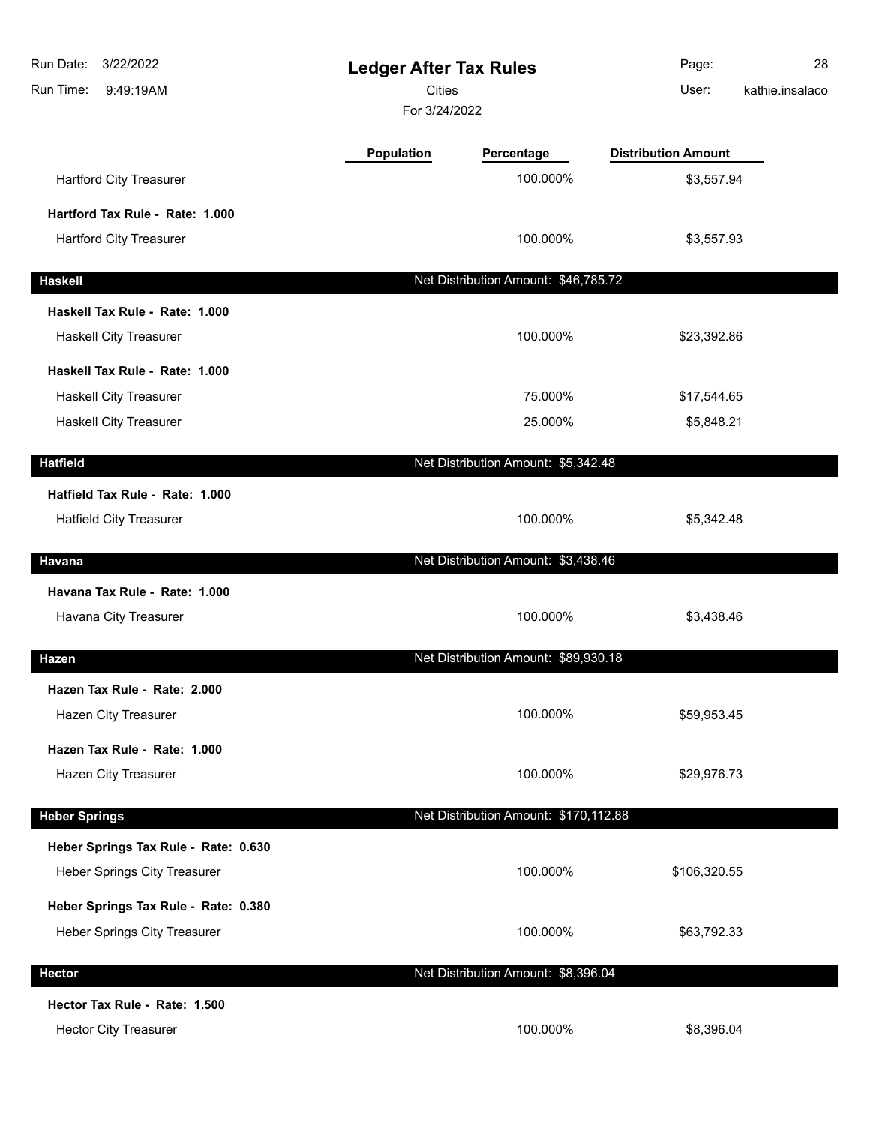| Run Date:<br>3/22/2022<br>Run Time:<br>9:49:19AM | <b>Ledger After Tax Rules</b><br>Cities<br>For 3/24/2022 |                                       | Page:<br>User:             | 28<br>kathie.insalaco |
|--------------------------------------------------|----------------------------------------------------------|---------------------------------------|----------------------------|-----------------------|
|                                                  | Population                                               | Percentage                            | <b>Distribution Amount</b> |                       |
| <b>Hartford City Treasurer</b>                   |                                                          | 100.000%                              | \$3,557.94                 |                       |
| Hartford Tax Rule - Rate: 1.000                  |                                                          |                                       |                            |                       |
| <b>Hartford City Treasurer</b>                   |                                                          | 100.000%                              | \$3,557.93                 |                       |
| <b>Haskell</b>                                   |                                                          | Net Distribution Amount: \$46,785.72  |                            |                       |
| Haskell Tax Rule - Rate: 1.000                   |                                                          |                                       |                            |                       |
| <b>Haskell City Treasurer</b>                    |                                                          | 100.000%                              | \$23,392.86                |                       |
| Haskell Tax Rule - Rate: 1.000                   |                                                          |                                       |                            |                       |
| Haskell City Treasurer                           |                                                          | 75.000%                               | \$17,544.65                |                       |
| <b>Haskell City Treasurer</b>                    |                                                          | 25.000%                               | \$5,848.21                 |                       |
| <b>Hatfield</b>                                  |                                                          | Net Distribution Amount: \$5,342.48   |                            |                       |
| Hatfield Tax Rule - Rate: 1.000                  |                                                          |                                       |                            |                       |
| <b>Hatfield City Treasurer</b>                   |                                                          | 100.000%                              | \$5,342.48                 |                       |
| Havana                                           |                                                          | Net Distribution Amount: \$3,438.46   |                            |                       |
| Havana Tax Rule - Rate: 1.000                    |                                                          |                                       |                            |                       |
| Havana City Treasurer                            |                                                          | 100.000%                              | \$3,438.46                 |                       |
| <b>Hazen</b>                                     |                                                          | Net Distribution Amount: \$89,930.18  |                            |                       |
| Hazen Tax Rule - Rate: 2.000                     |                                                          |                                       |                            |                       |
| Hazen City Treasurer                             |                                                          | 100.000%                              | \$59,953.45                |                       |
| Hazen Tax Rule - Rate: 1.000                     |                                                          |                                       |                            |                       |
| Hazen City Treasurer                             |                                                          | 100.000%                              | \$29,976.73                |                       |
|                                                  |                                                          |                                       |                            |                       |
| <b>Heber Springs</b>                             |                                                          | Net Distribution Amount: \$170,112.88 |                            |                       |
| Heber Springs Tax Rule - Rate: 0.630             |                                                          |                                       |                            |                       |
| Heber Springs City Treasurer                     |                                                          | 100.000%                              | \$106,320.55               |                       |
| Heber Springs Tax Rule - Rate: 0.380             |                                                          |                                       |                            |                       |
| Heber Springs City Treasurer                     |                                                          | 100.000%                              | \$63,792.33                |                       |
| <b>Hector</b>                                    |                                                          | Net Distribution Amount: \$8,396.04   |                            |                       |
| Hector Tax Rule - Rate: 1.500                    |                                                          |                                       |                            |                       |
| <b>Hector City Treasurer</b>                     |                                                          | 100.000%                              | \$8,396.04                 |                       |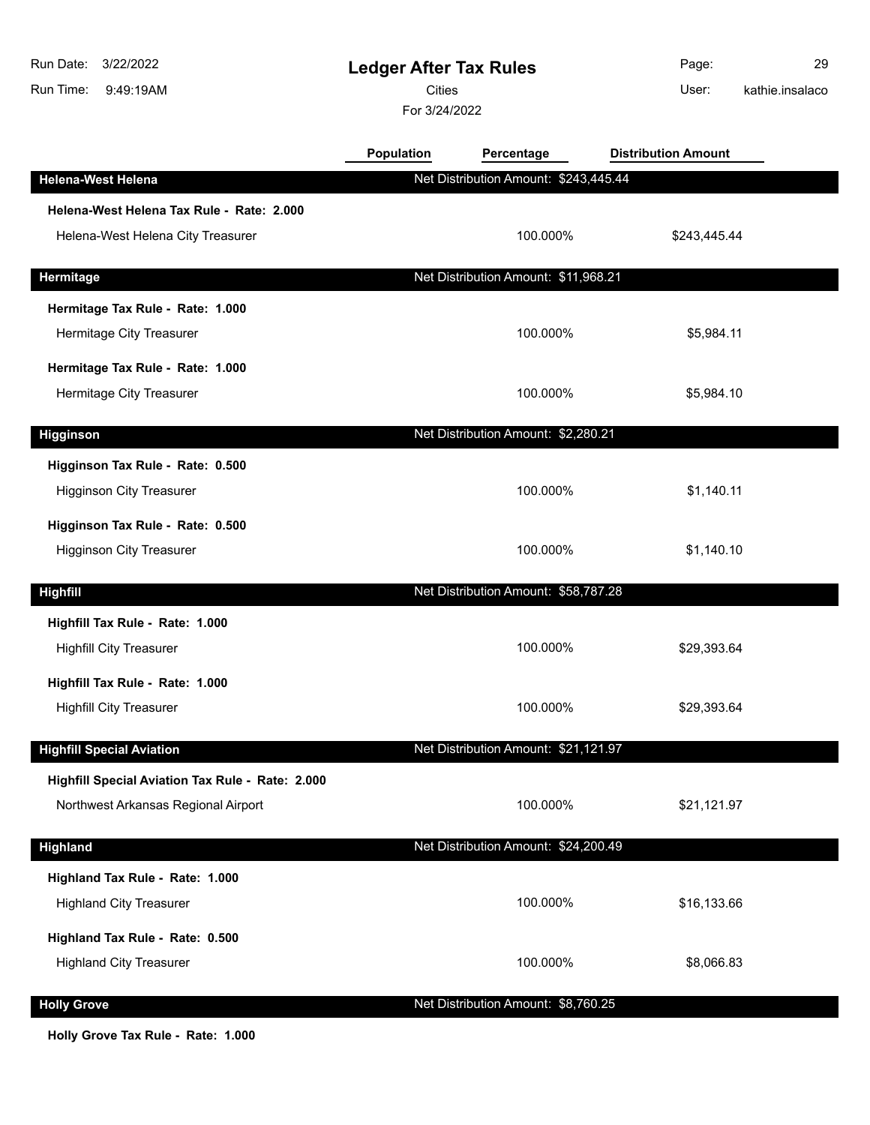| 3/22/2022<br>Run Date:<br>9:49:19AM<br>Run Time: | <b>Ledger After Tax Rules</b><br><b>Cities</b><br>For 3/24/2022 |                                       | Page:<br>User:             | 29<br>kathie.insalaco |
|--------------------------------------------------|-----------------------------------------------------------------|---------------------------------------|----------------------------|-----------------------|
|                                                  | <b>Population</b>                                               | Percentage                            | <b>Distribution Amount</b> |                       |
| <b>Helena-West Helena</b>                        |                                                                 | Net Distribution Amount: \$243,445.44 |                            |                       |
| Helena-West Helena Tax Rule - Rate: 2.000        |                                                                 |                                       |                            |                       |
| Helena-West Helena City Treasurer                |                                                                 | 100.000%                              | \$243,445.44               |                       |
| Hermitage                                        |                                                                 | Net Distribution Amount: \$11,968.21  |                            |                       |
| Hermitage Tax Rule - Rate: 1.000                 |                                                                 |                                       |                            |                       |
| Hermitage City Treasurer                         |                                                                 | 100.000%                              | \$5,984.11                 |                       |
| Hermitage Tax Rule - Rate: 1.000                 |                                                                 |                                       |                            |                       |
| Hermitage City Treasurer                         |                                                                 | 100.000%                              | \$5,984.10                 |                       |
| <b>Higginson</b>                                 |                                                                 | Net Distribution Amount: \$2,280.21   |                            |                       |
| Higginson Tax Rule - Rate: 0.500                 |                                                                 |                                       |                            |                       |
| <b>Higginson City Treasurer</b>                  |                                                                 | 100.000%                              | \$1,140.11                 |                       |
| Higginson Tax Rule - Rate: 0.500                 |                                                                 |                                       |                            |                       |
| <b>Higginson City Treasurer</b>                  |                                                                 | 100.000%                              | \$1,140.10                 |                       |
| <b>Highfill</b>                                  |                                                                 | Net Distribution Amount: \$58,787.28  |                            |                       |
| Highfill Tax Rule - Rate: 1.000                  |                                                                 |                                       |                            |                       |
| <b>Highfill City Treasurer</b>                   |                                                                 | 100.000%                              | \$29,393.64                |                       |
| Highfill Tax Rule - Rate: 1.000                  |                                                                 |                                       |                            |                       |
| <b>Highfill City Treasurer</b>                   |                                                                 | 100.000%                              | \$29,393.64                |                       |
| <b>Highfill Special Aviation</b>                 |                                                                 | Net Distribution Amount: \$21,121.97  |                            |                       |
| Highfill Special Aviation Tax Rule - Rate: 2.000 |                                                                 |                                       |                            |                       |
| Northwest Arkansas Regional Airport              |                                                                 | 100.000%                              | \$21,121.97                |                       |
| <b>Highland</b>                                  |                                                                 | Net Distribution Amount: \$24,200.49  |                            |                       |
| Highland Tax Rule - Rate: 1.000                  |                                                                 |                                       |                            |                       |
| <b>Highland City Treasurer</b>                   |                                                                 | 100.000%                              | \$16,133.66                |                       |
| Highland Tax Rule - Rate: 0.500                  |                                                                 |                                       |                            |                       |
| <b>Highland City Treasurer</b>                   |                                                                 | 100.000%                              | \$8,066.83                 |                       |
| <b>Holly Grove</b>                               |                                                                 | Net Distribution Amount: \$8,760.25   |                            |                       |

**Holly Grove Tax Rule - Rate: 1.000**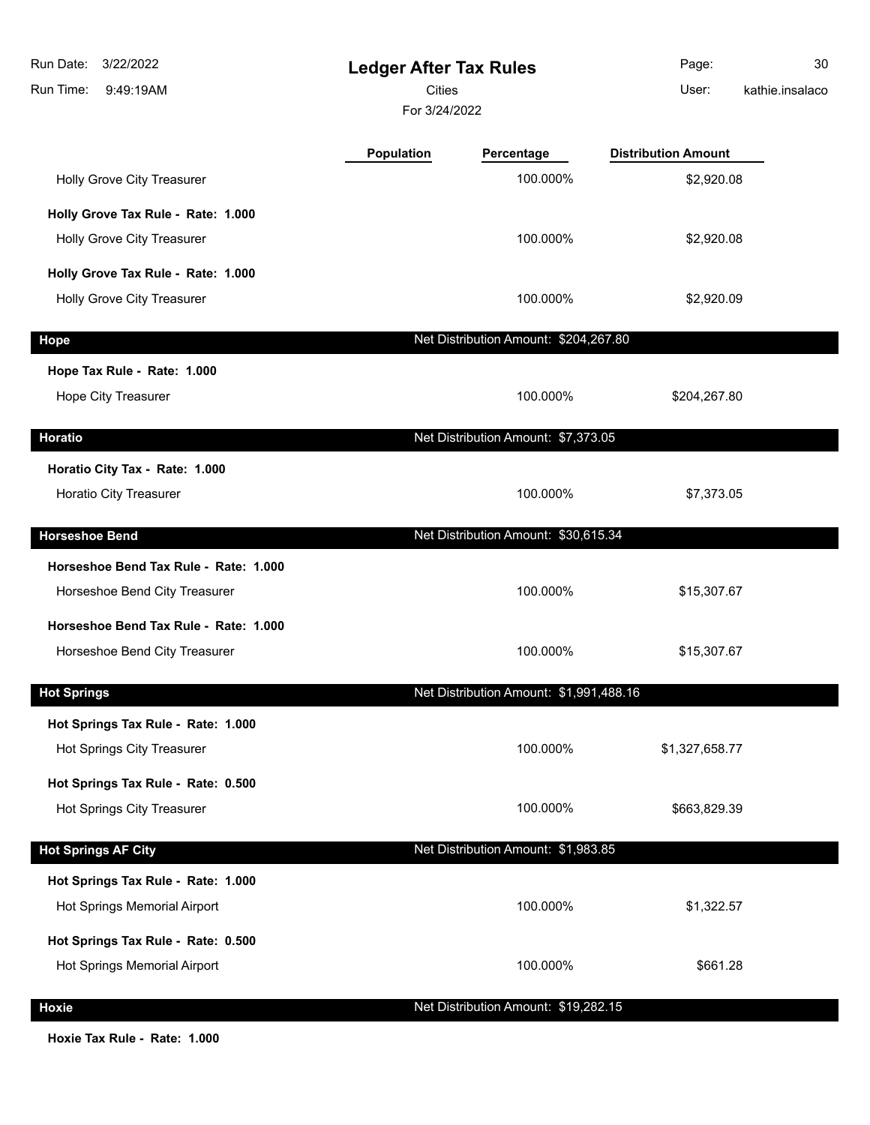| Run Date:<br>3/22/2022<br>Run Time:<br>9:49:19AM                       | <b>Ledger After Tax Rules</b><br><b>Cities</b><br>For 3/24/2022 |                                         | Page:<br>User:             | 30<br>kathie.insalaco |
|------------------------------------------------------------------------|-----------------------------------------------------------------|-----------------------------------------|----------------------------|-----------------------|
|                                                                        | <b>Population</b>                                               | Percentage                              | <b>Distribution Amount</b> |                       |
| Holly Grove City Treasurer                                             |                                                                 | 100.000%                                | \$2,920.08                 |                       |
| Holly Grove Tax Rule - Rate: 1.000                                     |                                                                 |                                         |                            |                       |
| Holly Grove City Treasurer                                             |                                                                 | 100.000%                                | \$2,920.08                 |                       |
| Holly Grove Tax Rule - Rate: 1.000                                     |                                                                 |                                         |                            |                       |
| Holly Grove City Treasurer                                             |                                                                 | 100.000%                                | \$2,920.09                 |                       |
| <b>Hope</b>                                                            |                                                                 | Net Distribution Amount: \$204,267.80   |                            |                       |
| Hope Tax Rule - Rate: 1.000                                            |                                                                 |                                         |                            |                       |
| Hope City Treasurer                                                    |                                                                 | 100.000%                                | \$204,267.80               |                       |
| <b>Horatio</b>                                                         |                                                                 | Net Distribution Amount: \$7,373.05     |                            |                       |
| Horatio City Tax - Rate: 1.000<br>Horatio City Treasurer               |                                                                 | 100.000%                                | \$7,373.05                 |                       |
| <b>Horseshoe Bend</b>                                                  |                                                                 | Net Distribution Amount: \$30,615.34    |                            |                       |
| Horseshoe Bend Tax Rule - Rate: 1.000                                  |                                                                 |                                         |                            |                       |
| Horseshoe Bend City Treasurer                                          |                                                                 | 100.000%                                | \$15,307.67                |                       |
| Horseshoe Bend Tax Rule - Rate: 1.000<br>Horseshoe Bend City Treasurer |                                                                 | 100.000%                                | \$15,307.67                |                       |
| <b>Hot Springs</b>                                                     |                                                                 | Net Distribution Amount: \$1,991,488.16 |                            |                       |
| Hot Springs Tax Rule - Rate: 1.000                                     |                                                                 |                                         |                            |                       |
| Hot Springs City Treasurer                                             |                                                                 | 100.000%                                | \$1,327,658.77             |                       |
| Hot Springs Tax Rule - Rate: 0.500                                     |                                                                 |                                         |                            |                       |
| Hot Springs City Treasurer                                             |                                                                 | 100.000%                                | \$663,829.39               |                       |
| <b>Hot Springs AF City</b>                                             |                                                                 | Net Distribution Amount: \$1,983.85     |                            |                       |
| Hot Springs Tax Rule - Rate: 1.000                                     |                                                                 |                                         |                            |                       |
| Hot Springs Memorial Airport                                           |                                                                 | 100.000%                                | \$1,322.57                 |                       |
| Hot Springs Tax Rule - Rate: 0.500                                     |                                                                 |                                         |                            |                       |
| Hot Springs Memorial Airport                                           |                                                                 | 100.000%                                | \$661.28                   |                       |
| <b>Hoxie</b>                                                           |                                                                 | Net Distribution Amount: \$19,282.15    |                            |                       |

**Hoxie Tax Rule - Rate: 1.000**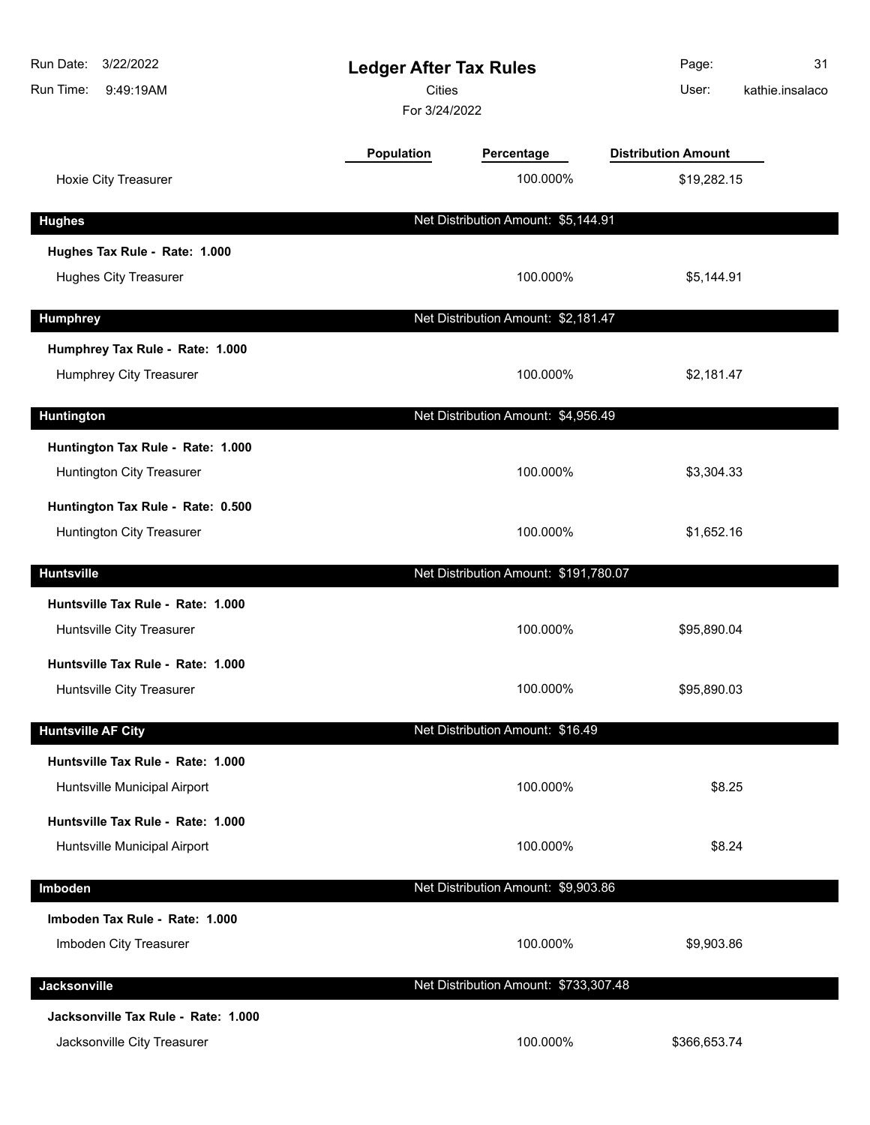| Run Date:<br>3/22/2022<br>Run Time:<br>9:49:19AM                   |                   | <b>Ledger After Tax Rules</b><br><b>Cities</b><br>For 3/24/2022 |                            | 31<br>kathie.insalaco |
|--------------------------------------------------------------------|-------------------|-----------------------------------------------------------------|----------------------------|-----------------------|
|                                                                    | <b>Population</b> | Percentage                                                      | <b>Distribution Amount</b> |                       |
| Hoxie City Treasurer                                               |                   | 100.000%                                                        | \$19,282.15                |                       |
| <b>Hughes</b>                                                      |                   | Net Distribution Amount: \$5,144.91                             |                            |                       |
| Hughes Tax Rule - Rate: 1.000                                      |                   |                                                                 |                            |                       |
| <b>Hughes City Treasurer</b>                                       |                   | 100.000%                                                        | \$5,144.91                 |                       |
| <b>Humphrey</b>                                                    |                   | Net Distribution Amount: \$2,181.47                             |                            |                       |
| Humphrey Tax Rule - Rate: 1.000                                    |                   |                                                                 |                            |                       |
| Humphrey City Treasurer                                            |                   | 100.000%                                                        | \$2,181.47                 |                       |
| Huntington                                                         |                   | Net Distribution Amount: \$4,956.49                             |                            |                       |
| Huntington Tax Rule - Rate: 1.000<br>Huntington City Treasurer     |                   | 100.000%                                                        | \$3,304.33                 |                       |
| Huntington Tax Rule - Rate: 0.500<br>Huntington City Treasurer     |                   | 100.000%                                                        | \$1,652.16                 |                       |
| <b>Huntsville</b>                                                  |                   | Net Distribution Amount: \$191,780.07                           |                            |                       |
| Huntsville Tax Rule - Rate: 1.000<br>Huntsville City Treasurer     |                   | 100.000%                                                        | \$95,890.04                |                       |
| Huntsville Tax Rule - Rate: 1.000<br>Huntsville City Treasurer     |                   | 100.000%                                                        | \$95,890.03                |                       |
| <b>Huntsville AF City</b>                                          |                   | Net Distribution Amount: \$16.49                                |                            |                       |
| Huntsville Tax Rule - Rate: 1.000<br>Huntsville Municipal Airport  |                   | 100.000%                                                        | \$8.25                     |                       |
| Huntsville Tax Rule - Rate: 1.000<br>Huntsville Municipal Airport  |                   | 100.000%                                                        | \$8.24                     |                       |
| Imboden                                                            |                   | Net Distribution Amount: \$9,903.86                             |                            |                       |
| Imboden Tax Rule - Rate: 1.000<br>Imboden City Treasurer           |                   | 100.000%                                                        | \$9,903.86                 |                       |
| Jacksonville                                                       |                   | Net Distribution Amount: \$733,307.48                           |                            |                       |
| Jacksonville Tax Rule - Rate: 1.000<br>Jacksonville City Treasurer |                   | 100.000%                                                        | \$366,653.74               |                       |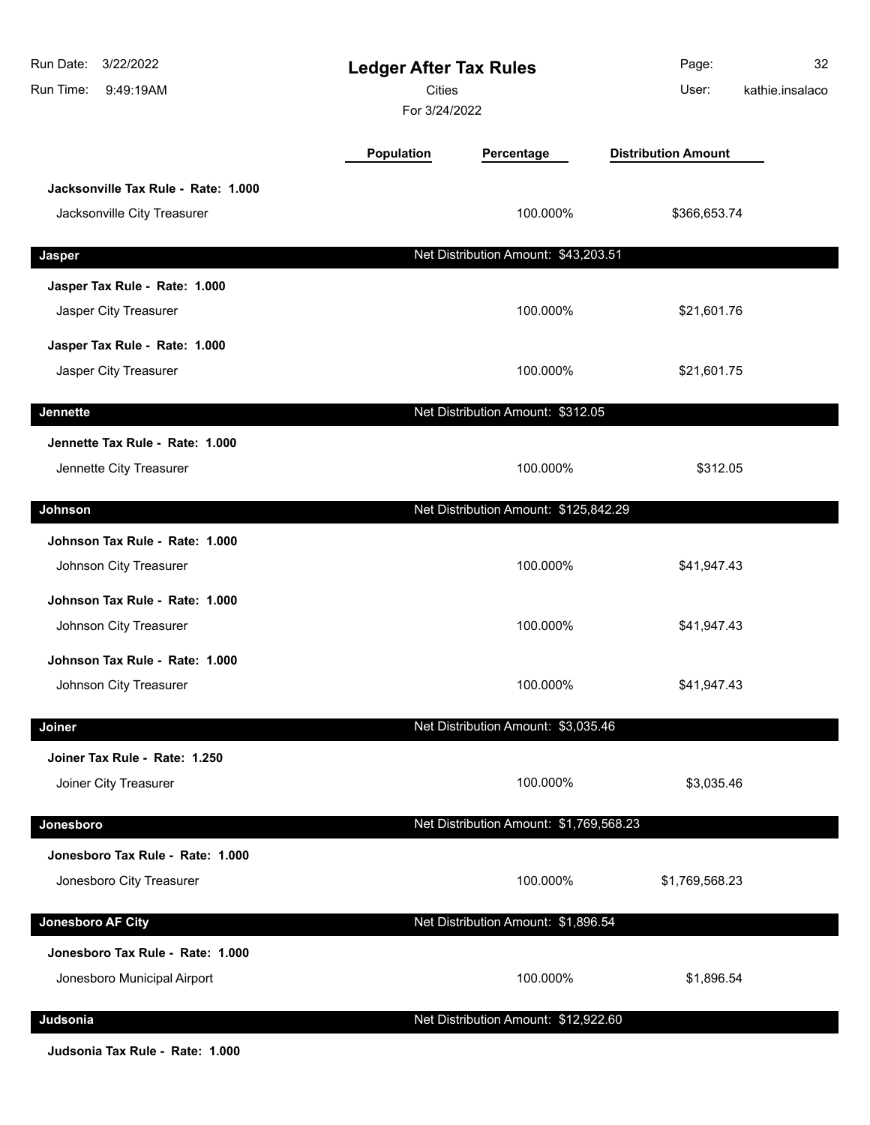| Run Date:<br>3/22/2022<br>Run Time:<br>9:49:19AM                   | <b>Ledger After Tax Rules</b><br><b>Cities</b><br>For 3/24/2022 |                                         | Page:<br>User:             | 32<br>kathie.insalaco |
|--------------------------------------------------------------------|-----------------------------------------------------------------|-----------------------------------------|----------------------------|-----------------------|
|                                                                    | Population                                                      | Percentage                              | <b>Distribution Amount</b> |                       |
| Jacksonville Tax Rule - Rate: 1.000<br>Jacksonville City Treasurer |                                                                 | 100.000%                                | \$366,653.74               |                       |
| Jasper                                                             |                                                                 | Net Distribution Amount: \$43,203.51    |                            |                       |
| Jasper Tax Rule - Rate: 1.000<br>Jasper City Treasurer             |                                                                 | 100.000%                                | \$21,601.76                |                       |
| Jasper Tax Rule - Rate: 1.000<br>Jasper City Treasurer             |                                                                 | 100.000%                                | \$21,601.75                |                       |
| Jennette                                                           |                                                                 | Net Distribution Amount: \$312.05       |                            |                       |
| Jennette Tax Rule - Rate: 1.000<br>Jennette City Treasurer         |                                                                 | 100.000%                                | \$312.05                   |                       |
| Johnson                                                            |                                                                 | Net Distribution Amount: \$125,842.29   |                            |                       |
| Johnson Tax Rule - Rate: 1.000<br>Johnson City Treasurer           |                                                                 | 100.000%                                | \$41,947.43                |                       |
| Johnson Tax Rule - Rate: 1.000<br>Johnson City Treasurer           |                                                                 | 100.000%                                | \$41,947.43                |                       |
| Johnson Tax Rule - Rate: 1.000<br>Johnson City Treasurer           |                                                                 | 100.000%                                | \$41,947.43                |                       |
| Joiner                                                             |                                                                 | Net Distribution Amount: \$3,035.46     |                            |                       |
| Joiner Tax Rule - Rate: 1.250<br>Joiner City Treasurer             |                                                                 | 100.000%                                | \$3,035.46                 |                       |
| Jonesboro                                                          |                                                                 | Net Distribution Amount: \$1,769,568.23 |                            |                       |
| Jonesboro Tax Rule - Rate: 1.000<br>Jonesboro City Treasurer       |                                                                 | 100.000%                                | \$1,769,568.23             |                       |
| <b>Jonesboro AF City</b>                                           |                                                                 | Net Distribution Amount: \$1,896.54     |                            |                       |
| Jonesboro Tax Rule - Rate: 1.000<br>Jonesboro Municipal Airport    |                                                                 | 100.000%                                | \$1,896.54                 |                       |
| Judsonia                                                           |                                                                 | Net Distribution Amount: \$12,922.60    |                            |                       |

**Judsonia Tax Rule - Rate: 1.000**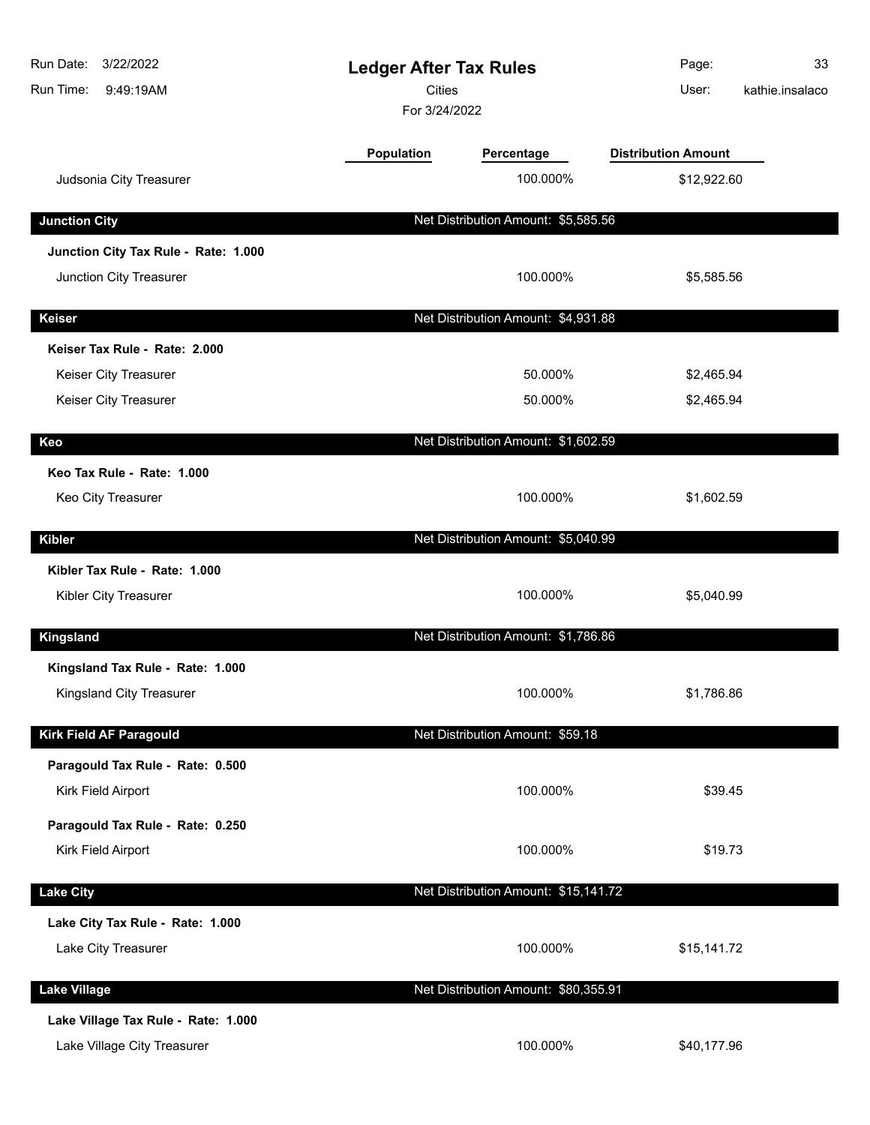| Run Date:<br>3/22/2022<br>Run Time:<br>9:49:19AM | <b>Ledger After Tax Rules</b><br>Cities<br>For 3/24/2022 |                                      | Page:<br>User:             | 33<br>kathie.insalaco |
|--------------------------------------------------|----------------------------------------------------------|--------------------------------------|----------------------------|-----------------------|
|                                                  | <b>Population</b>                                        | Percentage                           | <b>Distribution Amount</b> |                       |
| Judsonia City Treasurer                          |                                                          | 100.000%                             | \$12,922.60                |                       |
| <b>Junction City</b>                             |                                                          | Net Distribution Amount: \$5,585.56  |                            |                       |
| Junction City Tax Rule - Rate: 1.000             |                                                          |                                      |                            |                       |
| Junction City Treasurer                          |                                                          | 100.000%                             | \$5,585.56                 |                       |
| Keiser                                           |                                                          | Net Distribution Amount: \$4,931.88  |                            |                       |
| Keiser Tax Rule - Rate: 2.000                    |                                                          |                                      |                            |                       |
| Keiser City Treasurer                            |                                                          | 50.000%                              | \$2,465.94                 |                       |
| Keiser City Treasurer                            |                                                          | 50.000%                              | \$2,465.94                 |                       |
| Keo                                              |                                                          | Net Distribution Amount: \$1,602.59  |                            |                       |
| Keo Tax Rule - Rate: 1.000                       |                                                          |                                      |                            |                       |
| Keo City Treasurer                               |                                                          | 100.000%                             | \$1,602.59                 |                       |
| <b>Kibler</b>                                    |                                                          | Net Distribution Amount: \$5,040.99  |                            |                       |
| Kibler Tax Rule - Rate: 1.000                    |                                                          |                                      |                            |                       |
| Kibler City Treasurer                            |                                                          | 100.000%                             | \$5,040.99                 |                       |
| Kingsland                                        |                                                          | Net Distribution Amount: \$1,786.86  |                            |                       |
| Kingsland Tax Rule - Rate: 1.000                 |                                                          |                                      |                            |                       |
| Kingsland City Treasurer                         |                                                          | 100.000%                             | \$1,786.86                 |                       |
| Kirk Field AF Paragould                          |                                                          | Net Distribution Amount: \$59.18     |                            |                       |
| Paragould Tax Rule - Rate: 0.500                 |                                                          |                                      |                            |                       |
| Kirk Field Airport                               |                                                          | 100.000%                             | \$39.45                    |                       |
| Paragould Tax Rule - Rate: 0.250                 |                                                          |                                      |                            |                       |
| Kirk Field Airport                               |                                                          | 100.000%                             | \$19.73                    |                       |
| <b>Lake City</b>                                 |                                                          | Net Distribution Amount: \$15,141.72 |                            |                       |
| Lake City Tax Rule - Rate: 1.000                 |                                                          |                                      |                            |                       |
| Lake City Treasurer                              |                                                          | 100.000%                             | \$15,141.72                |                       |
| <b>Lake Village</b>                              |                                                          | Net Distribution Amount: \$80,355.91 |                            |                       |
| Lake Village Tax Rule - Rate: 1.000              |                                                          |                                      |                            |                       |
| Lake Village City Treasurer                      |                                                          | 100.000%                             | \$40,177.96                |                       |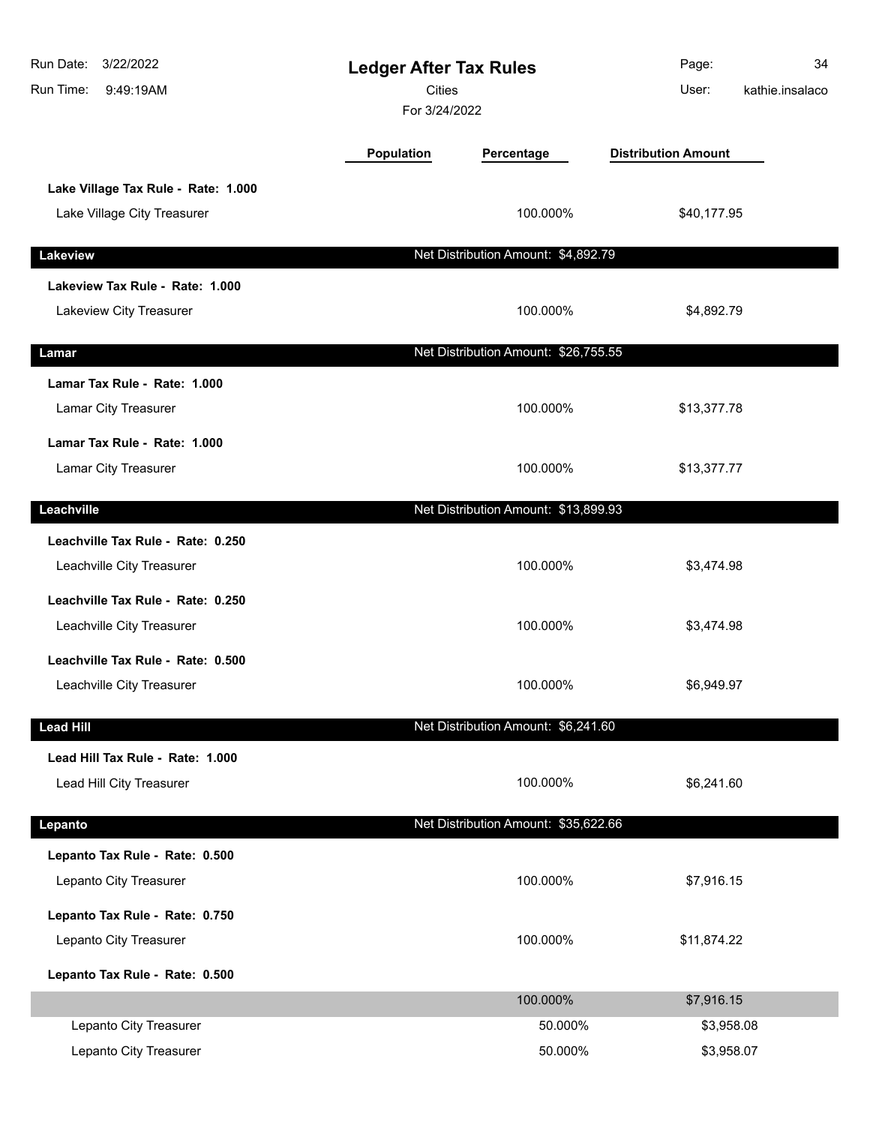| 3/22/2022<br>Run Date:<br>Run Time:<br>9:49:19AM | <b>Ledger After Tax Rules</b><br><b>Cities</b><br>For 3/24/2022 |                                      | Page:<br>User:             | 34<br>kathie.insalaco |
|--------------------------------------------------|-----------------------------------------------------------------|--------------------------------------|----------------------------|-----------------------|
|                                                  | Population                                                      | Percentage                           | <b>Distribution Amount</b> |                       |
| Lake Village Tax Rule - Rate: 1.000              |                                                                 |                                      |                            |                       |
| Lake Village City Treasurer                      |                                                                 | 100.000%                             | \$40,177.95                |                       |
| Lakeview                                         |                                                                 | Net Distribution Amount: \$4,892.79  |                            |                       |
| Lakeview Tax Rule - Rate: 1.000                  |                                                                 |                                      |                            |                       |
| Lakeview City Treasurer                          |                                                                 | 100.000%                             | \$4,892.79                 |                       |
| Lamar                                            |                                                                 | Net Distribution Amount: \$26,755.55 |                            |                       |
| Lamar Tax Rule - Rate: 1.000                     |                                                                 |                                      |                            |                       |
| Lamar City Treasurer                             |                                                                 | 100.000%                             | \$13,377.78                |                       |
| Lamar Tax Rule - Rate: 1.000                     |                                                                 |                                      |                            |                       |
| Lamar City Treasurer                             |                                                                 | 100.000%                             | \$13,377.77                |                       |
| Leachville                                       |                                                                 | Net Distribution Amount: \$13,899.93 |                            |                       |
| Leachville Tax Rule - Rate: 0.250                |                                                                 |                                      |                            |                       |
| Leachville City Treasurer                        |                                                                 | 100.000%                             | \$3,474.98                 |                       |
| Leachville Tax Rule - Rate: 0.250                |                                                                 |                                      |                            |                       |
| Leachville City Treasurer                        |                                                                 | 100.000%                             | \$3,474.98                 |                       |
| Leachville Tax Rule - Rate: 0.500                |                                                                 |                                      |                            |                       |
| Leachville City Treasurer                        |                                                                 | 100.000%                             | \$6,949.97                 |                       |
| <b>Lead Hill</b>                                 |                                                                 | Net Distribution Amount: \$6,241.60  |                            |                       |
| Lead Hill Tax Rule - Rate: 1.000                 |                                                                 |                                      |                            |                       |
| Lead Hill City Treasurer                         |                                                                 | 100.000%                             | \$6,241.60                 |                       |
| Lepanto                                          |                                                                 | Net Distribution Amount: \$35,622.66 |                            |                       |
| Lepanto Tax Rule - Rate: 0.500                   |                                                                 |                                      |                            |                       |
| Lepanto City Treasurer                           |                                                                 | 100.000%                             | \$7,916.15                 |                       |
| Lepanto Tax Rule - Rate: 0.750                   |                                                                 |                                      |                            |                       |
| Lepanto City Treasurer                           |                                                                 | 100.000%                             | \$11,874.22                |                       |
| Lepanto Tax Rule - Rate: 0.500                   |                                                                 |                                      |                            |                       |
|                                                  |                                                                 | 100.000%                             | \$7,916.15                 |                       |
| Lepanto City Treasurer                           |                                                                 | 50.000%                              | \$3,958.08                 |                       |
| Lepanto City Treasurer                           |                                                                 | 50.000%                              | \$3,958.07                 |                       |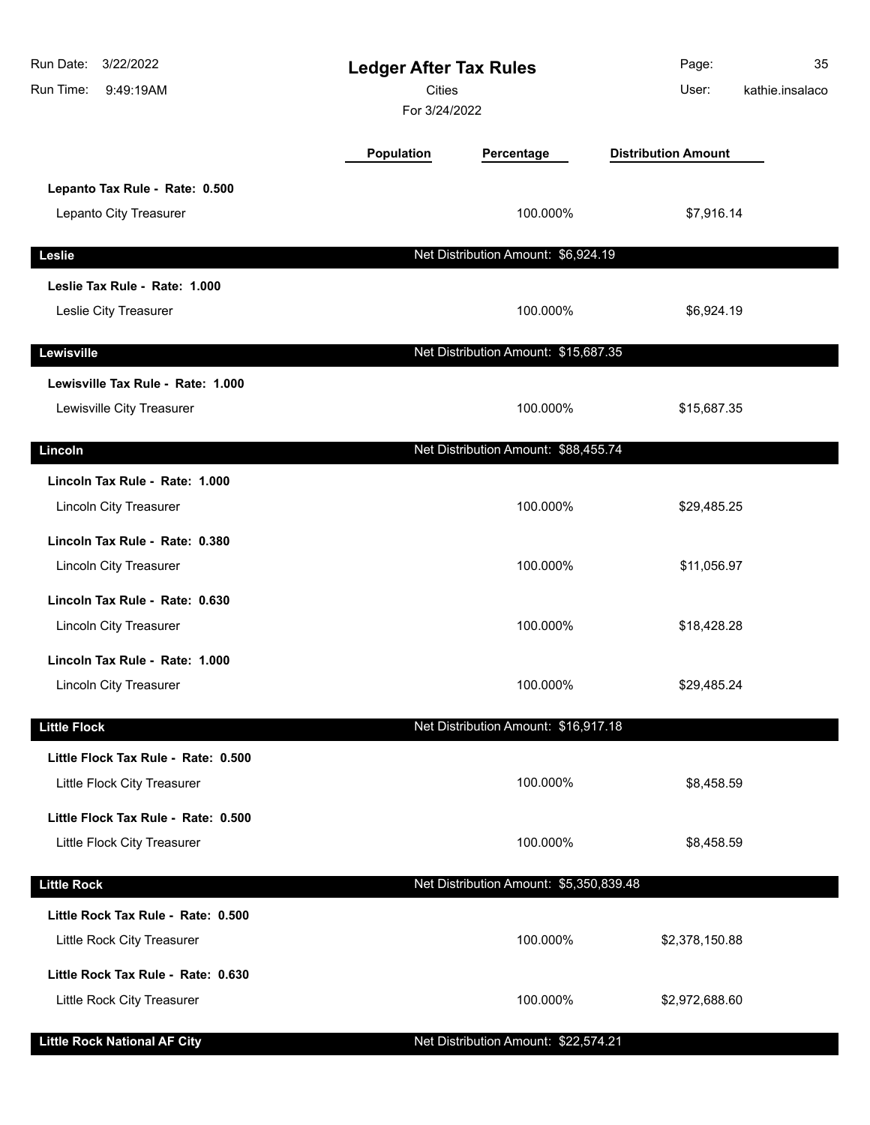| Run Date: 3/22/2022<br>Run Time:<br>9:49:19AM            | <b>Ledger After Tax Rules</b><br><b>Cities</b><br>For 3/24/2022 |                                         | Page:<br>User:             | 35<br>kathie.insalaco |
|----------------------------------------------------------|-----------------------------------------------------------------|-----------------------------------------|----------------------------|-----------------------|
|                                                          | Population                                                      | Percentage                              | <b>Distribution Amount</b> |                       |
| Lepanto Tax Rule - Rate: 0.500<br>Lepanto City Treasurer |                                                                 | 100.000%                                | \$7,916.14                 |                       |
| Leslie                                                   |                                                                 | Net Distribution Amount: \$6,924.19     |                            |                       |
| Leslie Tax Rule - Rate: 1.000                            |                                                                 |                                         |                            |                       |
| Leslie City Treasurer                                    |                                                                 | 100.000%                                | \$6,924.19                 |                       |
| Lewisville                                               |                                                                 | Net Distribution Amount: \$15,687.35    |                            |                       |
| Lewisville Tax Rule - Rate: 1.000                        |                                                                 |                                         |                            |                       |
| Lewisville City Treasurer                                |                                                                 | 100.000%                                | \$15,687.35                |                       |
| Lincoln                                                  |                                                                 | Net Distribution Amount: \$88,455.74    |                            |                       |
| Lincoln Tax Rule - Rate: 1.000                           |                                                                 |                                         |                            |                       |
| Lincoln City Treasurer                                   |                                                                 | 100.000%                                | \$29,485.25                |                       |
| Lincoln Tax Rule - Rate: 0.380                           |                                                                 |                                         |                            |                       |
| Lincoln City Treasurer                                   |                                                                 | 100.000%                                | \$11,056.97                |                       |
| Lincoln Tax Rule - Rate: 0.630                           |                                                                 |                                         |                            |                       |
| Lincoln City Treasurer                                   |                                                                 | 100.000%                                | \$18,428.28                |                       |
| Lincoln Tax Rule - Rate: 1.000                           |                                                                 |                                         |                            |                       |
| <b>Lincoln City Treasurer</b>                            |                                                                 | 100.000%                                | \$29,485.24                |                       |
| <b>Little Flock</b>                                      |                                                                 | Net Distribution Amount: \$16,917.18    |                            |                       |
| Little Flock Tax Rule - Rate: 0.500                      |                                                                 |                                         |                            |                       |
| Little Flock City Treasurer                              |                                                                 | 100.000%                                | \$8,458.59                 |                       |
| Little Flock Tax Rule - Rate: 0.500                      |                                                                 |                                         |                            |                       |
| Little Flock City Treasurer                              |                                                                 | 100.000%                                | \$8,458.59                 |                       |
| <b>Little Rock</b>                                       |                                                                 | Net Distribution Amount: \$5,350,839.48 |                            |                       |
| Little Rock Tax Rule - Rate: 0.500                       |                                                                 |                                         |                            |                       |
| Little Rock City Treasurer                               |                                                                 | 100.000%                                | \$2,378,150.88             |                       |
| Little Rock Tax Rule - Rate: 0.630                       |                                                                 |                                         |                            |                       |
| Little Rock City Treasurer                               |                                                                 | 100.000%                                | \$2,972,688.60             |                       |
| <b>Little Rock National AF City</b>                      |                                                                 | Net Distribution Amount: \$22,574.21    |                            |                       |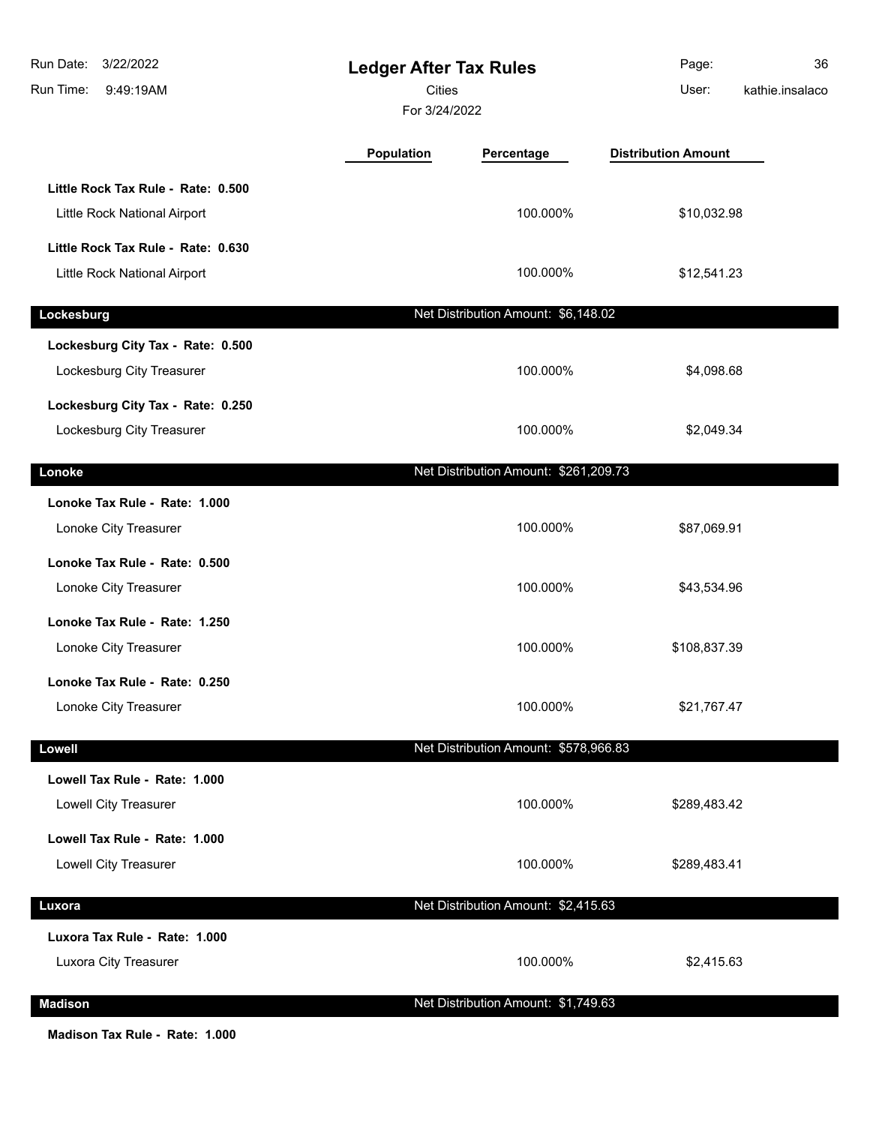| Run Date:<br>3/22/2022<br>Run Time:<br>9:49:19AM                   | <b>Ledger After Tax Rules</b><br><b>Cities</b><br>For 3/24/2022 |                                       | Page:<br>User:             | 36<br>kathie.insalaco |
|--------------------------------------------------------------------|-----------------------------------------------------------------|---------------------------------------|----------------------------|-----------------------|
|                                                                    | Population                                                      | Percentage                            | <b>Distribution Amount</b> |                       |
| Little Rock Tax Rule - Rate: 0.500<br>Little Rock National Airport |                                                                 | 100.000%                              | \$10,032.98                |                       |
| Little Rock Tax Rule - Rate: 0.630<br>Little Rock National Airport |                                                                 | 100.000%                              | \$12,541.23                |                       |
| Lockesburg                                                         |                                                                 | Net Distribution Amount: \$6,148.02   |                            |                       |
| Lockesburg City Tax - Rate: 0.500<br>Lockesburg City Treasurer     |                                                                 | 100.000%                              | \$4,098.68                 |                       |
| Lockesburg City Tax - Rate: 0.250<br>Lockesburg City Treasurer     |                                                                 | 100.000%                              | \$2,049.34                 |                       |
| Lonoke                                                             |                                                                 | Net Distribution Amount: \$261,209.73 |                            |                       |
| Lonoke Tax Rule - Rate: 1.000<br>Lonoke City Treasurer             |                                                                 | 100.000%                              | \$87,069.91                |                       |
| Lonoke Tax Rule - Rate: 0.500<br>Lonoke City Treasurer             |                                                                 | 100.000%                              | \$43,534.96                |                       |
| Lonoke Tax Rule - Rate: 1.250<br>Lonoke City Treasurer             |                                                                 | 100.000%                              | \$108,837.39               |                       |
| Lonoke Tax Rule - Rate: 0.250<br>Lonoke City Treasurer             |                                                                 | 100.000%                              | \$21,767.47                |                       |
| Lowell                                                             |                                                                 | Net Distribution Amount: \$578,966.83 |                            |                       |
| Lowell Tax Rule - Rate: 1.000<br>Lowell City Treasurer             |                                                                 | 100.000%                              | \$289,483.42               |                       |
| Lowell Tax Rule - Rate: 1.000<br>Lowell City Treasurer             |                                                                 | 100.000%                              | \$289,483.41               |                       |
| Luxora                                                             |                                                                 | Net Distribution Amount: \$2,415.63   |                            |                       |
| Luxora Tax Rule - Rate: 1.000<br>Luxora City Treasurer             |                                                                 | 100.000%                              | \$2,415.63                 |                       |
| <b>Madison</b>                                                     |                                                                 | Net Distribution Amount: \$1,749.63   |                            |                       |

**Madison Tax Rule - Rate: 1.000**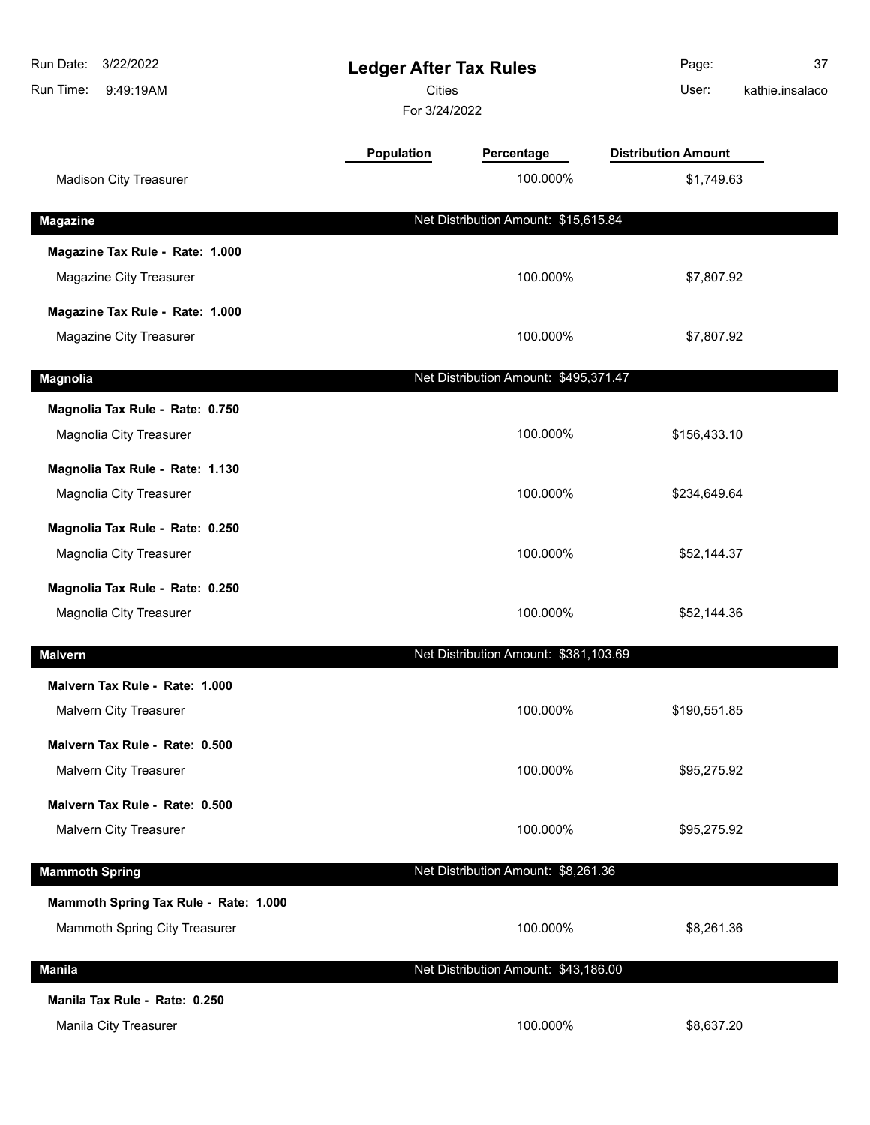| Run Date:<br>3/22/2022<br>Run Time:<br>9:49:19AM | <b>Ledger After Tax Rules</b><br>Cities<br>For 3/24/2022 |                                       | Page:<br>User:             | 37<br>kathie.insalaco |
|--------------------------------------------------|----------------------------------------------------------|---------------------------------------|----------------------------|-----------------------|
|                                                  | <b>Population</b>                                        | Percentage                            | <b>Distribution Amount</b> |                       |
| <b>Madison City Treasurer</b>                    |                                                          | 100.000%                              | \$1,749.63                 |                       |
| <b>Magazine</b>                                  |                                                          | Net Distribution Amount: \$15,615.84  |                            |                       |
| Magazine Tax Rule - Rate: 1.000                  |                                                          |                                       |                            |                       |
| Magazine City Treasurer                          |                                                          | 100.000%                              | \$7,807.92                 |                       |
| Magazine Tax Rule - Rate: 1.000                  |                                                          |                                       |                            |                       |
| Magazine City Treasurer                          |                                                          | 100.000%                              | \$7,807.92                 |                       |
| <b>Magnolia</b>                                  |                                                          | Net Distribution Amount: \$495,371.47 |                            |                       |
| Magnolia Tax Rule - Rate: 0.750                  |                                                          |                                       |                            |                       |
| Magnolia City Treasurer                          |                                                          | 100.000%                              | \$156,433.10               |                       |
| Magnolia Tax Rule - Rate: 1.130                  |                                                          |                                       |                            |                       |
| Magnolia City Treasurer                          |                                                          | 100.000%                              | \$234,649.64               |                       |
| Magnolia Tax Rule - Rate: 0.250                  |                                                          |                                       |                            |                       |
| Magnolia City Treasurer                          |                                                          | 100.000%                              | \$52,144.37                |                       |
| Magnolia Tax Rule - Rate: 0.250                  |                                                          |                                       |                            |                       |
| Magnolia City Treasurer                          |                                                          | 100.000%                              | \$52,144.36                |                       |
| <b>Malvern</b>                                   |                                                          | Net Distribution Amount: \$381,103.69 |                            |                       |
| Malvern Tax Rule - Rate: 1.000                   |                                                          |                                       |                            |                       |
| <b>Malvern City Treasurer</b>                    |                                                          | 100.000%                              | \$190,551.85               |                       |
| Malvern Tax Rule - Rate: 0.500                   |                                                          |                                       |                            |                       |
| Malvern City Treasurer                           |                                                          | 100.000%                              | \$95,275.92                |                       |
| Malvern Tax Rule - Rate: 0.500                   |                                                          |                                       |                            |                       |
| Malvern City Treasurer                           |                                                          | 100.000%                              | \$95,275.92                |                       |
| <b>Mammoth Spring</b>                            |                                                          | Net Distribution Amount: \$8,261.36   |                            |                       |
| Mammoth Spring Tax Rule - Rate: 1.000            |                                                          |                                       |                            |                       |
| Mammoth Spring City Treasurer                    |                                                          | 100.000%                              | \$8,261.36                 |                       |
| <b>Manila</b>                                    |                                                          | Net Distribution Amount: \$43,186.00  |                            |                       |
| Manila Tax Rule - Rate: 0.250                    |                                                          |                                       |                            |                       |
| Manila City Treasurer                            |                                                          | 100.000%                              | \$8,637.20                 |                       |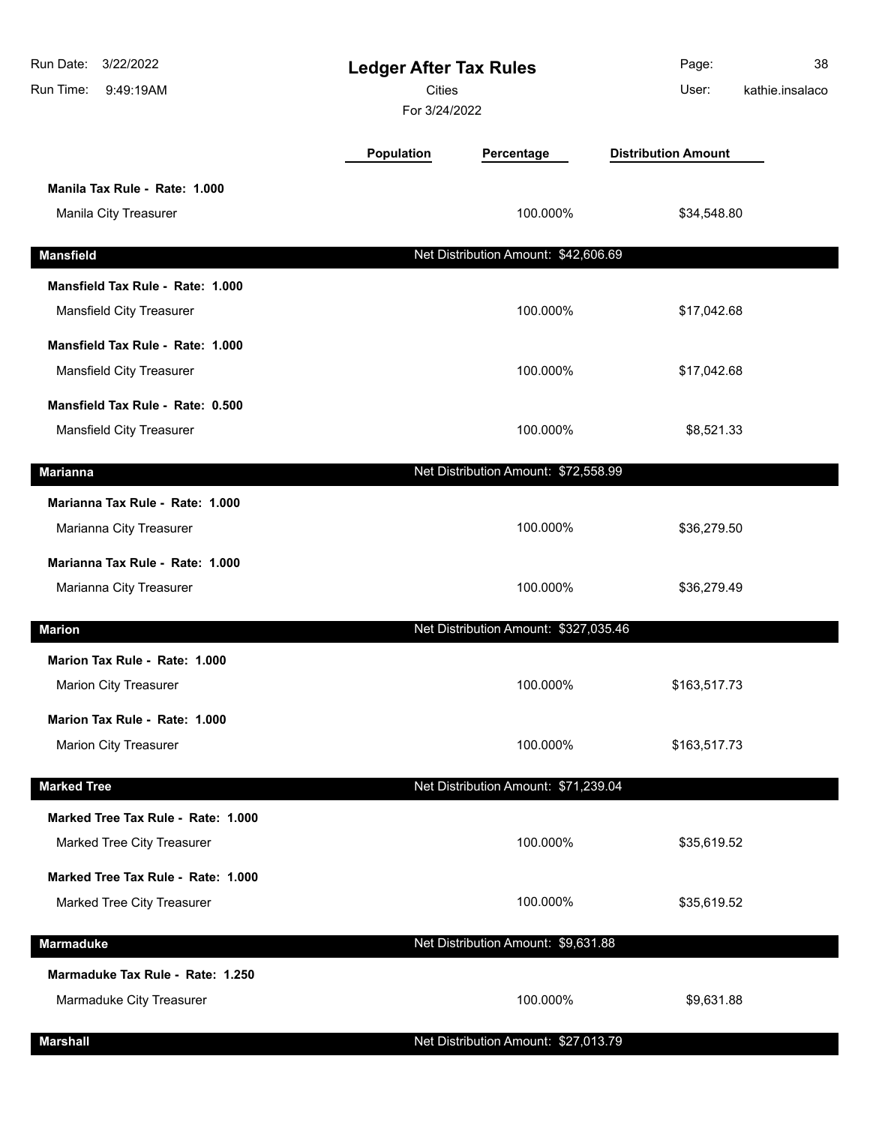| Run Date:<br>3/22/2022<br>Run Time:<br>9:49:19AM                 | <b>Ledger After Tax Rules</b><br>Cities<br>For 3/24/2022 |                                       | Page:<br>User:             | 38<br>kathie.insalaco |
|------------------------------------------------------------------|----------------------------------------------------------|---------------------------------------|----------------------------|-----------------------|
|                                                                  | Population                                               | Percentage                            | <b>Distribution Amount</b> |                       |
| Manila Tax Rule - Rate: 1.000<br>Manila City Treasurer           |                                                          | 100.000%                              | \$34,548.80                |                       |
| <b>Mansfield</b>                                                 |                                                          | Net Distribution Amount: \$42,606.69  |                            |                       |
| Mansfield Tax Rule - Rate: 1.000<br>Mansfield City Treasurer     |                                                          | 100.000%                              | \$17,042.68                |                       |
| Mansfield Tax Rule - Rate: 1.000<br>Mansfield City Treasurer     |                                                          | 100.000%                              | \$17,042.68                |                       |
| Mansfield Tax Rule - Rate: 0.500<br>Mansfield City Treasurer     |                                                          | 100.000%                              | \$8,521.33                 |                       |
| <b>Marianna</b>                                                  |                                                          | Net Distribution Amount: \$72,558.99  |                            |                       |
| Marianna Tax Rule - Rate: 1.000<br>Marianna City Treasurer       |                                                          | 100.000%                              | \$36,279.50                |                       |
| Marianna Tax Rule - Rate: 1.000<br>Marianna City Treasurer       |                                                          | 100.000%                              | \$36,279.49                |                       |
| <b>Marion</b>                                                    |                                                          | Net Distribution Amount: \$327,035.46 |                            |                       |
| Marion Tax Rule - Rate: 1.000<br><b>Marion City Treasurer</b>    |                                                          | 100.000%                              | \$163,517.73               |                       |
| Marion Tax Rule - Rate: 1.000<br>Marion City Treasurer           |                                                          | 100.000%                              | \$163,517.73               |                       |
| <b>Marked Tree</b>                                               |                                                          | Net Distribution Amount: \$71,239.04  |                            |                       |
| Marked Tree Tax Rule - Rate: 1.000<br>Marked Tree City Treasurer |                                                          | 100.000%                              | \$35,619.52                |                       |
| Marked Tree Tax Rule - Rate: 1.000<br>Marked Tree City Treasurer |                                                          | 100.000%                              | \$35,619.52                |                       |
| Marmaduke                                                        |                                                          | Net Distribution Amount: \$9,631.88   |                            |                       |
| Marmaduke Tax Rule - Rate: 1.250<br>Marmaduke City Treasurer     |                                                          | 100.000%                              | \$9,631.88                 |                       |
| <b>Marshall</b>                                                  |                                                          | Net Distribution Amount: \$27,013.79  |                            |                       |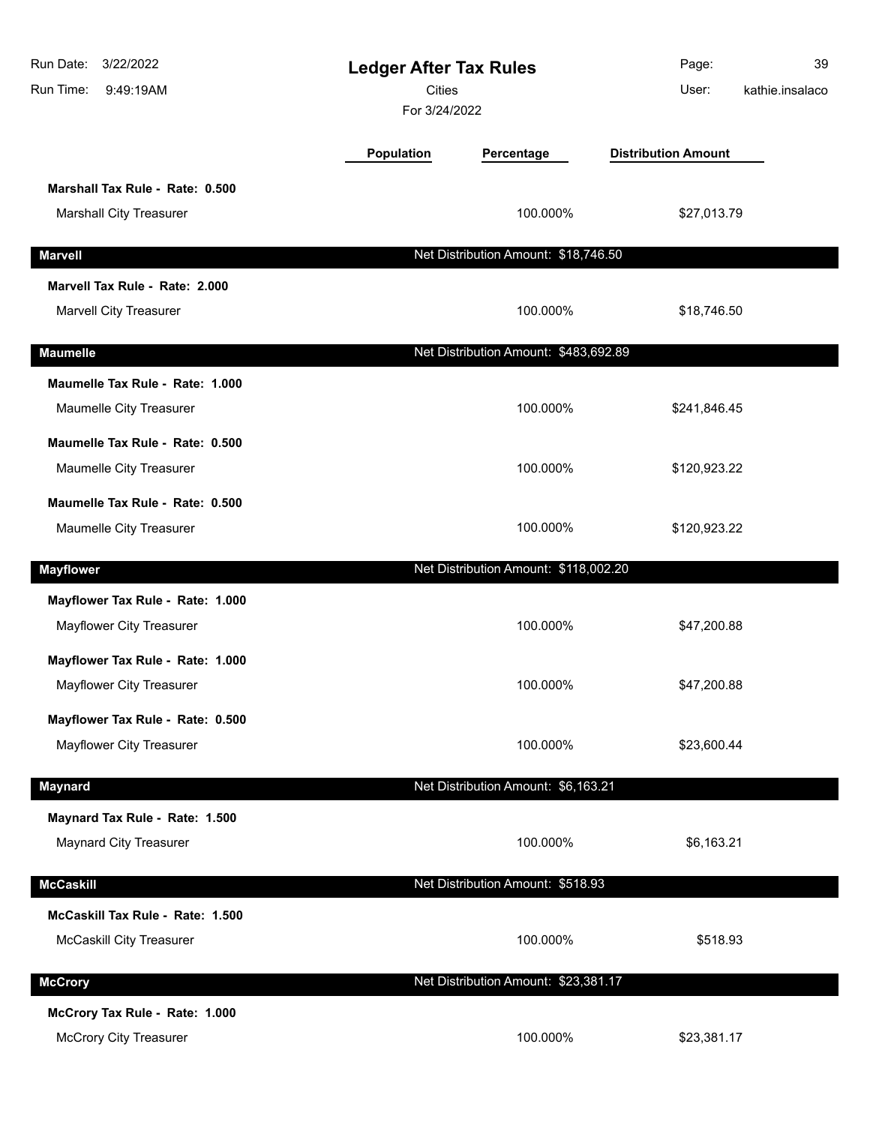| 3/22/2022<br>Run Date:<br>Run Time:<br>9:49:19AM | <b>Ledger After Tax Rules</b><br><b>Cities</b><br>For 3/24/2022 |                                       | Page:<br>User:             | 39<br>kathie.insalaco |
|--------------------------------------------------|-----------------------------------------------------------------|---------------------------------------|----------------------------|-----------------------|
|                                                  | Population                                                      | Percentage                            | <b>Distribution Amount</b> |                       |
| Marshall Tax Rule - Rate: 0.500                  |                                                                 |                                       |                            |                       |
| Marshall City Treasurer                          |                                                                 | 100.000%                              | \$27,013.79                |                       |
| <b>Marvell</b>                                   |                                                                 | Net Distribution Amount: \$18,746.50  |                            |                       |
| Marvell Tax Rule - Rate: 2.000                   |                                                                 |                                       |                            |                       |
| Marvell City Treasurer                           |                                                                 | 100.000%                              | \$18,746.50                |                       |
| <b>Maumelle</b>                                  |                                                                 | Net Distribution Amount: \$483,692.89 |                            |                       |
| Maumelle Tax Rule - Rate: 1.000                  |                                                                 |                                       |                            |                       |
| Maumelle City Treasurer                          |                                                                 | 100.000%                              | \$241,846.45               |                       |
| Maumelle Tax Rule - Rate: 0.500                  |                                                                 |                                       |                            |                       |
| Maumelle City Treasurer                          |                                                                 | 100.000%                              | \$120,923.22               |                       |
| Maumelle Tax Rule - Rate: 0.500                  |                                                                 |                                       |                            |                       |
| Maumelle City Treasurer                          |                                                                 | 100.000%                              | \$120,923.22               |                       |
| <b>Mayflower</b>                                 |                                                                 | Net Distribution Amount: \$118,002.20 |                            |                       |
| Mayflower Tax Rule - Rate: 1.000                 |                                                                 |                                       |                            |                       |
| Mayflower City Treasurer                         |                                                                 | 100.000%                              | \$47,200.88                |                       |
| Mayflower Tax Rule - Rate: 1.000                 |                                                                 |                                       |                            |                       |
| <b>Mayflower City Treasurer</b>                  |                                                                 | 100.000%                              | \$47,200.88                |                       |
| Mayflower Tax Rule - Rate: 0.500                 |                                                                 |                                       |                            |                       |
| Mayflower City Treasurer                         |                                                                 | 100.000%                              | \$23,600.44                |                       |
| <b>Maynard</b>                                   |                                                                 | Net Distribution Amount: \$6,163.21   |                            |                       |
| Maynard Tax Rule - Rate: 1.500                   |                                                                 |                                       |                            |                       |
| <b>Maynard City Treasurer</b>                    |                                                                 | 100.000%                              | \$6,163.21                 |                       |
| <b>McCaskill</b>                                 |                                                                 | Net Distribution Amount: \$518.93     |                            |                       |
| McCaskill Tax Rule - Rate: 1.500                 |                                                                 |                                       |                            |                       |
| <b>McCaskill City Treasurer</b>                  |                                                                 | 100.000%                              | \$518.93                   |                       |
| <b>McCrory</b>                                   |                                                                 | Net Distribution Amount: \$23,381.17  |                            |                       |
| McCrory Tax Rule - Rate: 1.000                   |                                                                 |                                       |                            |                       |
| <b>McCrory City Treasurer</b>                    |                                                                 | 100.000%                              | \$23,381.17                |                       |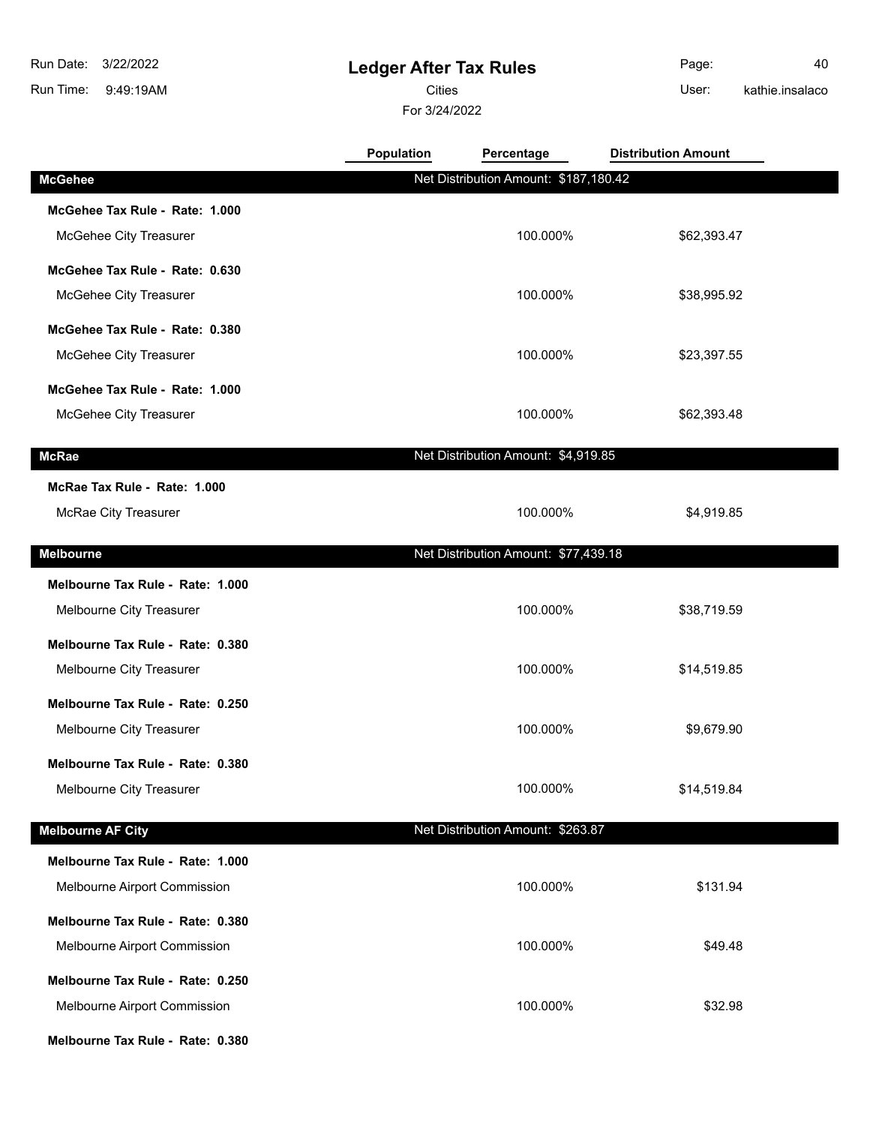9:49:19AM Run Time: 3/22/2022 Run Date:

# **Ledger After Tax Rules**

Cities User:

For 3/24/2022

Page: 40 kathie.insalaco

|                                  | <b>Population</b> | Percentage                            | <b>Distribution Amount</b> |  |
|----------------------------------|-------------------|---------------------------------------|----------------------------|--|
| <b>McGehee</b>                   |                   | Net Distribution Amount: \$187,180.42 |                            |  |
| McGehee Tax Rule - Rate: 1.000   |                   |                                       |                            |  |
| McGehee City Treasurer           |                   | 100.000%                              | \$62,393.47                |  |
| McGehee Tax Rule - Rate: 0.630   |                   |                                       |                            |  |
| McGehee City Treasurer           |                   | 100.000%                              | \$38,995.92                |  |
| McGehee Tax Rule - Rate: 0.380   |                   |                                       |                            |  |
| McGehee City Treasurer           |                   | 100.000%                              | \$23,397.55                |  |
| McGehee Tax Rule - Rate: 1.000   |                   |                                       |                            |  |
| McGehee City Treasurer           |                   | 100.000%                              | \$62,393.48                |  |
| <b>McRae</b>                     |                   | Net Distribution Amount: \$4,919.85   |                            |  |
|                                  |                   |                                       |                            |  |
| McRae Tax Rule - Rate: 1.000     |                   |                                       | \$4,919.85                 |  |
| McRae City Treasurer             |                   | 100.000%                              |                            |  |
| <b>Melbourne</b>                 |                   | Net Distribution Amount: \$77,439.18  |                            |  |
| Melbourne Tax Rule - Rate: 1.000 |                   |                                       |                            |  |
| Melbourne City Treasurer         |                   | 100.000%                              | \$38,719.59                |  |
| Melbourne Tax Rule - Rate: 0.380 |                   |                                       |                            |  |
| Melbourne City Treasurer         |                   | 100.000%                              | \$14,519.85                |  |
| Melbourne Tax Rule - Rate: 0.250 |                   |                                       |                            |  |
| Melbourne City Treasurer         |                   | 100.000%                              | \$9,679.90                 |  |
| Melbourne Tax Rule - Rate: 0.380 |                   |                                       |                            |  |
| Melbourne City Treasurer         |                   | 100.000%                              | \$14,519.84                |  |
| <b>Melbourne AF City</b>         |                   | Net Distribution Amount: \$263.87     |                            |  |
| Melbourne Tax Rule - Rate: 1.000 |                   |                                       |                            |  |
| Melbourne Airport Commission     |                   | 100.000%                              | \$131.94                   |  |
| Melbourne Tax Rule - Rate: 0.380 |                   |                                       |                            |  |
| Melbourne Airport Commission     |                   | 100.000%                              | \$49.48                    |  |
| Melbourne Tax Rule - Rate: 0.250 |                   |                                       |                            |  |
| Melbourne Airport Commission     |                   | 100.000%                              | \$32.98                    |  |
| Melbourne Tax Rule - Rate: 0.380 |                   |                                       |                            |  |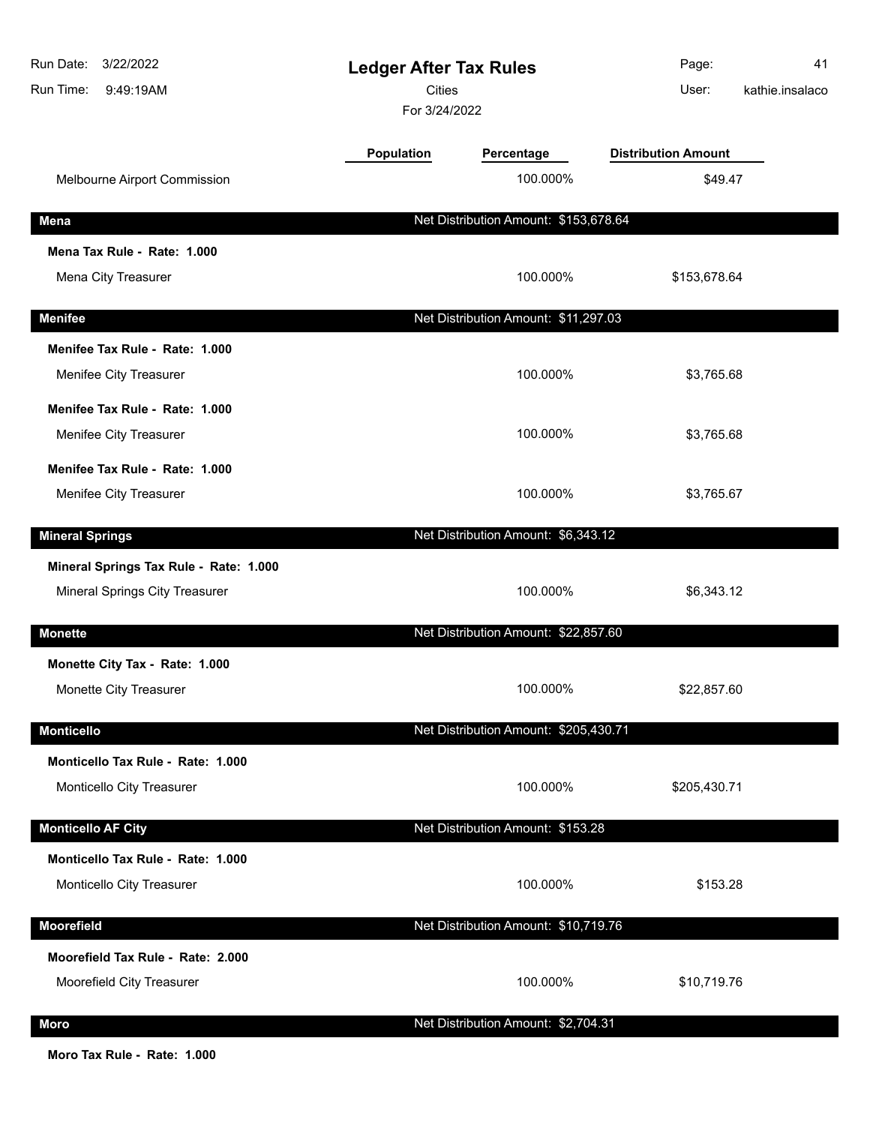| 3/22/2022<br>Run Date:<br>Run Time:<br>9:49:19AM | <b>Ledger After Tax Rules</b><br><b>Cities</b><br>For 3/24/2022 |                                       | Page:<br>User:             | 41<br>kathie.insalaco |
|--------------------------------------------------|-----------------------------------------------------------------|---------------------------------------|----------------------------|-----------------------|
|                                                  | Population                                                      | Percentage                            | <b>Distribution Amount</b> |                       |
| Melbourne Airport Commission                     |                                                                 | 100.000%                              | \$49.47                    |                       |
| Mena                                             |                                                                 | Net Distribution Amount: \$153,678.64 |                            |                       |
| Mena Tax Rule - Rate: 1.000                      |                                                                 |                                       |                            |                       |
| Mena City Treasurer                              |                                                                 | 100.000%                              | \$153,678.64               |                       |
| <b>Menifee</b>                                   |                                                                 | Net Distribution Amount: \$11,297.03  |                            |                       |
| Menifee Tax Rule - Rate: 1.000                   |                                                                 |                                       |                            |                       |
| Menifee City Treasurer                           |                                                                 | 100.000%                              | \$3,765.68                 |                       |
| Menifee Tax Rule - Rate: 1.000                   |                                                                 |                                       |                            |                       |
| Menifee City Treasurer                           |                                                                 | 100.000%                              | \$3,765.68                 |                       |
| Menifee Tax Rule - Rate: 1.000                   |                                                                 |                                       |                            |                       |
| Menifee City Treasurer                           |                                                                 | 100.000%                              | \$3,765.67                 |                       |
| <b>Mineral Springs</b>                           |                                                                 | Net Distribution Amount: \$6,343.12   |                            |                       |
| Mineral Springs Tax Rule - Rate: 1.000           |                                                                 |                                       |                            |                       |
| Mineral Springs City Treasurer                   |                                                                 | 100.000%                              | \$6,343.12                 |                       |
| <b>Monette</b>                                   |                                                                 | Net Distribution Amount: \$22,857.60  |                            |                       |
| Monette City Tax - Rate: 1.000                   |                                                                 |                                       |                            |                       |
| Monette City Treasurer                           |                                                                 | 100.000%                              | \$22,857.60                |                       |
| <b>Monticello</b>                                |                                                                 | Net Distribution Amount: \$205,430.71 |                            |                       |
| Monticello Tax Rule - Rate: 1.000                |                                                                 |                                       |                            |                       |
| Monticello City Treasurer                        |                                                                 | 100.000%                              | \$205,430.71               |                       |
| <b>Monticello AF City</b>                        |                                                                 | Net Distribution Amount: \$153.28     |                            |                       |
| Monticello Tax Rule - Rate: 1.000                |                                                                 |                                       |                            |                       |
| Monticello City Treasurer                        |                                                                 | 100.000%                              | \$153.28                   |                       |
| <b>Moorefield</b>                                |                                                                 | Net Distribution Amount: \$10,719.76  |                            |                       |
| Moorefield Tax Rule - Rate: 2.000                |                                                                 |                                       |                            |                       |
| Moorefield City Treasurer                        |                                                                 | 100.000%                              | \$10,719.76                |                       |
| <b>Moro</b>                                      |                                                                 | Net Distribution Amount: \$2,704.31   |                            |                       |

**Moro Tax Rule - Rate: 1.000**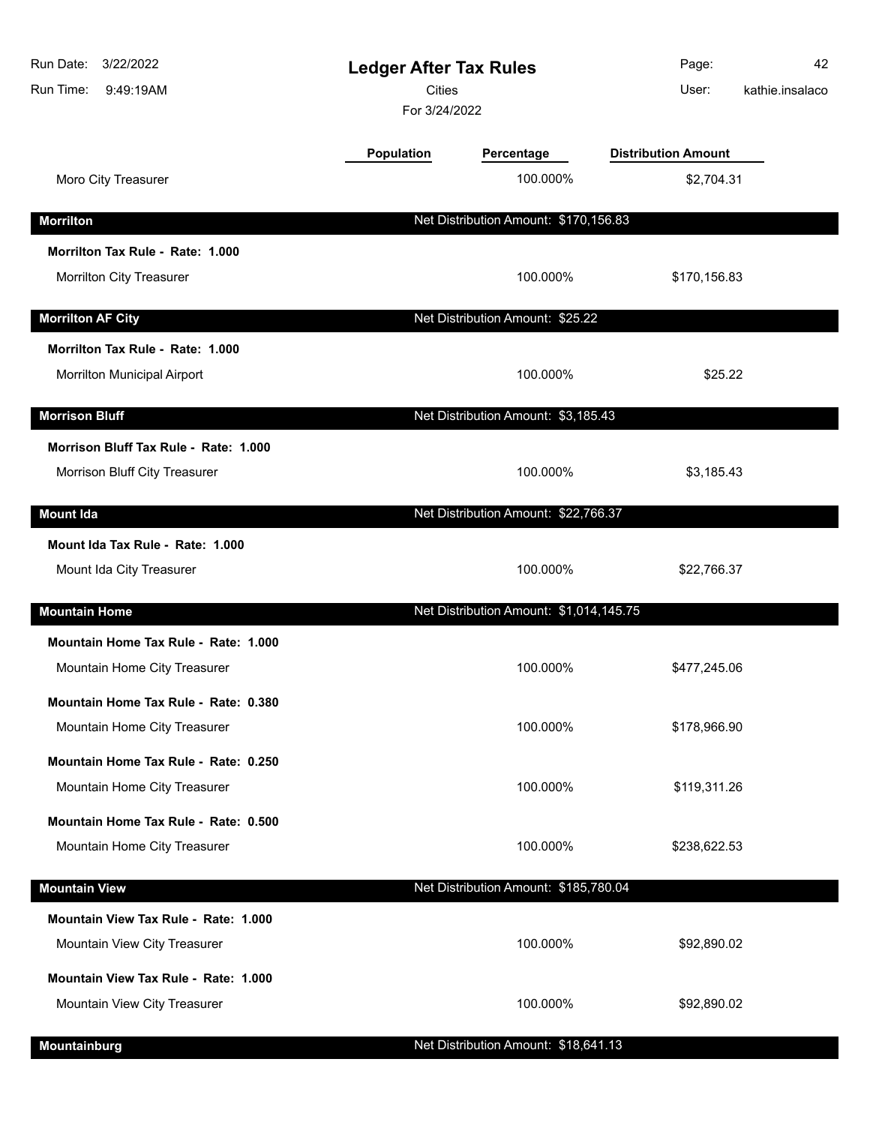| Run Date:<br>3/22/2022<br>Run Time:<br>9:49:19AM | <b>Ledger After Tax Rules</b><br><b>Cities</b><br>For 3/24/2022 |                                         | Page:<br>User:             | 42<br>kathie.insalaco |
|--------------------------------------------------|-----------------------------------------------------------------|-----------------------------------------|----------------------------|-----------------------|
|                                                  | Population                                                      | Percentage                              | <b>Distribution Amount</b> |                       |
| Moro City Treasurer                              |                                                                 | 100.000%                                | \$2,704.31                 |                       |
| <b>Morrilton</b>                                 |                                                                 | Net Distribution Amount: \$170,156.83   |                            |                       |
| Morrilton Tax Rule - Rate: 1.000                 |                                                                 |                                         |                            |                       |
| Morrilton City Treasurer                         |                                                                 | 100.000%                                | \$170,156.83               |                       |
| <b>Morrilton AF City</b>                         |                                                                 | Net Distribution Amount: \$25.22        |                            |                       |
| Morrilton Tax Rule - Rate: 1.000                 |                                                                 |                                         |                            |                       |
| Morrilton Municipal Airport                      |                                                                 | 100.000%                                | \$25.22                    |                       |
| <b>Morrison Bluff</b>                            |                                                                 | Net Distribution Amount: \$3,185.43     |                            |                       |
| Morrison Bluff Tax Rule - Rate: 1.000            |                                                                 |                                         |                            |                       |
| Morrison Bluff City Treasurer                    |                                                                 | 100.000%                                | \$3,185.43                 |                       |
| <b>Mount Ida</b>                                 |                                                                 | Net Distribution Amount: \$22,766.37    |                            |                       |
| Mount Ida Tax Rule - Rate: 1.000                 |                                                                 |                                         |                            |                       |
| Mount Ida City Treasurer                         |                                                                 | 100.000%                                | \$22,766.37                |                       |
| <b>Mountain Home</b>                             |                                                                 | Net Distribution Amount: \$1,014,145.75 |                            |                       |
| Mountain Home Tax Rule - Rate: 1.000             |                                                                 |                                         |                            |                       |
| Mountain Home City Treasurer                     |                                                                 | 100.000%                                | \$477,245.06               |                       |
| Mountain Home Tax Rule - Rate: 0.380             |                                                                 |                                         |                            |                       |
| Mountain Home City Treasurer                     |                                                                 | 100.000%                                | \$178,966.90               |                       |
| Mountain Home Tax Rule - Rate: 0.250             |                                                                 |                                         |                            |                       |
| Mountain Home City Treasurer                     |                                                                 | 100.000%                                | \$119,311.26               |                       |
| Mountain Home Tax Rule - Rate: 0.500             |                                                                 |                                         |                            |                       |
| Mountain Home City Treasurer                     |                                                                 | 100.000%                                | \$238,622.53               |                       |
| <b>Mountain View</b>                             |                                                                 | Net Distribution Amount: \$185,780.04   |                            |                       |
| Mountain View Tax Rule - Rate: 1.000             |                                                                 |                                         |                            |                       |
| Mountain View City Treasurer                     |                                                                 | 100.000%                                | \$92,890.02                |                       |
| Mountain View Tax Rule - Rate: 1.000             |                                                                 |                                         |                            |                       |
| Mountain View City Treasurer                     |                                                                 | 100.000%                                | \$92,890.02                |                       |
| Mountainburg                                     |                                                                 | Net Distribution Amount: \$18,641.13    |                            |                       |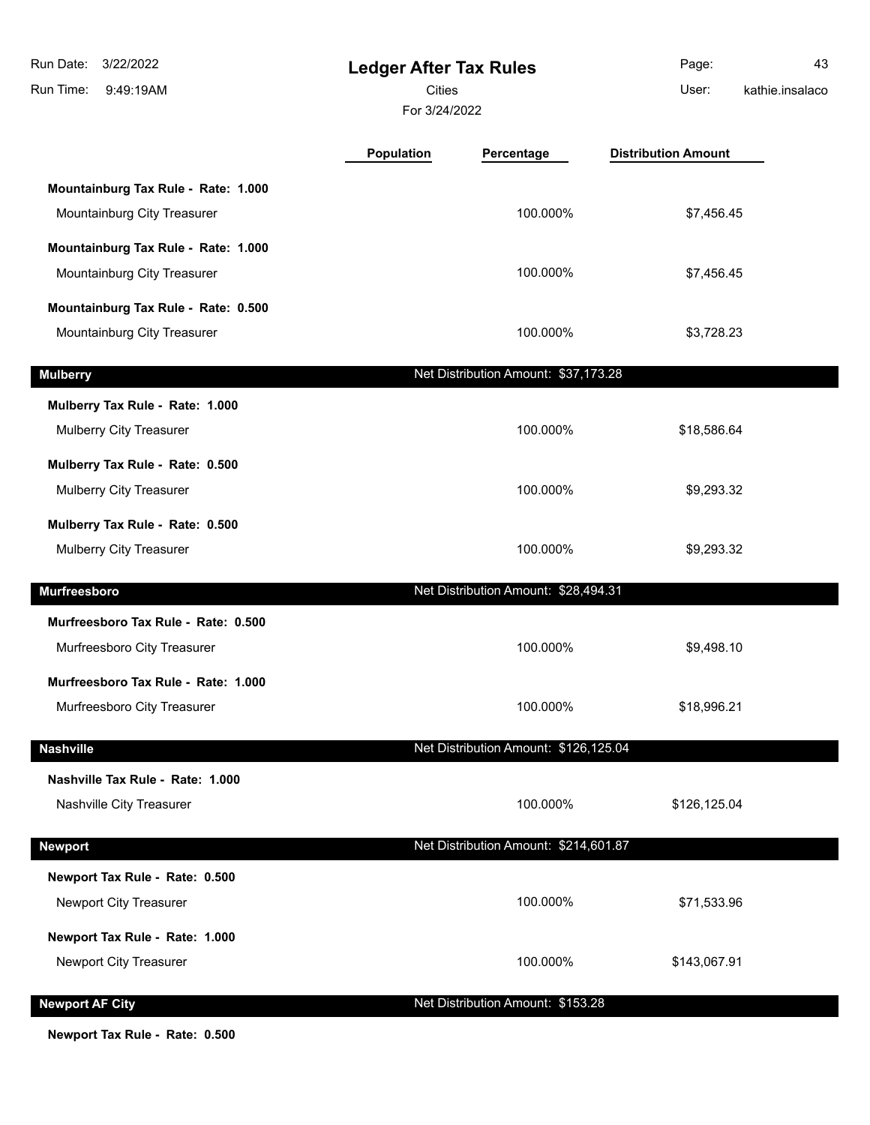| Run Date:<br>3/22/2022<br>Run Time:<br>9:49:19AM                   | <b>Ledger After Tax Rules</b><br><b>Cities</b><br>For 3/24/2022 |                                       | Page:<br>User:             | 43<br>kathie.insalaco |
|--------------------------------------------------------------------|-----------------------------------------------------------------|---------------------------------------|----------------------------|-----------------------|
|                                                                    | Population                                                      | Percentage                            | <b>Distribution Amount</b> |                       |
| Mountainburg Tax Rule - Rate: 1.000<br>Mountainburg City Treasurer |                                                                 | 100.000%                              | \$7,456.45                 |                       |
| Mountainburg Tax Rule - Rate: 1.000<br>Mountainburg City Treasurer |                                                                 | 100.000%                              | \$7,456.45                 |                       |
| Mountainburg Tax Rule - Rate: 0.500<br>Mountainburg City Treasurer |                                                                 | 100.000%                              | \$3,728.23                 |                       |
| <b>Mulberry</b>                                                    |                                                                 | Net Distribution Amount: \$37,173.28  |                            |                       |
| Mulberry Tax Rule - Rate: 1.000<br>Mulberry City Treasurer         |                                                                 | 100.000%                              | \$18,586.64                |                       |
| Mulberry Tax Rule - Rate: 0.500<br>Mulberry City Treasurer         |                                                                 | 100.000%                              | \$9,293.32                 |                       |
| Mulberry Tax Rule - Rate: 0.500<br>Mulberry City Treasurer         |                                                                 | 100.000%                              | \$9,293.32                 |                       |
| Murfreesboro                                                       |                                                                 | Net Distribution Amount: \$28,494.31  |                            |                       |
| Murfreesboro Tax Rule - Rate: 0.500<br>Murfreesboro City Treasurer |                                                                 | 100.000%                              | \$9,498.10                 |                       |
| Murfreesboro Tax Rule - Rate: 1.000<br>Murfreesboro City Treasurer |                                                                 | 100.000%                              | \$18,996.21                |                       |
| <b>Nashville</b>                                                   |                                                                 | Net Distribution Amount: \$126,125.04 |                            |                       |
| Nashville Tax Rule - Rate: 1.000<br>Nashville City Treasurer       |                                                                 | 100.000%                              | \$126,125.04               |                       |
| <b>Newport</b>                                                     |                                                                 | Net Distribution Amount: \$214,601.87 |                            |                       |
| Newport Tax Rule - Rate: 0.500                                     |                                                                 |                                       |                            |                       |
| Newport City Treasurer                                             |                                                                 | 100.000%                              | \$71,533.96                |                       |
| Newport Tax Rule - Rate: 1.000<br>Newport City Treasurer           |                                                                 | 100.000%                              | \$143,067.91               |                       |
| <b>Newport AF City</b>                                             |                                                                 | Net Distribution Amount: \$153.28     |                            |                       |

**Newport Tax Rule - Rate: 0.500**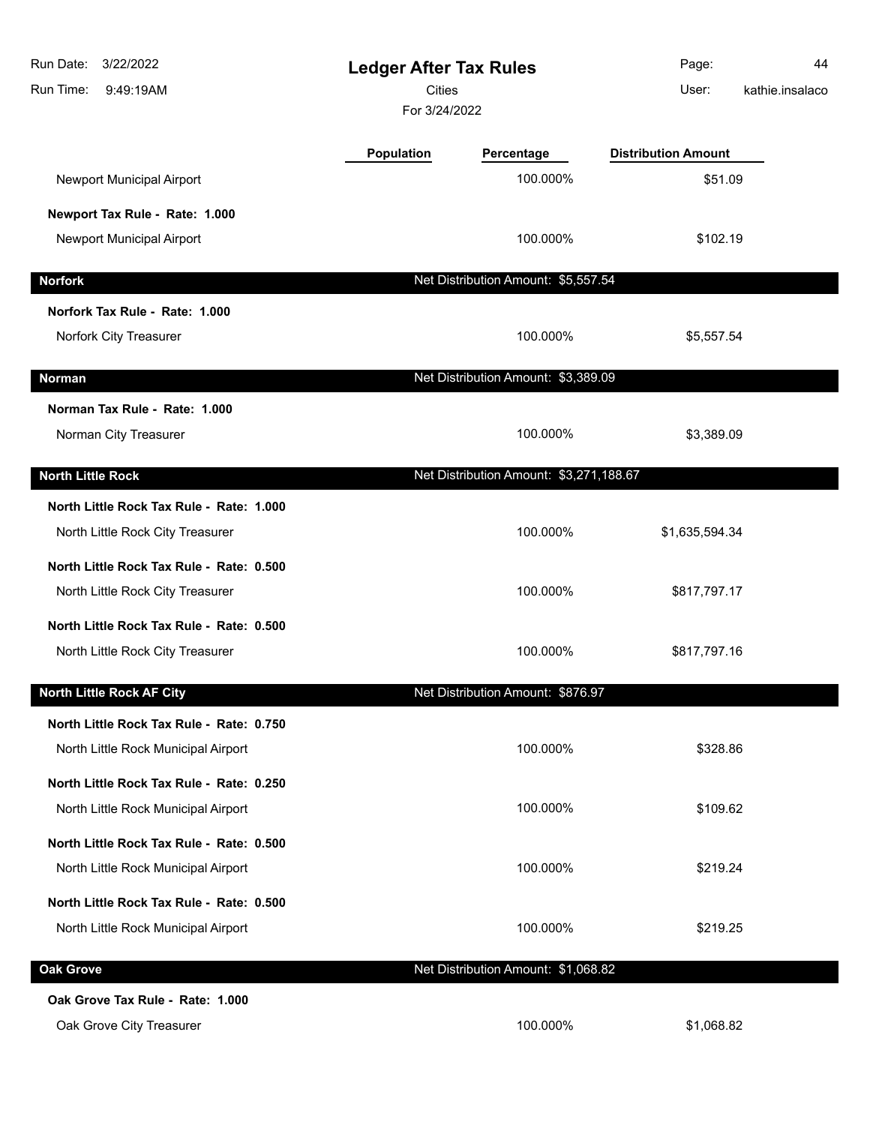| Run Date:<br>3/22/2022<br>Run Time:<br>9:49:19AM | <b>Ledger After Tax Rules</b><br><b>Cities</b><br>For 3/24/2022 |                                         | Page:<br>User:             | 44<br>kathie.insalaco |
|--------------------------------------------------|-----------------------------------------------------------------|-----------------------------------------|----------------------------|-----------------------|
|                                                  | <b>Population</b>                                               | Percentage                              | <b>Distribution Amount</b> |                       |
| Newport Municipal Airport                        |                                                                 | 100.000%                                | \$51.09                    |                       |
| Newport Tax Rule - Rate: 1.000                   |                                                                 |                                         |                            |                       |
| Newport Municipal Airport                        |                                                                 | 100.000%                                | \$102.19                   |                       |
| <b>Norfork</b>                                   |                                                                 | Net Distribution Amount: \$5,557.54     |                            |                       |
| Norfork Tax Rule - Rate: 1.000                   |                                                                 |                                         |                            |                       |
| Norfork City Treasurer                           |                                                                 | 100.000%                                | \$5,557.54                 |                       |
| <b>Norman</b>                                    |                                                                 | Net Distribution Amount: \$3,389.09     |                            |                       |
| Norman Tax Rule - Rate: 1.000                    |                                                                 |                                         |                            |                       |
| Norman City Treasurer                            |                                                                 | 100.000%                                | \$3,389.09                 |                       |
| <b>North Little Rock</b>                         |                                                                 | Net Distribution Amount: \$3,271,188.67 |                            |                       |
| North Little Rock Tax Rule - Rate: 1.000         |                                                                 |                                         |                            |                       |
| North Little Rock City Treasurer                 |                                                                 | 100.000%                                | \$1,635,594.34             |                       |
| North Little Rock Tax Rule - Rate: 0.500         |                                                                 |                                         |                            |                       |
| North Little Rock City Treasurer                 |                                                                 | 100.000%                                | \$817,797.17               |                       |
| North Little Rock Tax Rule - Rate: 0.500         |                                                                 |                                         |                            |                       |
| North Little Rock City Treasurer                 |                                                                 | 100.000%                                | \$817,797.16               |                       |
| <b>North Little Rock AF City</b>                 |                                                                 | Net Distribution Amount: \$876.97       |                            |                       |
| North Little Rock Tax Rule - Rate: 0.750         |                                                                 |                                         |                            |                       |
| North Little Rock Municipal Airport              |                                                                 | 100.000%                                | \$328.86                   |                       |
| North Little Rock Tax Rule - Rate: 0.250         |                                                                 |                                         |                            |                       |
| North Little Rock Municipal Airport              |                                                                 | 100.000%                                | \$109.62                   |                       |
| North Little Rock Tax Rule - Rate: 0.500         |                                                                 |                                         |                            |                       |
| North Little Rock Municipal Airport              |                                                                 | 100.000%                                | \$219.24                   |                       |
| North Little Rock Tax Rule - Rate: 0.500         |                                                                 |                                         |                            |                       |
| North Little Rock Municipal Airport              |                                                                 | 100.000%                                | \$219.25                   |                       |
| <b>Oak Grove</b>                                 |                                                                 | Net Distribution Amount: \$1,068.82     |                            |                       |
| Oak Grove Tax Rule - Rate: 1.000                 |                                                                 |                                         |                            |                       |
| Oak Grove City Treasurer                         |                                                                 | 100.000%                                | \$1,068.82                 |                       |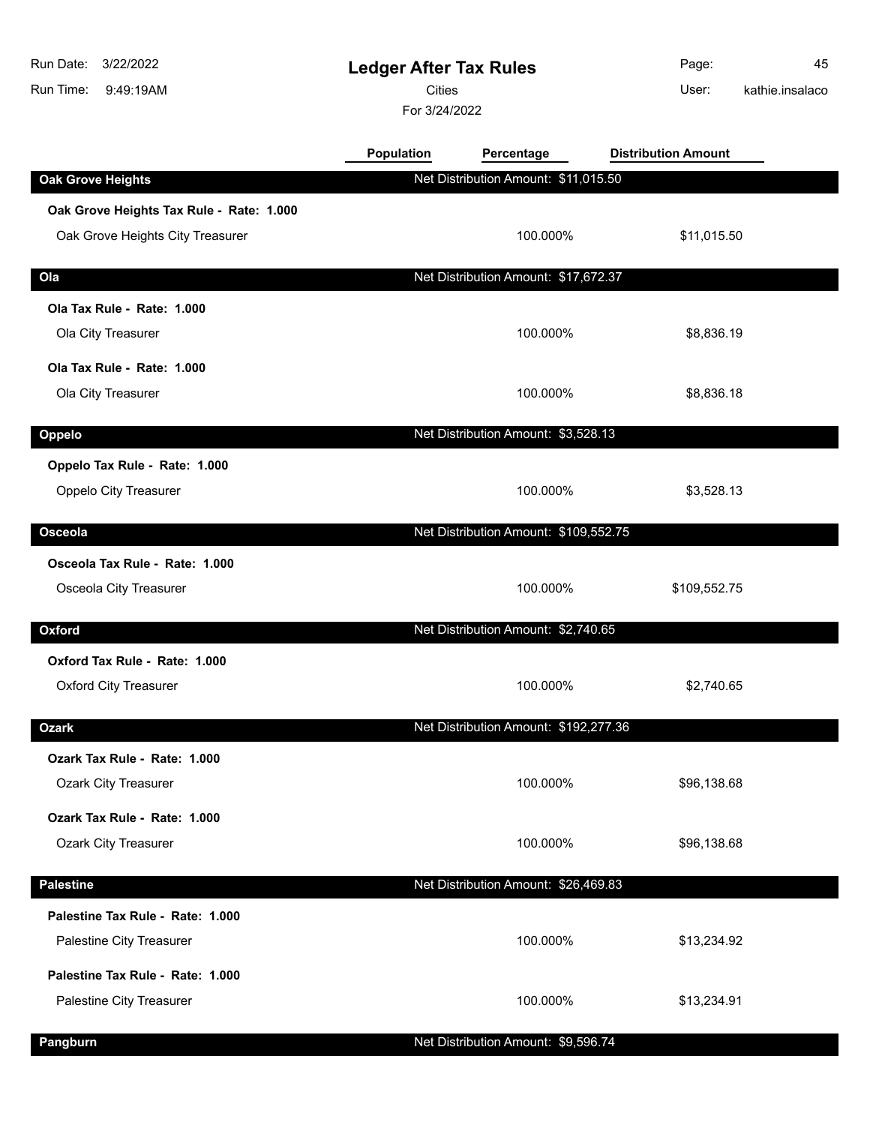| Run Date:<br>3/22/2022<br>Run Time:<br>9:49:19AM                             | <b>Ledger After Tax Rules</b><br><b>Cities</b><br>For 3/24/2022 |                                       | Page:<br>User:             | 45<br>kathie.insalaco |
|------------------------------------------------------------------------------|-----------------------------------------------------------------|---------------------------------------|----------------------------|-----------------------|
|                                                                              | Population                                                      | Percentage                            | <b>Distribution Amount</b> |                       |
| <b>Oak Grove Heights</b>                                                     |                                                                 | Net Distribution Amount: \$11,015.50  |                            |                       |
| Oak Grove Heights Tax Rule - Rate: 1.000<br>Oak Grove Heights City Treasurer |                                                                 | 100.000%                              | \$11,015.50                |                       |
| Ola                                                                          |                                                                 | Net Distribution Amount: \$17,672.37  |                            |                       |
| Ola Tax Rule - Rate: 1.000<br>Ola City Treasurer                             |                                                                 | 100.000%                              | \$8,836.19                 |                       |
| Ola Tax Rule - Rate: 1.000<br>Ola City Treasurer                             |                                                                 | 100.000%                              | \$8,836.18                 |                       |
| Oppelo                                                                       |                                                                 | Net Distribution Amount: \$3,528.13   |                            |                       |
| Oppelo Tax Rule - Rate: 1.000<br><b>Oppelo City Treasurer</b>                |                                                                 | 100.000%                              | \$3,528.13                 |                       |
| Osceola                                                                      |                                                                 | Net Distribution Amount: \$109,552.75 |                            |                       |
| Osceola Tax Rule - Rate: 1.000<br>Osceola City Treasurer                     |                                                                 | 100.000%                              | \$109,552.75               |                       |
| Oxford                                                                       |                                                                 | Net Distribution Amount: \$2,740.65   |                            |                       |
| Oxford Tax Rule - Rate: 1.000<br><b>Oxford City Treasurer</b>                |                                                                 | 100.000%                              | \$2,740.65                 |                       |
| <b>Ozark</b>                                                                 |                                                                 | Net Distribution Amount: \$192,277.36 |                            |                       |
| Ozark Tax Rule - Rate: 1.000<br><b>Ozark City Treasurer</b>                  |                                                                 | 100.000%                              | \$96,138.68                |                       |
| Ozark Tax Rule - Rate: 1.000<br><b>Ozark City Treasurer</b>                  |                                                                 | 100.000%                              | \$96,138.68                |                       |
| <b>Palestine</b>                                                             |                                                                 | Net Distribution Amount: \$26,469.83  |                            |                       |
| Palestine Tax Rule - Rate: 1.000<br>Palestine City Treasurer                 |                                                                 | 100.000%                              | \$13,234.92                |                       |
| Palestine Tax Rule - Rate: 1.000<br>Palestine City Treasurer                 |                                                                 | 100.000%                              | \$13,234.91                |                       |
| Pangburn                                                                     |                                                                 | Net Distribution Amount: \$9,596.74   |                            |                       |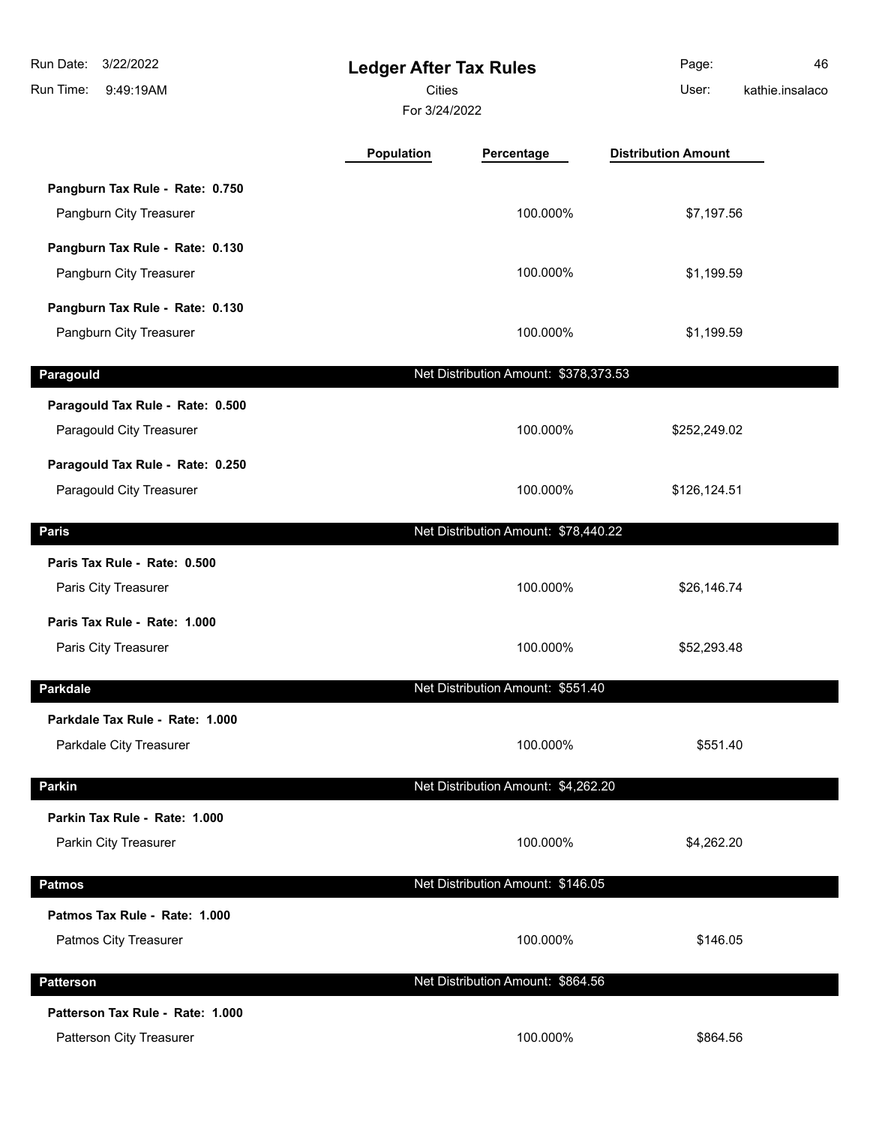| Run Date:<br>3/22/2022<br>Run Time:<br>9:49:19AM             | <b>Ledger After Tax Rules</b><br><b>Cities</b><br>For 3/24/2022 |                                       | Page:<br>User:             | 46<br>kathie.insalaco |
|--------------------------------------------------------------|-----------------------------------------------------------------|---------------------------------------|----------------------------|-----------------------|
|                                                              | <b>Population</b>                                               | Percentage                            | <b>Distribution Amount</b> |                       |
| Pangburn Tax Rule - Rate: 0.750<br>Pangburn City Treasurer   |                                                                 | 100.000%                              | \$7,197.56                 |                       |
| Pangburn Tax Rule - Rate: 0.130<br>Pangburn City Treasurer   |                                                                 | 100.000%                              | \$1,199.59                 |                       |
| Pangburn Tax Rule - Rate: 0.130<br>Pangburn City Treasurer   |                                                                 | 100.000%                              | \$1,199.59                 |                       |
| Paragould                                                    |                                                                 | Net Distribution Amount: \$378,373.53 |                            |                       |
| Paragould Tax Rule - Rate: 0.500<br>Paragould City Treasurer |                                                                 | 100.000%                              | \$252,249.02               |                       |
| Paragould Tax Rule - Rate: 0.250<br>Paragould City Treasurer |                                                                 | 100.000%                              | \$126,124.51               |                       |
| <b>Paris</b>                                                 |                                                                 | Net Distribution Amount: \$78,440.22  |                            |                       |
| Paris Tax Rule - Rate: 0.500<br>Paris City Treasurer         |                                                                 | 100.000%                              | \$26,146.74                |                       |
| Paris Tax Rule - Rate: 1.000<br>Paris City Treasurer         |                                                                 | 100.000%                              | \$52,293.48                |                       |
| <b>Parkdale</b>                                              |                                                                 | Net Distribution Amount: \$551.40     |                            |                       |
| Parkdale Tax Rule - Rate: 1.000<br>Parkdale City Treasurer   |                                                                 | 100.000%                              | \$551.40                   |                       |
| <b>Parkin</b>                                                |                                                                 | Net Distribution Amount: \$4,262.20   |                            |                       |
| Parkin Tax Rule - Rate: 1.000<br>Parkin City Treasurer       |                                                                 | 100.000%                              | \$4,262.20                 |                       |
| <b>Patmos</b>                                                |                                                                 | Net Distribution Amount: \$146.05     |                            |                       |
| Patmos Tax Rule - Rate: 1.000<br>Patmos City Treasurer       |                                                                 | 100.000%                              | \$146.05                   |                       |
| <b>Patterson</b>                                             |                                                                 | Net Distribution Amount: \$864.56     |                            |                       |
| Patterson Tax Rule - Rate: 1.000<br>Patterson City Treasurer |                                                                 | 100.000%                              | \$864.56                   |                       |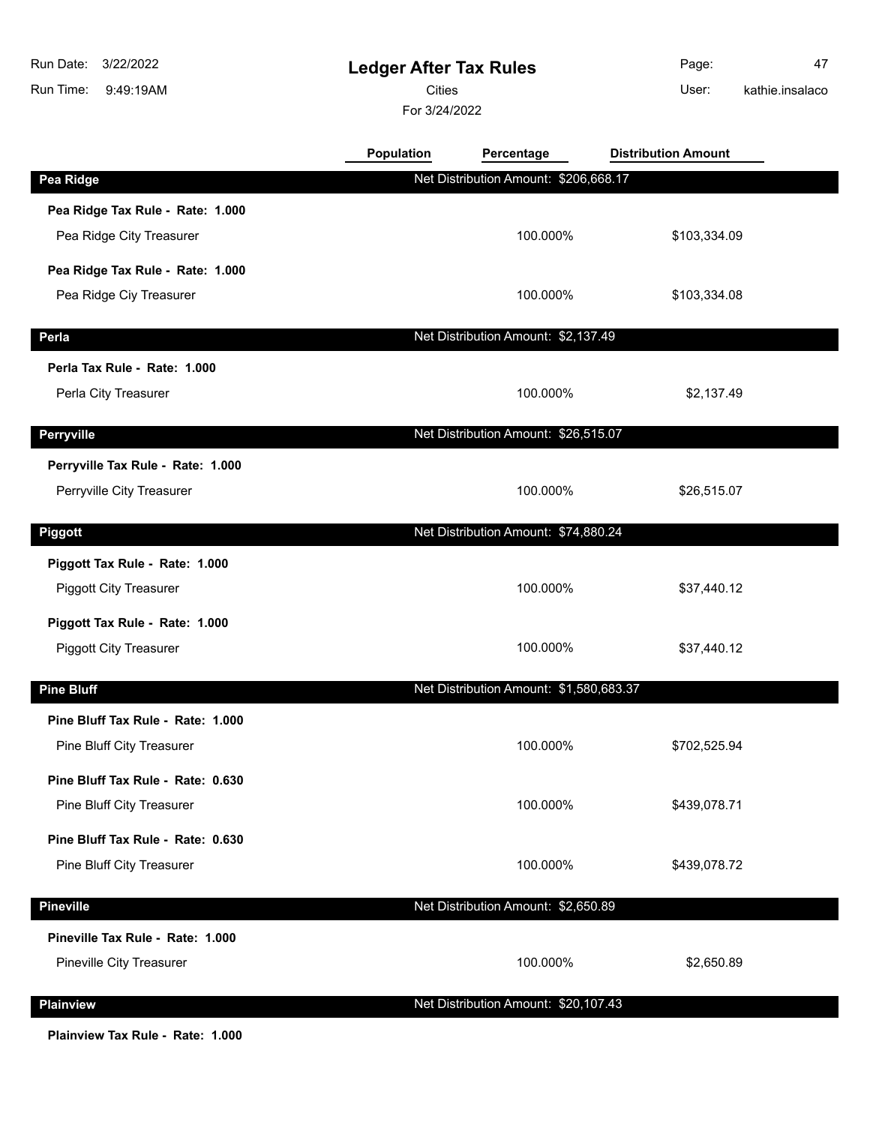**Ledger After Tax Rules** 9:49:19AM Run Time: 3/22/2022 Run Date: For 3/24/2022 **Cities Community Community Community** User: Page: 47 **Population Percentage Distribution Amount Pea Ridge** Net Distribution Amount: \$206,668.17 **Pea Ridge Tax Rule - Rate: 1.000** Pea Ridge City Treasurer 100.000% \$103,334.09 **Pea Ridge Tax Rule - Rate: 1.000** Pea Ridge Ciy Treasurer 100.000% \$103,334.08

kathie.insalaco

**Perla** Net Distribution Amount: \$2,137.49 **Perla Tax Rule - Rate: 1.000** Perla City Treasurer **100.000%** \$2,137.49 **Perryville** Net Distribution Amount: \$26,515.07 **Perryville Tax Rule - Rate: 1.000** Perryville City Treasurer **100.000%** \$26,515.07 **Piggott Piggott Piggott Net Distribution Amount: \$74,880.24 Piggott Tax Rule - Rate: 1.000** Piggott City Treasurer **100.000%** \$37,440.12 **Piggott Tax Rule - Rate: 1.000** Piggott City Treasurer **100.000%** \$37,440.12 **Pine Bluff** Net Distribution Amount: \$1,580,683.37 **Pine Bluff Tax Rule - Rate: 1.000** Pine Bluff City Treasurer **by Exercise 2008 \$702,525.94 \$702,525.94 Pine Bluff Tax Rule - Rate: 0.630** Pine Bluff City Treasurer **100.000%** \$439,078.71 **Pine Bluff Tax Rule - Rate: 0.630** Pine Bluff City Treasurer **100.000%** \$439,078.72 **Pineville** Net Distribution Amount: \$2,650.89 **Pineville Tax Rule - Rate: 1.000** Pineville City Treasurer 100.000% \$2,650.89

**Plainview** Net Distribution Amount: \$20,107.43

**Plainview Tax Rule - Rate: 1.000**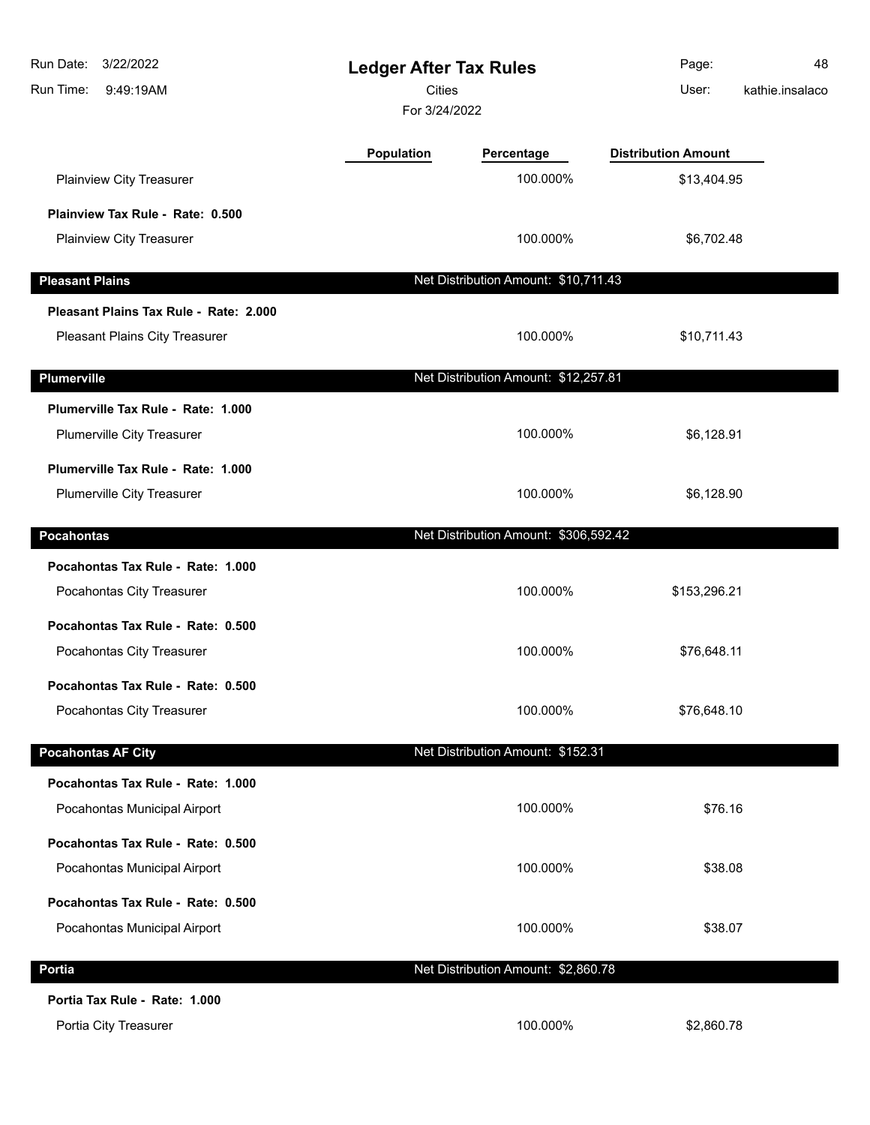| 3/22/2022<br>Run Date:<br>Run Time:<br>9:49:19AM | <b>Ledger After Tax Rules</b><br><b>Cities</b><br>For 3/24/2022 |                                       | Page:<br>User:             | 48<br>kathie.insalaco |
|--------------------------------------------------|-----------------------------------------------------------------|---------------------------------------|----------------------------|-----------------------|
|                                                  | Population                                                      | Percentage                            | <b>Distribution Amount</b> |                       |
| Plainview City Treasurer                         |                                                                 | 100.000%                              | \$13,404.95                |                       |
| Plainview Tax Rule - Rate: 0.500                 |                                                                 |                                       |                            |                       |
| Plainview City Treasurer                         |                                                                 | 100.000%                              | \$6,702.48                 |                       |
| <b>Pleasant Plains</b>                           |                                                                 | Net Distribution Amount: \$10,711.43  |                            |                       |
| Pleasant Plains Tax Rule - Rate: 2.000           |                                                                 |                                       |                            |                       |
| Pleasant Plains City Treasurer                   |                                                                 | 100.000%                              | \$10,711.43                |                       |
| <b>Plumerville</b>                               |                                                                 | Net Distribution Amount: \$12,257.81  |                            |                       |
| Plumerville Tax Rule - Rate: 1.000               |                                                                 |                                       |                            |                       |
| Plumerville City Treasurer                       |                                                                 | 100.000%                              | \$6,128.91                 |                       |
| Plumerville Tax Rule - Rate: 1.000               |                                                                 |                                       |                            |                       |
| Plumerville City Treasurer                       |                                                                 | 100.000%                              | \$6,128.90                 |                       |
| <b>Pocahontas</b>                                |                                                                 | Net Distribution Amount: \$306,592.42 |                            |                       |
| Pocahontas Tax Rule - Rate: 1.000                |                                                                 |                                       |                            |                       |
| Pocahontas City Treasurer                        |                                                                 | 100.000%                              | \$153,296.21               |                       |
| Pocahontas Tax Rule - Rate: 0.500                |                                                                 |                                       |                            |                       |
| Pocahontas City Treasurer                        |                                                                 | 100.000%                              | \$76,648.11                |                       |
| Pocahontas Tax Rule - Rate: 0.500                |                                                                 |                                       |                            |                       |
| Pocahontas City Treasurer                        |                                                                 | 100.000%                              | \$76,648.10                |                       |
| <b>Pocahontas AF City</b>                        |                                                                 | Net Distribution Amount: \$152.31     |                            |                       |
| Pocahontas Tax Rule - Rate: 1.000                |                                                                 |                                       |                            |                       |
| Pocahontas Municipal Airport                     |                                                                 | 100.000%                              | \$76.16                    |                       |
| Pocahontas Tax Rule - Rate: 0.500                |                                                                 |                                       |                            |                       |
| Pocahontas Municipal Airport                     |                                                                 | 100.000%                              | \$38.08                    |                       |
| Pocahontas Tax Rule - Rate: 0.500                |                                                                 |                                       |                            |                       |
| Pocahontas Municipal Airport                     |                                                                 | 100.000%                              | \$38.07                    |                       |
| Portia                                           |                                                                 | Net Distribution Amount: \$2,860.78   |                            |                       |
| Portia Tax Rule - Rate: 1.000                    |                                                                 |                                       |                            |                       |
| Portia City Treasurer                            |                                                                 | 100.000%                              | \$2,860.78                 |                       |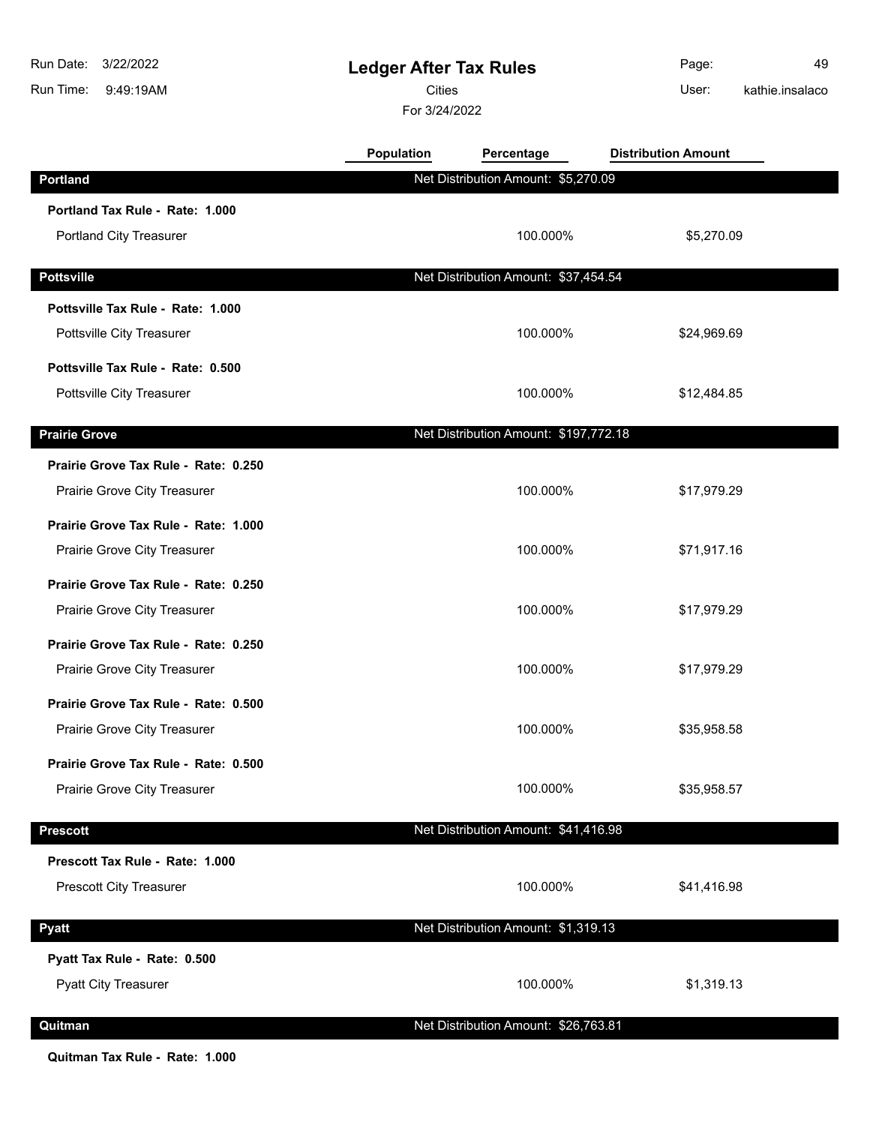| Run Date:<br>3/22/2022<br>Run Time:<br>9:49:19AM | <b>Ledger After Tax Rules</b><br><b>Cities</b><br>For 3/24/2022 |                                       | Page:<br>kathie.insalaco<br>User: | 49 |
|--------------------------------------------------|-----------------------------------------------------------------|---------------------------------------|-----------------------------------|----|
|                                                  | Population                                                      | Percentage                            | <b>Distribution Amount</b>        |    |
| <b>Portland</b>                                  |                                                                 | Net Distribution Amount: \$5,270.09   |                                   |    |
| Portland Tax Rule - Rate: 1.000                  |                                                                 |                                       |                                   |    |
| <b>Portland City Treasurer</b>                   |                                                                 | 100.000%                              | \$5,270.09                        |    |
| <b>Pottsville</b>                                |                                                                 | Net Distribution Amount: \$37,454.54  |                                   |    |
| Pottsville Tax Rule - Rate: 1.000                |                                                                 |                                       |                                   |    |
| Pottsville City Treasurer                        |                                                                 | 100.000%                              | \$24,969.69                       |    |
| Pottsville Tax Rule - Rate: 0.500                |                                                                 |                                       |                                   |    |
| Pottsville City Treasurer                        |                                                                 | 100.000%                              | \$12,484.85                       |    |
| <b>Prairie Grove</b>                             |                                                                 | Net Distribution Amount: \$197,772.18 |                                   |    |
| Prairie Grove Tax Rule - Rate: 0.250             |                                                                 |                                       |                                   |    |
| Prairie Grove City Treasurer                     |                                                                 | 100.000%                              | \$17,979.29                       |    |
| Prairie Grove Tax Rule - Rate: 1.000             |                                                                 |                                       |                                   |    |
| Prairie Grove City Treasurer                     |                                                                 | 100.000%                              | \$71,917.16                       |    |
| Prairie Grove Tax Rule - Rate: 0.250             |                                                                 |                                       |                                   |    |
| Prairie Grove City Treasurer                     |                                                                 | 100.000%                              | \$17,979.29                       |    |
| Prairie Grove Tax Rule - Rate: 0.250             |                                                                 |                                       |                                   |    |
| Prairie Grove City Treasurer                     |                                                                 | 100.000%                              | \$17,979.29                       |    |
| Prairie Grove Tax Rule - Rate: 0.500             |                                                                 |                                       |                                   |    |
| Prairie Grove City Treasurer                     |                                                                 | 100.000%                              | \$35,958.58                       |    |
| Prairie Grove Tax Rule - Rate: 0.500             |                                                                 |                                       |                                   |    |
| Prairie Grove City Treasurer                     |                                                                 | 100.000%                              | \$35,958.57                       |    |
| <b>Prescott</b>                                  |                                                                 | Net Distribution Amount: \$41,416.98  |                                   |    |
| Prescott Tax Rule - Rate: 1.000                  |                                                                 |                                       |                                   |    |
| <b>Prescott City Treasurer</b>                   |                                                                 | 100.000%                              | \$41,416.98                       |    |
| <b>Pyatt</b>                                     |                                                                 | Net Distribution Amount: \$1,319.13   |                                   |    |
| Pyatt Tax Rule - Rate: 0.500                     |                                                                 |                                       |                                   |    |
| <b>Pyatt City Treasurer</b>                      |                                                                 | 100.000%                              | \$1,319.13                        |    |
| Quitman                                          |                                                                 | Net Distribution Amount: \$26,763.81  |                                   |    |

**Quitman Tax Rule - Rate: 1.000**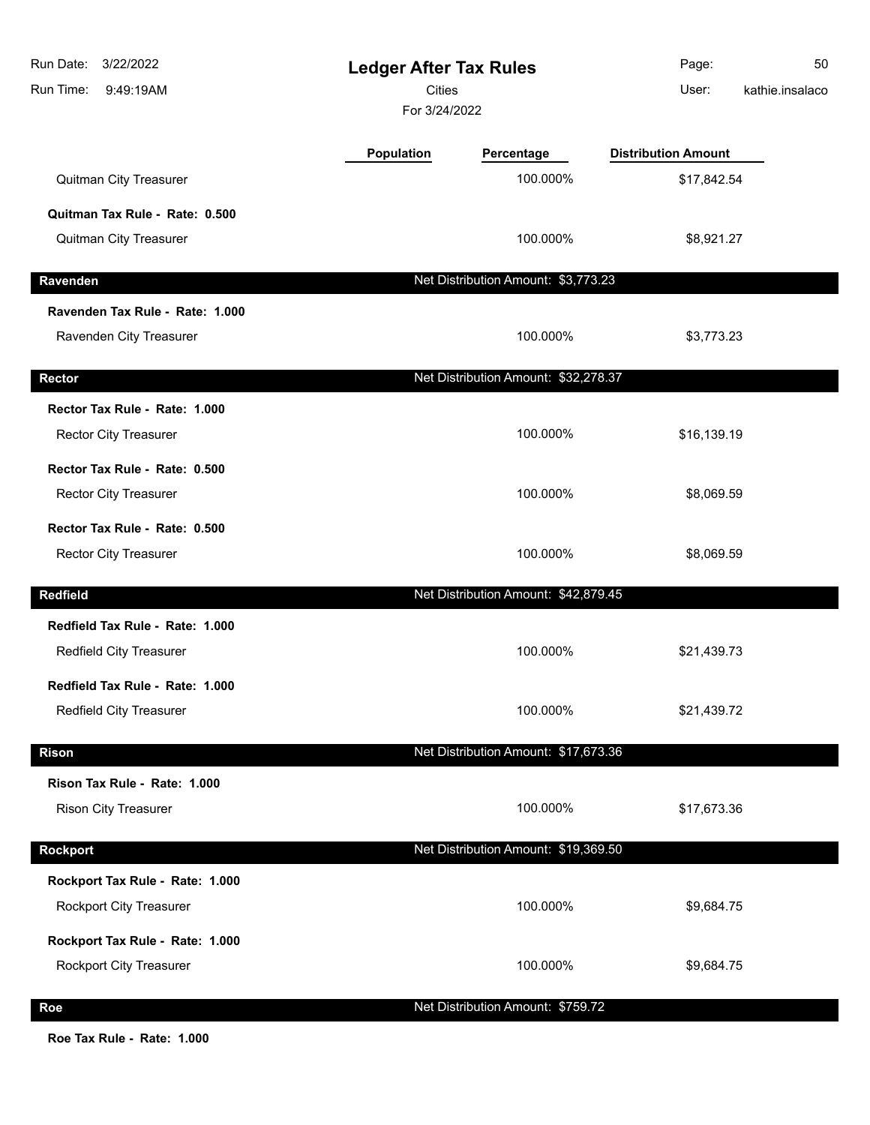| Run Date:<br>3/22/2022<br>Run Time:<br>9:49:19AM | <b>Ledger After Tax Rules</b><br><b>Cities</b><br>For 3/24/2022 |                                      | Page:<br>User:             | 50<br>kathie.insalaco |
|--------------------------------------------------|-----------------------------------------------------------------|--------------------------------------|----------------------------|-----------------------|
|                                                  | <b>Population</b>                                               | Percentage                           | <b>Distribution Amount</b> |                       |
| Quitman City Treasurer                           |                                                                 | 100.000%                             | \$17,842.54                |                       |
| Quitman Tax Rule - Rate: 0.500                   |                                                                 |                                      |                            |                       |
| Quitman City Treasurer                           |                                                                 | 100.000%                             | \$8,921.27                 |                       |
| Ravenden                                         |                                                                 | Net Distribution Amount: \$3,773.23  |                            |                       |
| Ravenden Tax Rule - Rate: 1.000                  |                                                                 |                                      |                            |                       |
| Ravenden City Treasurer                          |                                                                 | 100.000%                             | \$3,773.23                 |                       |
| Rector                                           |                                                                 | Net Distribution Amount: \$32,278.37 |                            |                       |
| Rector Tax Rule - Rate: 1.000                    |                                                                 |                                      |                            |                       |
| <b>Rector City Treasurer</b>                     |                                                                 | 100.000%                             | \$16,139.19                |                       |
| Rector Tax Rule - Rate: 0.500                    |                                                                 |                                      |                            |                       |
| Rector City Treasurer                            |                                                                 | 100.000%                             | \$8,069.59                 |                       |
| Rector Tax Rule - Rate: 0.500                    |                                                                 |                                      |                            |                       |
| Rector City Treasurer                            |                                                                 | 100.000%                             | \$8,069.59                 |                       |
| <b>Redfield</b>                                  |                                                                 | Net Distribution Amount: \$42,879.45 |                            |                       |
| Redfield Tax Rule - Rate: 1.000                  |                                                                 |                                      |                            |                       |
| Redfield City Treasurer                          |                                                                 | 100.000%                             | \$21,439.73                |                       |
| Redfield Tax Rule - Rate: 1.000                  |                                                                 |                                      |                            |                       |
| <b>Redfield City Treasurer</b>                   |                                                                 | 100.000%                             | \$21,439.72                |                       |
| <b>Rison</b>                                     |                                                                 | Net Distribution Amount: \$17,673.36 |                            |                       |
| Rison Tax Rule - Rate: 1.000                     |                                                                 |                                      |                            |                       |
| <b>Rison City Treasurer</b>                      |                                                                 | 100.000%                             | \$17,673.36                |                       |
| <b>Rockport</b>                                  |                                                                 | Net Distribution Amount: \$19,369.50 |                            |                       |
| Rockport Tax Rule - Rate: 1.000                  |                                                                 |                                      |                            |                       |
| Rockport City Treasurer                          |                                                                 | 100.000%                             | \$9,684.75                 |                       |
| Rockport Tax Rule - Rate: 1.000                  |                                                                 |                                      |                            |                       |
| Rockport City Treasurer                          |                                                                 | 100.000%                             | \$9,684.75                 |                       |
| Roe                                              |                                                                 | Net Distribution Amount: \$759.72    |                            |                       |

**Roe Tax Rule - Rate: 1.000**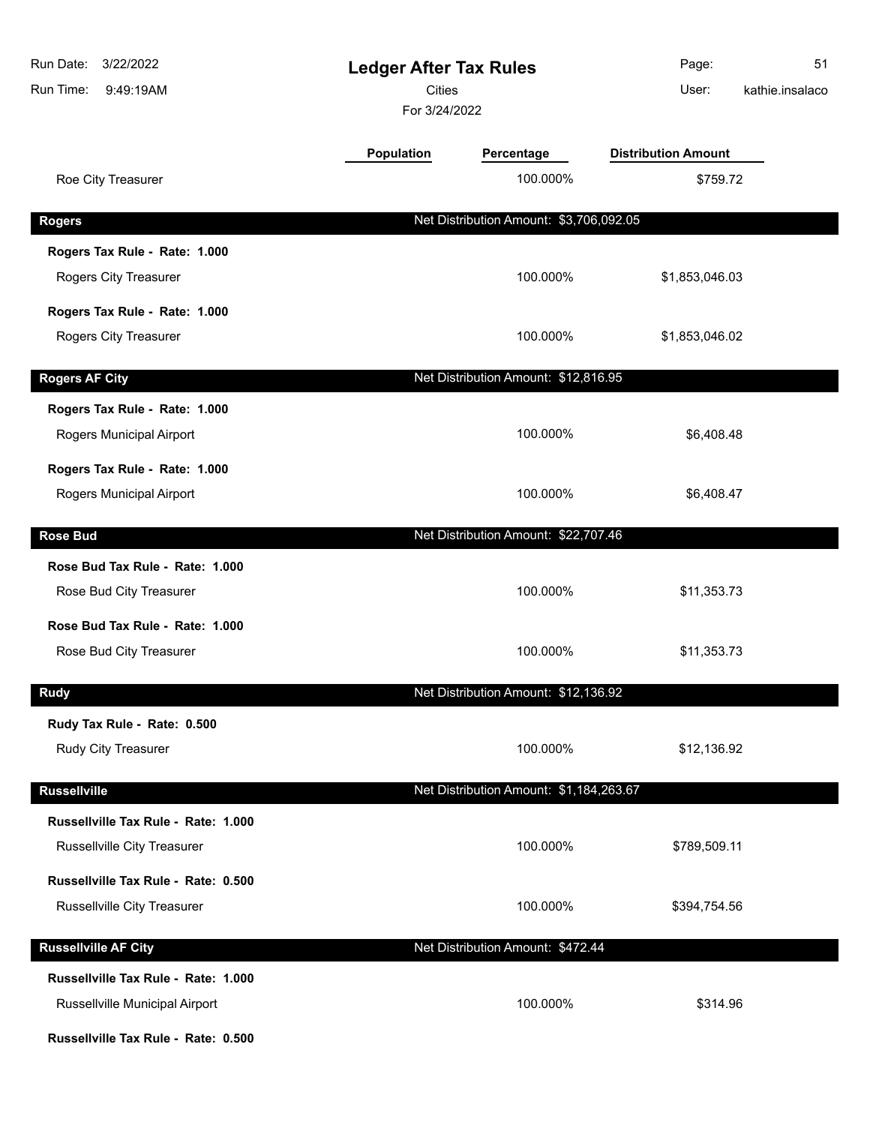| Run Date:<br>3/22/2022<br>Run Time:<br>9:49:19AM                      | <b>Ledger After Tax Rules</b><br><b>Cities</b><br>For 3/24/2022 |                                         | Page:<br>User:             | 51<br>kathie.insalaco |
|-----------------------------------------------------------------------|-----------------------------------------------------------------|-----------------------------------------|----------------------------|-----------------------|
|                                                                       | <b>Population</b>                                               | Percentage                              | <b>Distribution Amount</b> |                       |
| Roe City Treasurer                                                    |                                                                 | 100.000%                                | \$759.72                   |                       |
| <b>Rogers</b>                                                         |                                                                 | Net Distribution Amount: \$3,706,092.05 |                            |                       |
| Rogers Tax Rule - Rate: 1.000<br>Rogers City Treasurer                |                                                                 | 100.000%                                | \$1,853,046.03             |                       |
| Rogers Tax Rule - Rate: 1.000<br>Rogers City Treasurer                |                                                                 | 100.000%                                | \$1,853,046.02             |                       |
| <b>Rogers AF City</b>                                                 |                                                                 | Net Distribution Amount: \$12,816.95    |                            |                       |
| Rogers Tax Rule - Rate: 1.000<br>Rogers Municipal Airport             |                                                                 | 100.000%                                | \$6,408.48                 |                       |
| Rogers Tax Rule - Rate: 1.000<br>Rogers Municipal Airport             |                                                                 | 100.000%                                | \$6,408.47                 |                       |
| <b>Rose Bud</b>                                                       |                                                                 | Net Distribution Amount: \$22,707.46    |                            |                       |
| Rose Bud Tax Rule - Rate: 1.000<br>Rose Bud City Treasurer            |                                                                 | 100.000%                                | \$11,353.73                |                       |
| Rose Bud Tax Rule - Rate: 1.000<br>Rose Bud City Treasurer            |                                                                 | 100.000%                                | \$11,353.73                |                       |
| <b>Rudy</b>                                                           |                                                                 | Net Distribution Amount: \$12,136.92    |                            |                       |
| Rudy Tax Rule - Rate: 0.500<br>Rudy City Treasurer                    |                                                                 | 100.000%                                | \$12,136.92                |                       |
| <b>Russellville</b>                                                   |                                                                 | Net Distribution Amount: \$1,184,263.67 |                            |                       |
| Russellville Tax Rule - Rate: 1.000<br>Russellville City Treasurer    |                                                                 | 100.000%                                | \$789,509.11               |                       |
| Russellville Tax Rule - Rate: 0.500<br>Russellville City Treasurer    |                                                                 | 100.000%                                | \$394,754.56               |                       |
| <b>Russellville AF City</b>                                           |                                                                 | Net Distribution Amount: \$472.44       |                            |                       |
| Russellville Tax Rule - Rate: 1.000<br>Russellville Municipal Airport |                                                                 | 100.000%                                | \$314.96                   |                       |
| Russellville Tax Rule - Rate: 0.500                                   |                                                                 |                                         |                            |                       |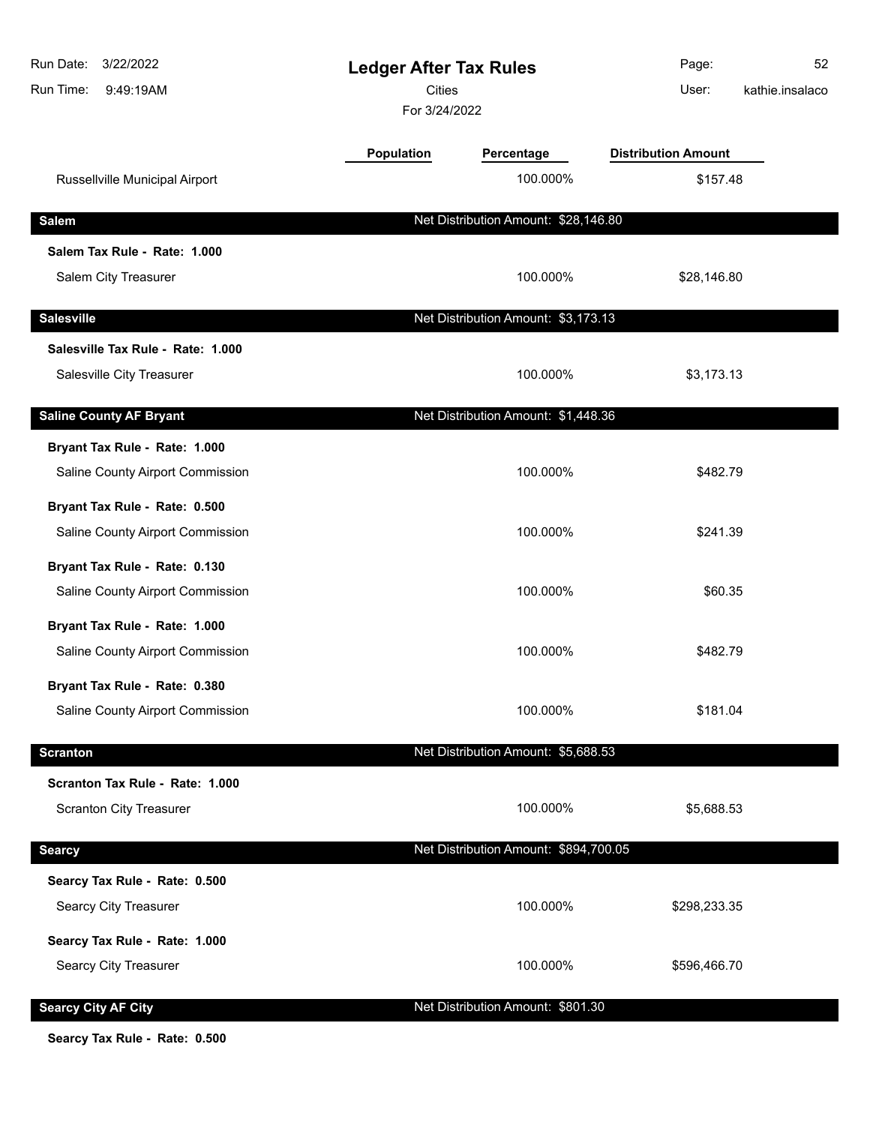| Run Date:<br>3/22/2022<br>Run Time:<br>9:49:19AM | <b>Ledger After Tax Rules</b><br><b>Cities</b><br>For 3/24/2022 |                                       | Page:<br>User:             | 52<br>kathie.insalaco |
|--------------------------------------------------|-----------------------------------------------------------------|---------------------------------------|----------------------------|-----------------------|
|                                                  | Population                                                      | Percentage                            | <b>Distribution Amount</b> |                       |
| Russellville Municipal Airport                   |                                                                 | 100.000%                              | \$157.48                   |                       |
| <b>Salem</b>                                     |                                                                 | Net Distribution Amount: \$28,146.80  |                            |                       |
| Salem Tax Rule - Rate: 1.000                     |                                                                 |                                       |                            |                       |
| Salem City Treasurer                             |                                                                 | 100.000%                              | \$28,146.80                |                       |
| <b>Salesville</b>                                |                                                                 | Net Distribution Amount: \$3,173.13   |                            |                       |
| Salesville Tax Rule - Rate: 1.000                |                                                                 |                                       |                            |                       |
| Salesville City Treasurer                        |                                                                 | 100.000%                              | \$3,173.13                 |                       |
| <b>Saline County AF Bryant</b>                   |                                                                 | Net Distribution Amount: \$1,448.36   |                            |                       |
| Bryant Tax Rule - Rate: 1.000                    |                                                                 |                                       |                            |                       |
| Saline County Airport Commission                 |                                                                 | 100.000%                              | \$482.79                   |                       |
| Bryant Tax Rule - Rate: 0.500                    |                                                                 |                                       |                            |                       |
| Saline County Airport Commission                 |                                                                 | 100.000%                              | \$241.39                   |                       |
| Bryant Tax Rule - Rate: 0.130                    |                                                                 |                                       |                            |                       |
| Saline County Airport Commission                 |                                                                 | 100.000%                              | \$60.35                    |                       |
| Bryant Tax Rule - Rate: 1.000                    |                                                                 |                                       |                            |                       |
| Saline County Airport Commission                 |                                                                 | 100.000%                              | \$482.79                   |                       |
| Bryant Tax Rule - Rate: 0.380                    |                                                                 |                                       |                            |                       |
| Saline County Airport Commission                 |                                                                 | 100.000%                              | \$181.04                   |                       |
| <b>Scranton</b>                                  |                                                                 | Net Distribution Amount: \$5,688.53   |                            |                       |
| Scranton Tax Rule - Rate: 1.000                  |                                                                 |                                       |                            |                       |
| <b>Scranton City Treasurer</b>                   |                                                                 | 100.000%                              | \$5,688.53                 |                       |
| <b>Searcy</b>                                    |                                                                 | Net Distribution Amount: \$894,700.05 |                            |                       |
| Searcy Tax Rule - Rate: 0.500                    |                                                                 |                                       |                            |                       |
| Searcy City Treasurer                            |                                                                 | 100.000%                              | \$298,233.35               |                       |
| Searcy Tax Rule - Rate: 1.000                    |                                                                 |                                       |                            |                       |
| Searcy City Treasurer                            |                                                                 | 100.000%                              | \$596,466.70               |                       |
| <b>Searcy City AF City</b>                       |                                                                 | Net Distribution Amount: \$801.30     |                            |                       |

**Searcy Tax Rule - Rate: 0.500**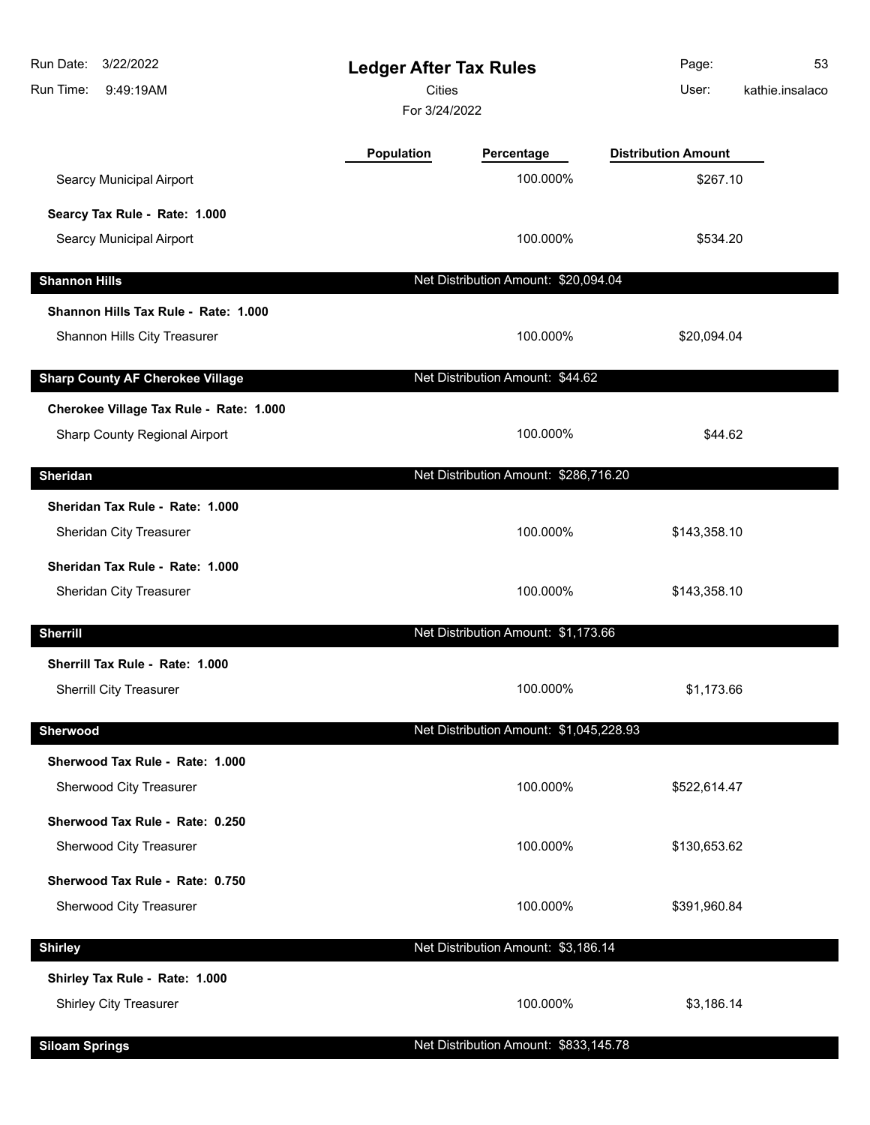| 3/22/2022<br>Run Date:<br>Run Time:<br>9:49:19AM | <b>Ledger After Tax Rules</b><br><b>Cities</b><br>For 3/24/2022 |                                         | Page:<br>User:             | 53<br>kathie.insalaco |
|--------------------------------------------------|-----------------------------------------------------------------|-----------------------------------------|----------------------------|-----------------------|
|                                                  | <b>Population</b>                                               | Percentage                              | <b>Distribution Amount</b> |                       |
| <b>Searcy Municipal Airport</b>                  |                                                                 | 100.000%                                | \$267.10                   |                       |
| Searcy Tax Rule - Rate: 1.000                    |                                                                 |                                         |                            |                       |
| <b>Searcy Municipal Airport</b>                  |                                                                 | 100.000%                                | \$534.20                   |                       |
| <b>Shannon Hills</b>                             |                                                                 | Net Distribution Amount: \$20,094.04    |                            |                       |
| Shannon Hills Tax Rule - Rate: 1.000             |                                                                 |                                         |                            |                       |
| Shannon Hills City Treasurer                     |                                                                 | 100.000%                                | \$20,094.04                |                       |
| <b>Sharp County AF Cherokee Village</b>          |                                                                 | Net Distribution Amount: \$44.62        |                            |                       |
| Cherokee Village Tax Rule - Rate: 1.000          |                                                                 |                                         |                            |                       |
| Sharp County Regional Airport                    |                                                                 | 100.000%                                | \$44.62                    |                       |
| <b>Sheridan</b>                                  |                                                                 | Net Distribution Amount: \$286,716.20   |                            |                       |
| Sheridan Tax Rule - Rate: 1.000                  |                                                                 |                                         |                            |                       |
| Sheridan City Treasurer                          |                                                                 | 100.000%                                | \$143,358.10               |                       |
| Sheridan Tax Rule - Rate: 1.000                  |                                                                 |                                         |                            |                       |
| Sheridan City Treasurer                          |                                                                 | 100.000%                                | \$143,358.10               |                       |
| <b>Sherrill</b>                                  |                                                                 | Net Distribution Amount: \$1,173.66     |                            |                       |
| Sherrill Tax Rule - Rate: 1.000                  |                                                                 |                                         |                            |                       |
| <b>Sherrill City Treasurer</b>                   |                                                                 | 100.000%                                | \$1,173.66                 |                       |
| Sherwood                                         |                                                                 | Net Distribution Amount: \$1,045,228.93 |                            |                       |
| Sherwood Tax Rule - Rate: 1.000                  |                                                                 |                                         |                            |                       |
| Sherwood City Treasurer                          |                                                                 | 100.000%                                | \$522,614.47               |                       |
| Sherwood Tax Rule - Rate: 0.250                  |                                                                 |                                         |                            |                       |
| Sherwood City Treasurer                          |                                                                 | 100.000%                                | \$130,653.62               |                       |
| Sherwood Tax Rule - Rate: 0.750                  |                                                                 |                                         |                            |                       |
| Sherwood City Treasurer                          |                                                                 | 100.000%                                | \$391,960.84               |                       |
| <b>Shirley</b>                                   |                                                                 | Net Distribution Amount: \$3,186.14     |                            |                       |
| Shirley Tax Rule - Rate: 1.000                   |                                                                 |                                         |                            |                       |
| <b>Shirley City Treasurer</b>                    |                                                                 | 100.000%                                | \$3,186.14                 |                       |
| <b>Siloam Springs</b>                            |                                                                 | Net Distribution Amount: \$833,145.78   |                            |                       |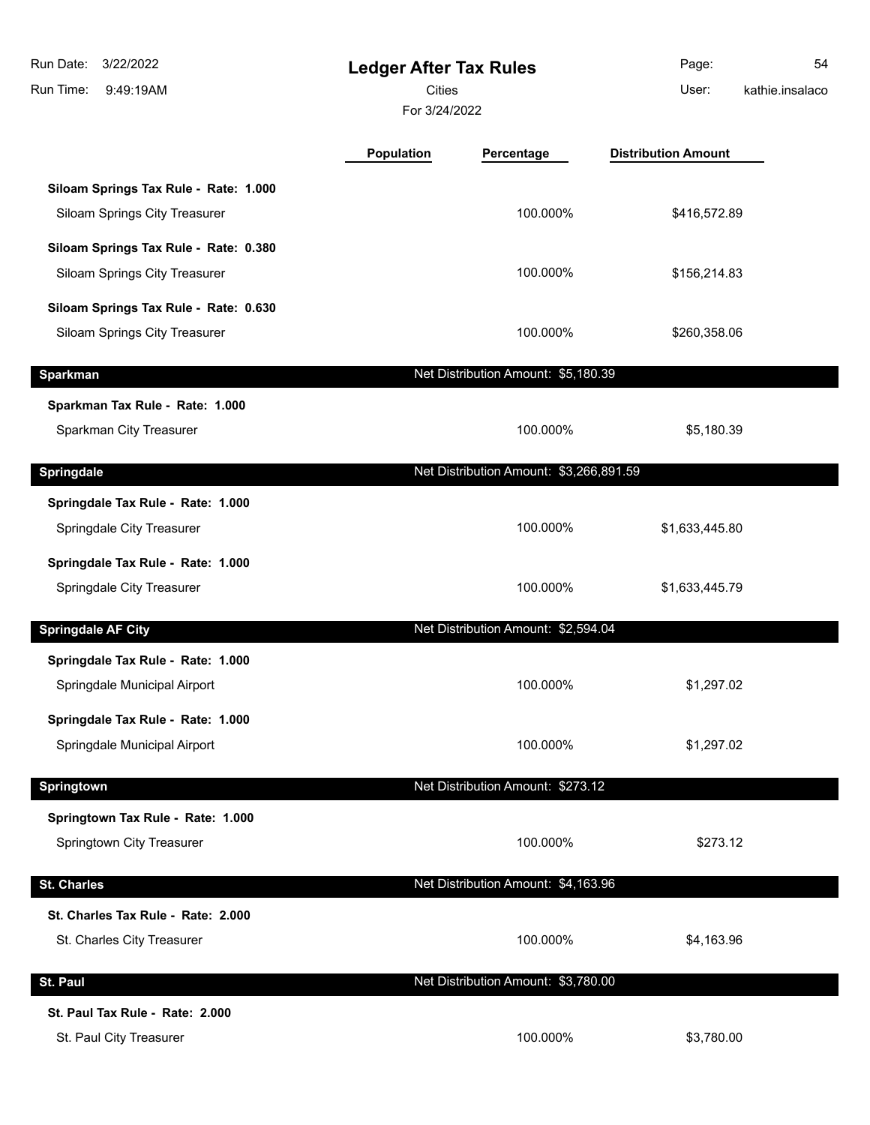| 3/22/2022<br>Run Date:<br>Run Time:<br>9:49:19AM                       | <b>Ledger After Tax Rules</b><br><b>Cities</b><br>For 3/24/2022 |                                         | Page:<br>User:             | 54<br>kathie.insalaco |
|------------------------------------------------------------------------|-----------------------------------------------------------------|-----------------------------------------|----------------------------|-----------------------|
|                                                                        | Population                                                      | Percentage                              | <b>Distribution Amount</b> |                       |
| Siloam Springs Tax Rule - Rate: 1.000<br>Siloam Springs City Treasurer |                                                                 | 100.000%                                | \$416,572.89               |                       |
| Siloam Springs Tax Rule - Rate: 0.380<br>Siloam Springs City Treasurer |                                                                 | 100.000%                                | \$156,214.83               |                       |
| Siloam Springs Tax Rule - Rate: 0.630<br>Siloam Springs City Treasurer |                                                                 | 100.000%                                | \$260,358.06               |                       |
| <b>Sparkman</b>                                                        |                                                                 | Net Distribution Amount: \$5,180.39     |                            |                       |
| Sparkman Tax Rule - Rate: 1.000<br>Sparkman City Treasurer             |                                                                 | 100.000%                                | \$5,180.39                 |                       |
| <b>Springdale</b>                                                      |                                                                 | Net Distribution Amount: \$3,266,891.59 |                            |                       |
| Springdale Tax Rule - Rate: 1.000<br>Springdale City Treasurer         |                                                                 | 100.000%                                | \$1,633,445.80             |                       |
| Springdale Tax Rule - Rate: 1.000<br>Springdale City Treasurer         |                                                                 | 100.000%                                | \$1,633,445.79             |                       |
| <b>Springdale AF City</b>                                              |                                                                 | Net Distribution Amount: \$2,594.04     |                            |                       |
| Springdale Tax Rule - Rate: 1.000<br>Springdale Municipal Airport      |                                                                 | 100.000%                                | \$1,297.02                 |                       |
| Springdale Tax Rule - Rate: 1.000<br>Springdale Municipal Airport      |                                                                 | 100.000%                                | \$1,297.02                 |                       |
| Springtown                                                             |                                                                 | Net Distribution Amount: \$273.12       |                            |                       |
| Springtown Tax Rule - Rate: 1.000<br>Springtown City Treasurer         |                                                                 | 100.000%                                | \$273.12                   |                       |
| <b>St. Charles</b>                                                     |                                                                 | Net Distribution Amount: \$4,163.96     |                            |                       |
| St. Charles Tax Rule - Rate: 2.000<br>St. Charles City Treasurer       |                                                                 | 100.000%                                | \$4,163.96                 |                       |
| St. Paul                                                               |                                                                 | Net Distribution Amount: \$3,780.00     |                            |                       |
| St. Paul Tax Rule - Rate: 2.000<br>St. Paul City Treasurer             |                                                                 | 100.000%                                | \$3,780.00                 |                       |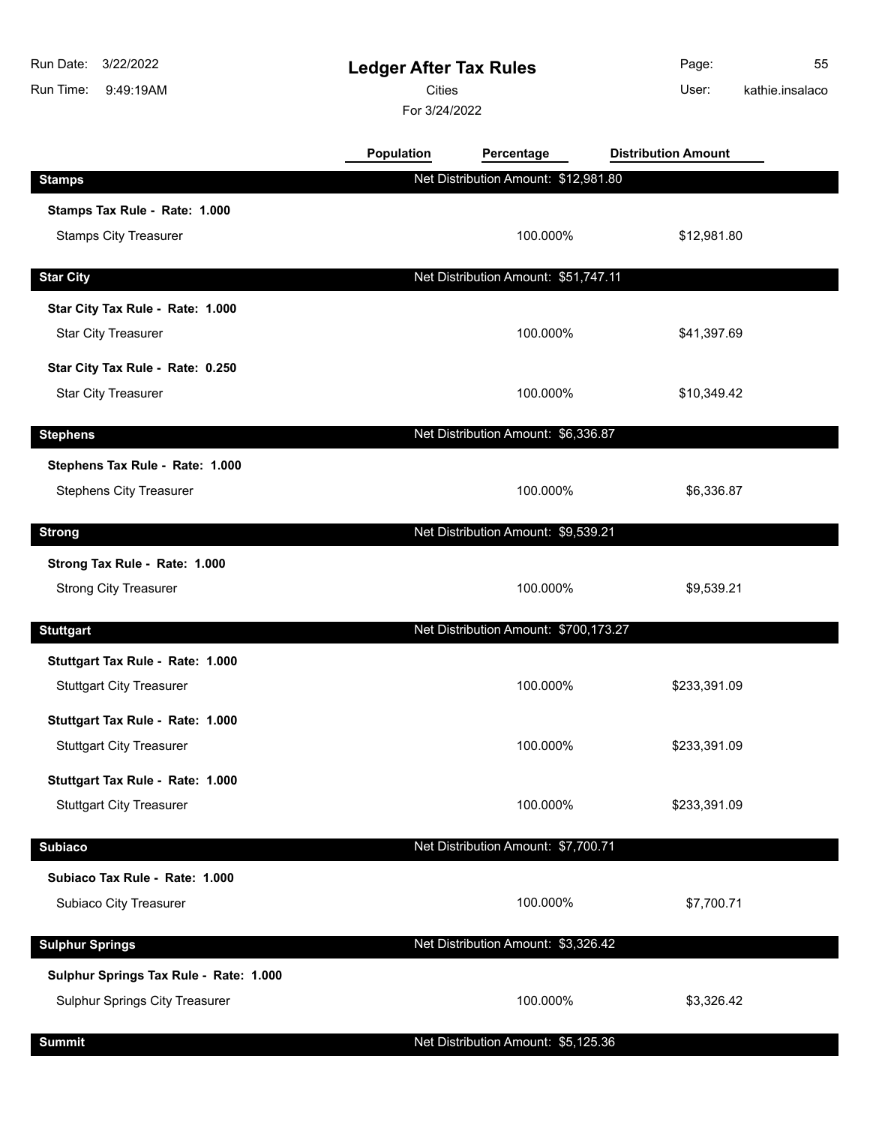| Run Date:<br>3/22/2022<br>Run Time:<br>9:49:19AM | <b>Ledger After Tax Rules</b><br><b>Cities</b><br>For 3/24/2022 |                                       | Page:<br>User:             | 55<br>kathie.insalaco |
|--------------------------------------------------|-----------------------------------------------------------------|---------------------------------------|----------------------------|-----------------------|
|                                                  | Population                                                      | Percentage                            | <b>Distribution Amount</b> |                       |
| <b>Stamps</b>                                    |                                                                 | Net Distribution Amount: \$12,981.80  |                            |                       |
| Stamps Tax Rule - Rate: 1.000                    |                                                                 |                                       |                            |                       |
| <b>Stamps City Treasurer</b>                     |                                                                 | 100.000%                              | \$12,981.80                |                       |
| <b>Star City</b>                                 |                                                                 | Net Distribution Amount: \$51,747.11  |                            |                       |
| Star City Tax Rule - Rate: 1.000                 |                                                                 |                                       |                            |                       |
| <b>Star City Treasurer</b>                       |                                                                 | 100.000%                              | \$41,397.69                |                       |
| Star City Tax Rule - Rate: 0.250                 |                                                                 |                                       |                            |                       |
| <b>Star City Treasurer</b>                       |                                                                 | 100.000%                              | \$10,349.42                |                       |
| <b>Stephens</b>                                  |                                                                 | Net Distribution Amount: \$6,336.87   |                            |                       |
| Stephens Tax Rule - Rate: 1.000                  |                                                                 |                                       |                            |                       |
| <b>Stephens City Treasurer</b>                   |                                                                 | 100.000%                              | \$6,336.87                 |                       |
| <b>Strong</b>                                    |                                                                 | Net Distribution Amount: \$9,539.21   |                            |                       |
| Strong Tax Rule - Rate: 1.000                    |                                                                 |                                       |                            |                       |
| <b>Strong City Treasurer</b>                     |                                                                 | 100.000%                              | \$9,539.21                 |                       |
| <b>Stuttgart</b>                                 |                                                                 | Net Distribution Amount: \$700,173.27 |                            |                       |
| Stuttgart Tax Rule - Rate: 1.000                 |                                                                 |                                       |                            |                       |
| <b>Stuttgart City Treasurer</b>                  |                                                                 | 100.000%                              | \$233,391.09               |                       |
| Stuttgart Tax Rule - Rate: 1.000                 |                                                                 |                                       |                            |                       |
| <b>Stuttgart City Treasurer</b>                  |                                                                 | 100.000%                              | \$233,391.09               |                       |
| Stuttgart Tax Rule - Rate: 1.000                 |                                                                 |                                       |                            |                       |
| <b>Stuttgart City Treasurer</b>                  |                                                                 | 100.000%                              | \$233,391.09               |                       |
| <b>Subiaco</b>                                   |                                                                 | Net Distribution Amount: \$7,700.71   |                            |                       |
| Subiaco Tax Rule - Rate: 1.000                   |                                                                 |                                       |                            |                       |
| Subiaco City Treasurer                           |                                                                 | 100.000%                              | \$7,700.71                 |                       |
| <b>Sulphur Springs</b>                           |                                                                 | Net Distribution Amount: \$3,326.42   |                            |                       |
| Sulphur Springs Tax Rule - Rate: 1.000           |                                                                 |                                       |                            |                       |
| Sulphur Springs City Treasurer                   |                                                                 | 100.000%                              | \$3,326.42                 |                       |
| <b>Summit</b>                                    |                                                                 | Net Distribution Amount: \$5,125.36   |                            |                       |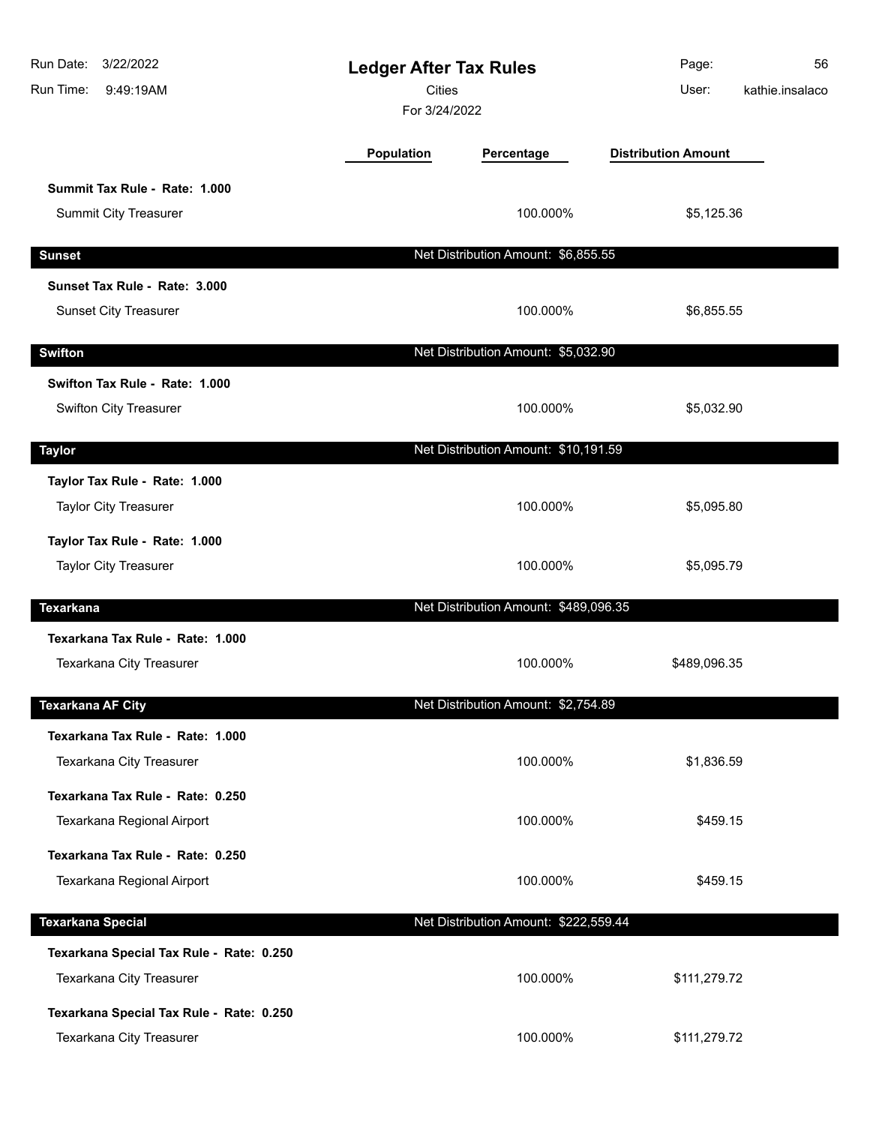| Run Date: 3/22/2022<br>Run Time:<br>9:49:19AM                        | <b>Ledger After Tax Rules</b><br><b>Cities</b><br>For 3/24/2022 |                                       | Page:<br>User:             | 56<br>kathie.insalaco |
|----------------------------------------------------------------------|-----------------------------------------------------------------|---------------------------------------|----------------------------|-----------------------|
|                                                                      | Population                                                      | Percentage                            | <b>Distribution Amount</b> |                       |
| Summit Tax Rule - Rate: 1.000<br><b>Summit City Treasurer</b>        |                                                                 | 100.000%                              | \$5,125.36                 |                       |
| <b>Sunset</b>                                                        |                                                                 | Net Distribution Amount: \$6,855.55   |                            |                       |
| Sunset Tax Rule - Rate: 3.000                                        |                                                                 |                                       |                            |                       |
| <b>Sunset City Treasurer</b>                                         |                                                                 | 100.000%                              | \$6,855.55                 |                       |
| <b>Swifton</b>                                                       |                                                                 | Net Distribution Amount: \$5,032.90   |                            |                       |
| Swifton Tax Rule - Rate: 1.000                                       |                                                                 |                                       |                            |                       |
| Swifton City Treasurer                                               |                                                                 | 100.000%                              | \$5,032.90                 |                       |
| <b>Taylor</b>                                                        |                                                                 | Net Distribution Amount: \$10,191.59  |                            |                       |
| Taylor Tax Rule - Rate: 1.000<br><b>Taylor City Treasurer</b>        |                                                                 | 100.000%                              | \$5,095.80                 |                       |
| Taylor Tax Rule - Rate: 1.000<br><b>Taylor City Treasurer</b>        |                                                                 | 100.000%                              | \$5,095.79                 |                       |
| <b>Texarkana</b>                                                     |                                                                 | Net Distribution Amount: \$489,096.35 |                            |                       |
| Texarkana Tax Rule - Rate: 1.000<br>Texarkana City Treasurer         |                                                                 | 100.000%                              | \$489,096.35               |                       |
| <b>Texarkana AF City</b>                                             |                                                                 | Net Distribution Amount: \$2,754.89   |                            |                       |
| Texarkana Tax Rule - Rate: 1.000<br>Texarkana City Treasurer         |                                                                 | 100.000%                              | \$1,836.59                 |                       |
| Texarkana Tax Rule - Rate: 0.250<br>Texarkana Regional Airport       |                                                                 | 100.000%                              | \$459.15                   |                       |
| Texarkana Tax Rule - Rate: 0.250                                     |                                                                 |                                       |                            |                       |
| Texarkana Regional Airport                                           |                                                                 | 100.000%                              | \$459.15                   |                       |
| <b>Texarkana Special</b>                                             |                                                                 | Net Distribution Amount: \$222,559.44 |                            |                       |
| Texarkana Special Tax Rule - Rate: 0.250<br>Texarkana City Treasurer |                                                                 | 100.000%                              | \$111,279.72               |                       |
| Texarkana Special Tax Rule - Rate: 0.250<br>Texarkana City Treasurer |                                                                 | 100.000%                              | \$111,279.72               |                       |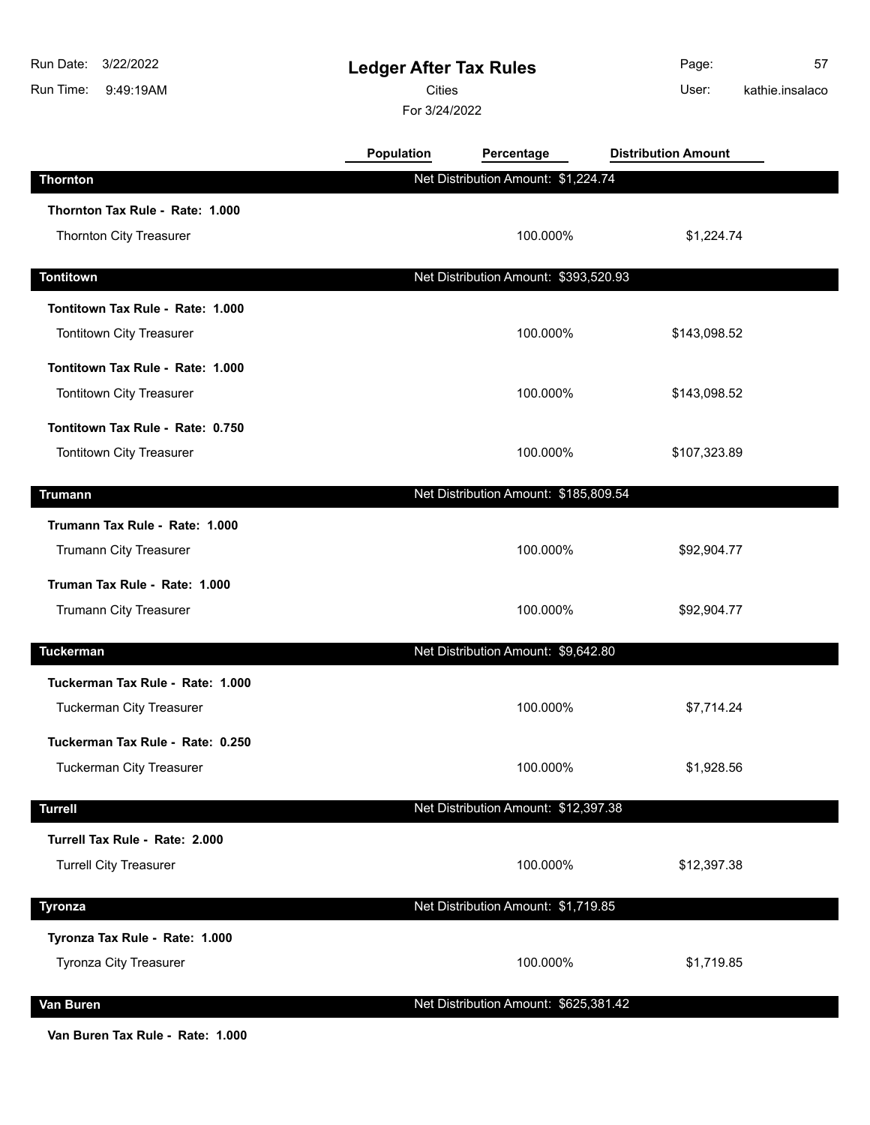| Run Date:<br>3/22/2022<br>Run Time:<br>9:49:19AM | <b>Ledger After Tax Rules</b><br><b>Cities</b><br>For 3/24/2022 |                                       | Page:<br>User:             | 57<br>kathie.insalaco |
|--------------------------------------------------|-----------------------------------------------------------------|---------------------------------------|----------------------------|-----------------------|
|                                                  | Population                                                      | Percentage                            | <b>Distribution Amount</b> |                       |
| <b>Thornton</b>                                  |                                                                 | Net Distribution Amount: \$1,224.74   |                            |                       |
| Thornton Tax Rule - Rate: 1.000                  |                                                                 |                                       |                            |                       |
| Thornton City Treasurer                          |                                                                 | 100.000%                              | \$1,224.74                 |                       |
| <b>Tontitown</b>                                 |                                                                 | Net Distribution Amount: \$393,520.93 |                            |                       |
| Tontitown Tax Rule - Rate: 1.000                 |                                                                 |                                       |                            |                       |
| Tontitown City Treasurer                         |                                                                 | 100.000%                              | \$143,098.52               |                       |
| Tontitown Tax Rule - Rate: 1.000                 |                                                                 |                                       |                            |                       |
| Tontitown City Treasurer                         |                                                                 | 100.000%                              | \$143,098.52               |                       |
| Tontitown Tax Rule - Rate: 0.750                 |                                                                 |                                       |                            |                       |
| Tontitown City Treasurer                         |                                                                 | 100.000%                              | \$107,323.89               |                       |
| <b>Trumann</b>                                   |                                                                 | Net Distribution Amount: \$185,809.54 |                            |                       |
| Trumann Tax Rule - Rate: 1.000                   |                                                                 |                                       |                            |                       |
| Trumann City Treasurer                           |                                                                 | 100.000%                              | \$92,904.77                |                       |
| Truman Tax Rule - Rate: 1.000                    |                                                                 |                                       |                            |                       |
| Trumann City Treasurer                           |                                                                 | 100.000%                              | \$92,904.77                |                       |
| <b>Tuckerman</b>                                 |                                                                 | Net Distribution Amount: \$9,642.80   |                            |                       |
| Tuckerman Tax Rule - Rate: 1.000                 |                                                                 |                                       |                            |                       |
| <b>Tuckerman City Treasurer</b>                  |                                                                 | 100.000%                              | \$7,714.24                 |                       |
| Tuckerman Tax Rule - Rate: 0.250                 |                                                                 |                                       |                            |                       |
| <b>Tuckerman City Treasurer</b>                  |                                                                 | 100.000%                              | \$1,928.56                 |                       |
| <b>Turrell</b>                                   |                                                                 | Net Distribution Amount: \$12,397.38  |                            |                       |
| Turrell Tax Rule - Rate: 2.000                   |                                                                 |                                       |                            |                       |
| <b>Turrell City Treasurer</b>                    |                                                                 | 100.000%                              | \$12,397.38                |                       |
| <b>Tyronza</b>                                   |                                                                 | Net Distribution Amount: \$1,719.85   |                            |                       |
| Tyronza Tax Rule - Rate: 1.000                   |                                                                 |                                       |                            |                       |
| Tyronza City Treasurer                           |                                                                 | 100.000%                              | \$1,719.85                 |                       |
| Van Buren                                        |                                                                 | Net Distribution Amount: \$625,381.42 |                            |                       |
|                                                  |                                                                 |                                       |                            |                       |

**Van Buren Tax Rule - Rate: 1.000**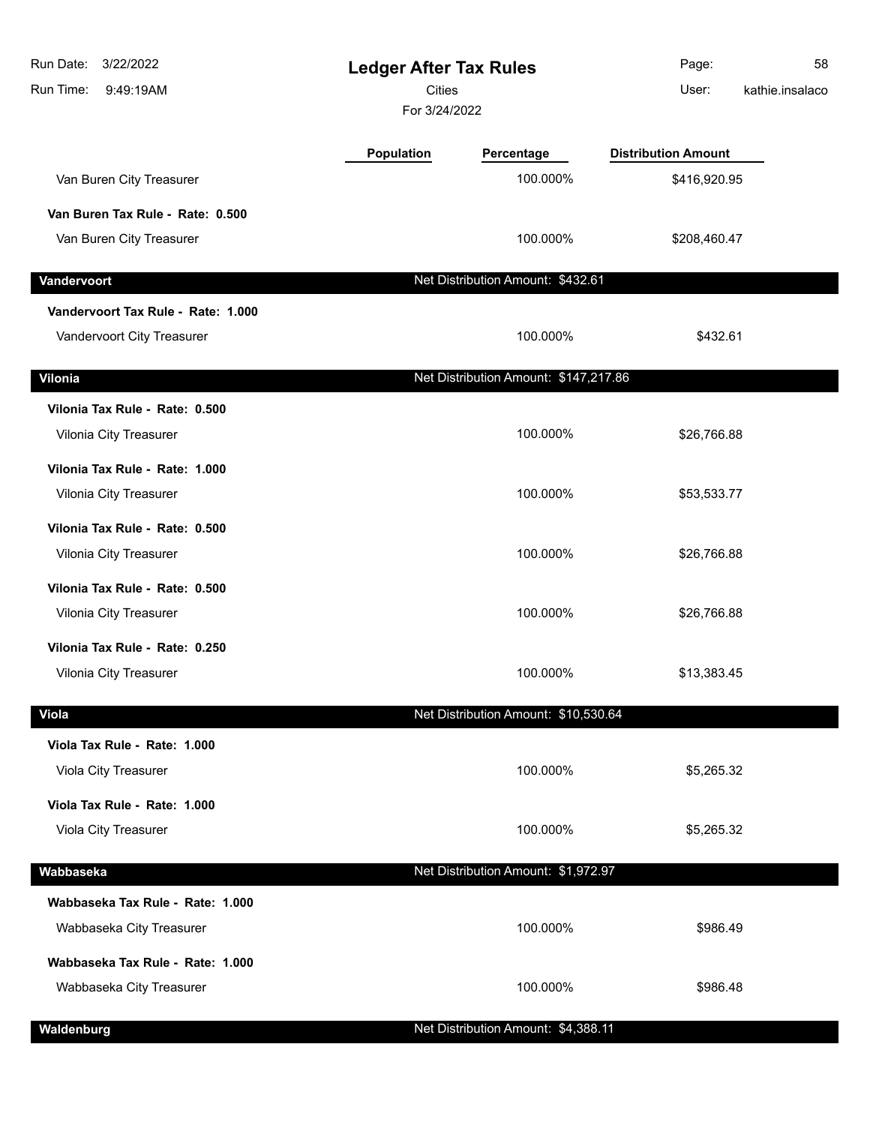| Run Date:<br>3/22/2022<br>Run Time:<br>9:49:19AM         | <b>Ledger After Tax Rules</b><br><b>Cities</b><br>For 3/24/2022 |                                       | Page:<br>User:             | 58<br>kathie.insalaco |
|----------------------------------------------------------|-----------------------------------------------------------------|---------------------------------------|----------------------------|-----------------------|
|                                                          | Population                                                      | Percentage                            | <b>Distribution Amount</b> |                       |
| Van Buren City Treasurer                                 |                                                                 | 100.000%                              | \$416,920.95               |                       |
| Van Buren Tax Rule - Rate: 0.500                         |                                                                 |                                       |                            |                       |
| Van Buren City Treasurer                                 |                                                                 | 100.000%                              | \$208,460.47               |                       |
| Vandervoort                                              |                                                                 | Net Distribution Amount: \$432.61     |                            |                       |
| Vandervoort Tax Rule - Rate: 1.000                       |                                                                 |                                       |                            |                       |
| Vandervoort City Treasurer                               |                                                                 | 100.000%                              | \$432.61                   |                       |
| Vilonia                                                  |                                                                 | Net Distribution Amount: \$147,217.86 |                            |                       |
| Vilonia Tax Rule - Rate: 0.500                           |                                                                 |                                       |                            |                       |
| Vilonia City Treasurer                                   |                                                                 | 100.000%                              | \$26,766.88                |                       |
| Vilonia Tax Rule - Rate: 1.000<br>Vilonia City Treasurer |                                                                 | 100.000%                              | \$53,533.77                |                       |
| Vilonia Tax Rule - Rate: 0.500                           |                                                                 |                                       |                            |                       |
| Vilonia City Treasurer                                   |                                                                 | 100.000%                              | \$26,766.88                |                       |
| Vilonia Tax Rule - Rate: 0.500<br>Vilonia City Treasurer |                                                                 | 100.000%                              | \$26,766.88                |                       |
| Vilonia Tax Rule - Rate: 0.250                           |                                                                 |                                       |                            |                       |
| Vilonia City Treasurer                                   |                                                                 | 100.000%                              | \$13,383.45                |                       |
| <b>Viola</b>                                             |                                                                 | Net Distribution Amount: \$10,530.64  |                            |                       |
| Viola Tax Rule - Rate: 1.000                             |                                                                 |                                       |                            |                       |
| Viola City Treasurer                                     |                                                                 | 100.000%                              | \$5,265.32                 |                       |
| Viola Tax Rule - Rate: 1.000                             |                                                                 |                                       |                            |                       |
| Viola City Treasurer                                     |                                                                 | 100.000%                              | \$5,265.32                 |                       |
| Wabbaseka                                                |                                                                 | Net Distribution Amount: \$1,972.97   |                            |                       |
| Wabbaseka Tax Rule - Rate: 1.000                         |                                                                 |                                       |                            |                       |
| Wabbaseka City Treasurer                                 |                                                                 | 100.000%                              | \$986.49                   |                       |
| Wabbaseka Tax Rule - Rate: 1.000                         |                                                                 |                                       |                            |                       |
| Wabbaseka City Treasurer                                 |                                                                 | 100.000%                              | \$986.48                   |                       |
| Waldenburg                                               |                                                                 | Net Distribution Amount: \$4,388.11   |                            |                       |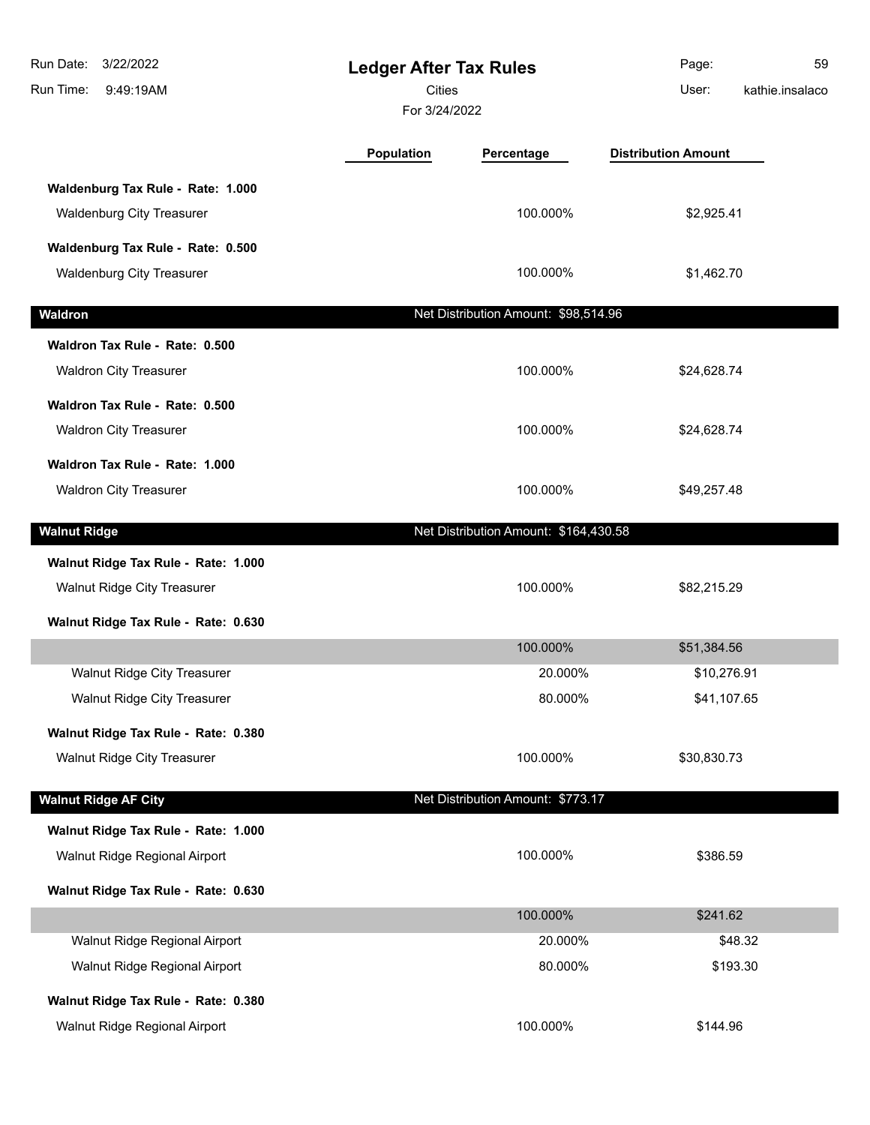| Run Date:<br>3/22/2022<br>Run Time:<br>9:49:19AM                                                          | <b>Ledger After Tax Rules</b><br><b>Cities</b><br>For 3/24/2022 |                                       | Page:<br>59<br>User:<br>kathie.insalaco |
|-----------------------------------------------------------------------------------------------------------|-----------------------------------------------------------------|---------------------------------------|-----------------------------------------|
|                                                                                                           | <b>Population</b>                                               | Percentage                            | <b>Distribution Amount</b>              |
| Waldenburg Tax Rule - Rate: 1.000<br><b>Waldenburg City Treasurer</b>                                     |                                                                 | 100.000%                              | \$2,925.41                              |
| Waldenburg Tax Rule - Rate: 0.500<br><b>Waldenburg City Treasurer</b>                                     |                                                                 | 100.000%                              | \$1,462.70                              |
| Waldron                                                                                                   |                                                                 | Net Distribution Amount: \$98,514.96  |                                         |
| Waldron Tax Rule - Rate: 0.500<br><b>Waldron City Treasurer</b>                                           |                                                                 | 100.000%                              | \$24,628.74                             |
| Waldron Tax Rule - Rate: 0.500<br><b>Waldron City Treasurer</b>                                           |                                                                 | 100.000%                              | \$24,628.74                             |
| Waldron Tax Rule - Rate: 1.000<br><b>Waldron City Treasurer</b>                                           |                                                                 | 100.000%                              | \$49,257.48                             |
| <b>Walnut Ridge</b>                                                                                       |                                                                 | Net Distribution Amount: \$164,430.58 |                                         |
| Walnut Ridge Tax Rule - Rate: 1.000<br>Walnut Ridge City Treasurer<br>Walnut Ridge Tax Rule - Rate: 0.630 |                                                                 | 100.000%                              | \$82,215.29                             |
|                                                                                                           |                                                                 | 100.000%                              | \$51,384.56                             |
| <b>Walnut Ridge City Treasurer</b><br>Walnut Ridge City Treasurer                                         |                                                                 | 20.000%<br>80.000%                    | \$10,276.91<br>\$41,107.65              |
| Walnut Ridge Tax Rule - Rate: 0.380<br>Walnut Ridge City Treasurer                                        |                                                                 | 100.000%                              | \$30,830.73                             |
| <b>Walnut Ridge AF City</b>                                                                               |                                                                 | Net Distribution Amount: \$773.17     |                                         |
| Walnut Ridge Tax Rule - Rate: 1.000<br>Walnut Ridge Regional Airport                                      |                                                                 | 100.000%                              | \$386.59                                |
| Walnut Ridge Tax Rule - Rate: 0.630                                                                       |                                                                 |                                       |                                         |
|                                                                                                           |                                                                 | 100.000%                              | \$241.62                                |
| Walnut Ridge Regional Airport<br>Walnut Ridge Regional Airport                                            |                                                                 | 20.000%<br>80.000%                    | \$48.32<br>\$193.30                     |
| Walnut Ridge Tax Rule - Rate: 0.380<br>Walnut Ridge Regional Airport                                      |                                                                 | 100.000%                              | \$144.96                                |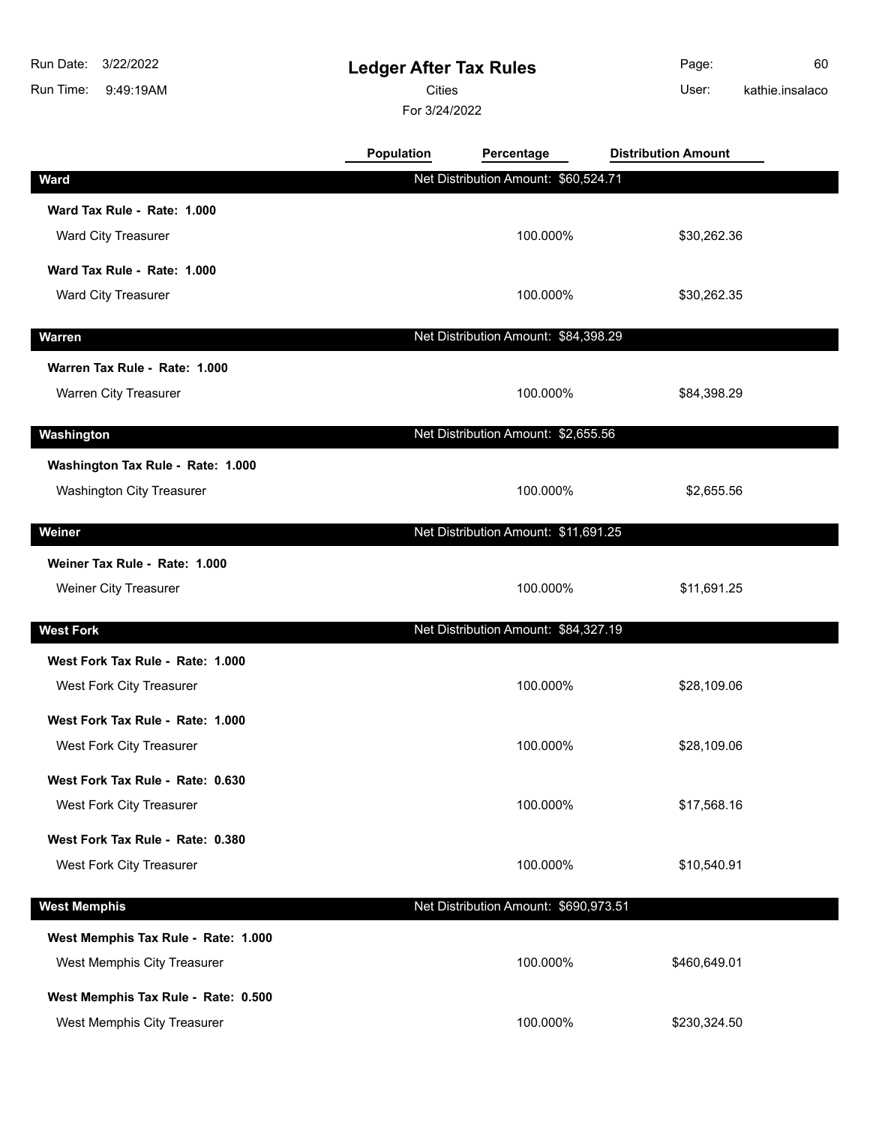| Run Date:<br>3/22/2022              | <b>Ledger After Tax Rules</b> |                                       | Page:                      | 60              |
|-------------------------------------|-------------------------------|---------------------------------------|----------------------------|-----------------|
| Run Time:<br>9:49:19AM              |                               | <b>Cities</b>                         |                            | kathie.insalaco |
|                                     | For 3/24/2022                 |                                       |                            |                 |
|                                     | <b>Population</b>             | Percentage                            | <b>Distribution Amount</b> |                 |
| <b>Ward</b>                         |                               | Net Distribution Amount: \$60,524.71  |                            |                 |
| Ward Tax Rule - Rate: 1.000         |                               |                                       |                            |                 |
| <b>Ward City Treasurer</b>          |                               | 100.000%                              | \$30,262.36                |                 |
| Ward Tax Rule - Rate: 1.000         |                               |                                       |                            |                 |
| Ward City Treasurer                 |                               | 100.000%                              | \$30,262.35                |                 |
| <b>Warren</b>                       |                               | Net Distribution Amount: \$84,398.29  |                            |                 |
| Warren Tax Rule - Rate: 1.000       |                               |                                       |                            |                 |
| Warren City Treasurer               |                               | 100.000%                              | \$84,398.29                |                 |
| Washington                          |                               | Net Distribution Amount: \$2,655.56   |                            |                 |
| Washington Tax Rule - Rate: 1.000   |                               |                                       |                            |                 |
| <b>Washington City Treasurer</b>    |                               | 100.000%                              | \$2,655.56                 |                 |
| Weiner                              |                               | Net Distribution Amount: \$11,691.25  |                            |                 |
| Weiner Tax Rule - Rate: 1.000       |                               |                                       |                            |                 |
| Weiner City Treasurer               |                               | 100.000%                              | \$11,691.25                |                 |
| <b>West Fork</b>                    |                               | Net Distribution Amount: \$84,327.19  |                            |                 |
| West Fork Tax Rule - Rate: 1.000    |                               |                                       |                            |                 |
| West Fork City Treasurer            |                               | 100.000%                              | \$28,109.06                |                 |
| West Fork Tax Rule - Rate: 1.000    |                               |                                       |                            |                 |
| West Fork City Treasurer            |                               | 100.000%                              | \$28,109.06                |                 |
| West Fork Tax Rule - Rate: 0.630    |                               |                                       |                            |                 |
| West Fork City Treasurer            |                               | 100.000%                              | \$17,568.16                |                 |
| West Fork Tax Rule - Rate: 0.380    |                               |                                       |                            |                 |
| West Fork City Treasurer            |                               | 100.000%                              | \$10,540.91                |                 |
| <b>West Memphis</b>                 |                               | Net Distribution Amount: \$690,973.51 |                            |                 |
| West Memphis Tax Rule - Rate: 1.000 |                               |                                       |                            |                 |
| West Memphis City Treasurer         |                               | 100.000%                              | \$460,649.01               |                 |

**West Memphis Tax Rule - Rate: 0.500**

West Memphis City Treasurer **100.000%** \$230,324.50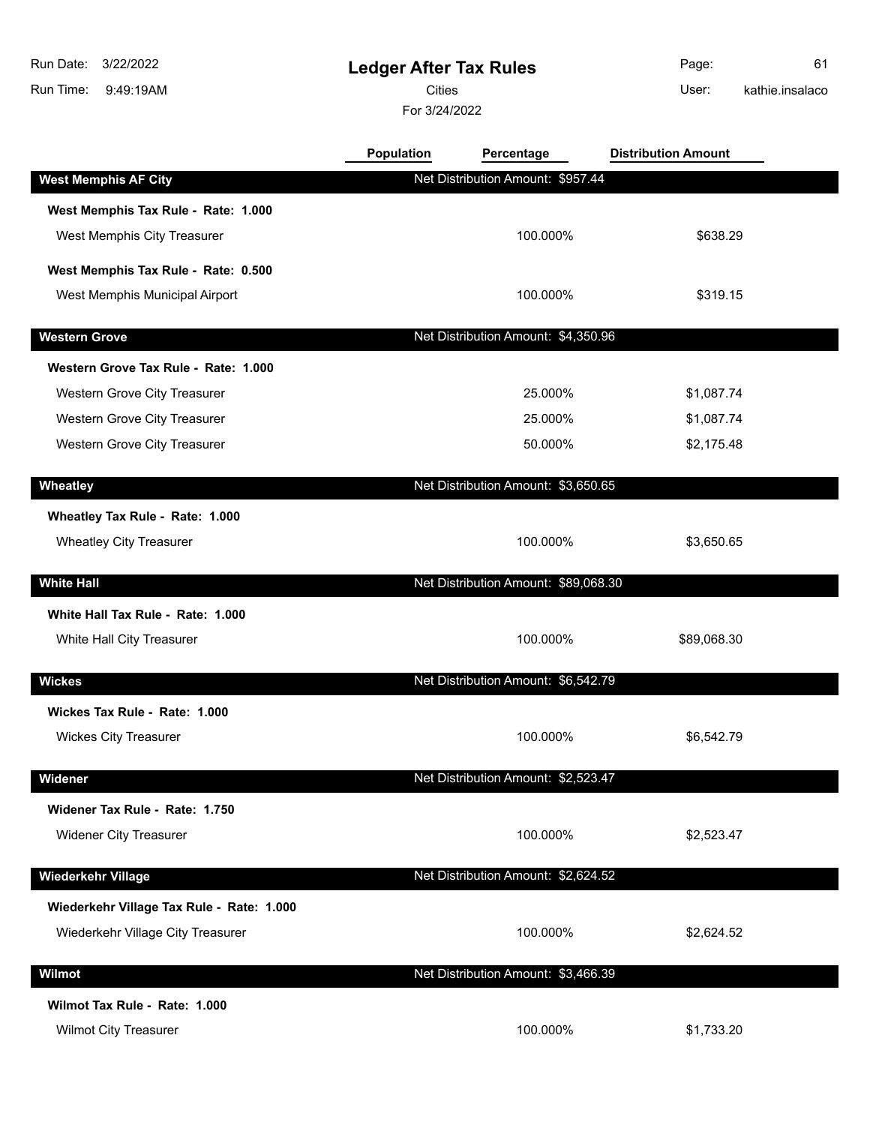9:49:19AM Run Time: 3/22/2022 Run Date:

## **Ledger After Tax Rules**

Cities User:

For 3/24/2022

Page: 61 kathie.insalaco

|                                           | <b>Population</b> | Percentage                           | <b>Distribution Amount</b> |  |
|-------------------------------------------|-------------------|--------------------------------------|----------------------------|--|
| <b>West Memphis AF City</b>               |                   | Net Distribution Amount: \$957.44    |                            |  |
| West Memphis Tax Rule - Rate: 1.000       |                   |                                      |                            |  |
| West Memphis City Treasurer               |                   | 100.000%                             | \$638.29                   |  |
| West Memphis Tax Rule - Rate: 0.500       |                   |                                      |                            |  |
| West Memphis Municipal Airport            |                   | 100.000%                             | \$319.15                   |  |
| <b>Western Grove</b>                      |                   | Net Distribution Amount: \$4,350.96  |                            |  |
| Western Grove Tax Rule - Rate: 1.000      |                   |                                      |                            |  |
| Western Grove City Treasurer              |                   | 25.000%                              | \$1,087.74                 |  |
| Western Grove City Treasurer              |                   | 25.000%                              | \$1,087.74                 |  |
| Western Grove City Treasurer              |                   | 50.000%                              | \$2,175.48                 |  |
| Wheatley                                  |                   | Net Distribution Amount: \$3,650.65  |                            |  |
| Wheatley Tax Rule - Rate: 1.000           |                   |                                      |                            |  |
| <b>Wheatley City Treasurer</b>            |                   | 100.000%                             | \$3,650.65                 |  |
| <b>White Hall</b>                         |                   | Net Distribution Amount: \$89,068.30 |                            |  |
| White Hall Tax Rule - Rate: 1.000         |                   |                                      |                            |  |
| White Hall City Treasurer                 |                   | 100.000%                             | \$89,068.30                |  |
| <b>Wickes</b>                             |                   | Net Distribution Amount: \$6,542.79  |                            |  |
| Wickes Tax Rule - Rate: 1.000             |                   |                                      |                            |  |
| <b>Wickes City Treasurer</b>              |                   | 100.000%                             | \$6,542.79                 |  |
| Widener                                   |                   | Net Distribution Amount: \$2,523.47  |                            |  |
| Widener Tax Rule - Rate: 1.750            |                   |                                      |                            |  |
| <b>Widener City Treasurer</b>             |                   | 100.000%                             | \$2,523.47                 |  |
|                                           |                   |                                      |                            |  |
| <b>Wiederkehr Village</b>                 |                   | Net Distribution Amount: \$2,624.52  |                            |  |
| Wiederkehr Village Tax Rule - Rate: 1.000 |                   |                                      |                            |  |
| Wiederkehr Village City Treasurer         |                   | 100.000%                             | \$2,624.52                 |  |
| Wilmot                                    |                   | Net Distribution Amount: \$3,466.39  |                            |  |
| Wilmot Tax Rule - Rate: 1.000             |                   |                                      |                            |  |
| <b>Wilmot City Treasurer</b>              |                   | 100.000%                             | \$1,733.20                 |  |